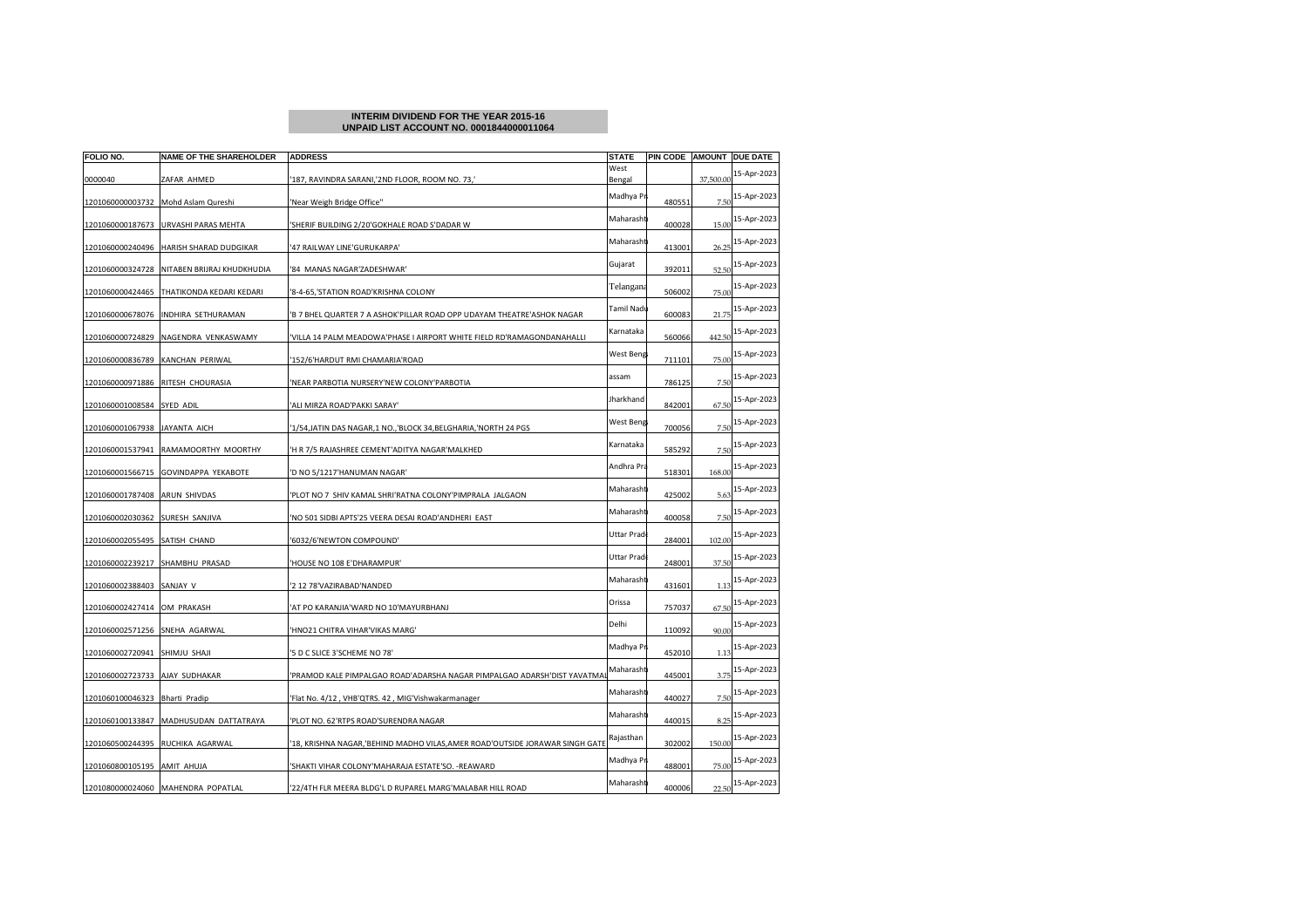## **INTERIM DIVIDEND FOR THE YEAR 2015-16UNPAID LIST ACCOUNT NO. 0001844000011064**

| FOLIO NO.                      | <b>NAME OF THE SHAREHOLDER</b>     | <b>ADDRESS</b>                                                              | <b>STATE</b>   |        |           | PIN CODE AMOUNT DUE DATE |
|--------------------------------|------------------------------------|-----------------------------------------------------------------------------|----------------|--------|-----------|--------------------------|
| 0000040                        | ZAFAR AHMED                        | 187, RAVINDRA SARANI,'2ND FLOOR, ROOM NO. 73,'                              | West<br>Bengal |        | 37,500.00 | 15-Apr-2023              |
| 1201060000003732               | Mohd Aslam Qureshi                 | 'Near Weigh Bridge Office"                                                  | Madhya Pr      | 480551 | 7.50      | 15-Apr-2023              |
| 1201060000187673               | URVASHI PARAS MEHTA                | 'SHERIF BUILDING 2/20'GOKHALE ROAD S'DADAR W                                | Maharasht      | 400028 | 15.00     | 15-Apr-2023              |
| 1201060000240496               | HARISH SHARAD DUDGIKAR             | '47 RAILWAY LINE'GURUKARPA'                                                 | Maharasht      | 413001 | 26.25     | 15-Apr-2023              |
| 1201060000324728               | NITABEN BRIJRAJ KHUDKHUDIA         | '84 MANAS NAGAR'ZADESHWAR'                                                  | Gujarat        | 392011 | 52.50     | 15-Apr-2023              |
| 1201060000424465               | THATIKONDA KEDARI KEDARI           | '8-4-65,'STATION ROAD'KRISHNA COLONY                                        | Telangana      | 506002 | 75.00     | 15-Apr-2023              |
| 1201060000678076               | INDHIRA SETHURAMAN                 | 'B 7 BHEL QUARTER 7 A ASHOK'PILLAR ROAD OPP UDAYAM THEATRE'ASHOK NAGAR      | Tamil Nadı     | 600083 | 21.75     | 15-Apr-2023              |
| 1201060000724829               | NAGENDRA VENKASWAMY                | VILLA 14 PALM MEADOWA'PHASE I AIRPORT WHITE FIELD RD'RAMAGONDANAHALLI       | Karnataka      | 560066 | 442.50    | 15-Apr-2023              |
| 1201060000836789               | KANCHAN PERIWAL                    | 152/6'HARDUT RMI CHAMARIA'ROAD                                              | West Beng      | 711101 | 75.00     | 15-Apr-2023              |
| 1201060000971886               | RITESH CHOURASIA                   | 'NEAR PARBOTIA NURSERY'NEW COLONY'PARBOTIA                                  | assam          | 786125 | 7.50      | 15-Apr-2023              |
| 1201060001008584               | SYED ADIL                          | ALI MIRZA ROAD'PAKKI SARAY'                                                 | Jharkhand      | 842001 | 67.50     | 15-Apr-2023              |
| 1201060001067938               | JAYANTA AICH                       | 1/54,JATIN DAS NAGAR,1 NO.,'BLOCK 34,BELGHARIA,'NORTH 24 PGS                | West Beng      | 700056 | 7.50      | 15-Apr-2023              |
| 1201060001537941               | RAMAMOORTHY MOORTHY                | 'H R 7/5 RAJASHREE CEMENT'ADITYA NAGAR'MALKHED                              | Karnataka      | 585292 | 7.50      | 15-Apr-2023              |
| 1201060001566715               | GOVINDAPPA YEKABOTE                | 'D NO 5/1217'HANUMAN NAGAR'                                                 | Andhra Pra     | 518301 | 168.00    | 15-Apr-2023              |
| 1201060001787408               | ARUN SHIVDAS                       | 'PLOT NO 7 SHIV KAMAL SHRI'RATNA COLONY'PIMPRALA JALGAON                    | Maharasht      | 425002 | 5.63      | 15-Apr-2023              |
| 1201060002030362               | SURESH SANJIVA                     | NO 501 SIDBI APTS'25 VEERA DESAI ROAD'ANDHERI EAST                          | Maharasht      | 400058 | 7.50      | 15-Apr-2023              |
| 1201060002055495               | SATISH CHAND                       | '6032/6'NEWTON COMPOUND'                                                    | Uttar Prad     | 284001 | 102.00    | 15-Apr-2023              |
| 1201060002239217               | SHAMBHU PRASAD                     | 'HOUSE NO 108 E'DHARAMPUR'                                                  | Uttar Pradı    | 248001 | 37.50     | 15-Apr-2023              |
| 1201060002388403               | SANJAY V                           | '2 12 78'VAZIRABAD'NANDED                                                   | Maharasht      | 431601 | 1.13      | 15-Apr-2023              |
| 1201060002427414               | OM PRAKASH                         | AT PO KARANJIA'WARD NO 10'MAYURBHANJ                                        | Orissa         | 757037 | 67.50     | 15-Apr-2023              |
| 1201060002571256 SNEHA AGARWAL |                                    | 'HNO21 CHITRA VIHAR'VIKAS MARG'                                             | Delhi          | 110092 | 90.00     | 15-Apr-2023              |
| 1201060002720941               | SHIMJU SHAJI                       | 5 D C SLICE 3'SCHEME NO 78'                                                 | Madhya Pr      | 452010 | 1.13      | 15-Apr-2023              |
| 1201060002723733               | AJAY SUDHAKAR                      | 'PRAMOD KALE PIMPALGAO ROAD'ADARSHA NAGAR PIMPALGAO ADARSH'DIST YAVATMA     | Maharasht      | 445001 | 3.75      | 15-Apr-2023              |
| 1201060100046323               | Bharti Pradip                      | 'Flat No. 4/12, VHB'QTRS. 42, MIG'Vishwakarmanager                          | Maharasht      | 440027 | 7.50      | 15-Apr-2023              |
| 1201060100133847               | MADHUSUDAN DATTATRAYA              | 'PLOT NO. 62'RTPS ROAD'SURENDRA NAGAR                                       | Maharasht      | 440015 | 8.25      | 15-Apr-2023              |
| 1201060500244395               | RUCHIKA AGARWAL                    | '18, KRISHNA NAGAR,'BEHIND MADHO VILAS,AMER ROAD'OUTSIDE JORAWAR SINGH GATE | Rajasthan      | 302002 | 150.00    | 15-Apr-2023              |
| 1201060800105195               | AMIT AHUJA                         | SHAKTI VIHAR COLONY'MAHARAJA ESTATE'SO. - REAWARD                           | Madhya Pr      | 488001 | 75.00     | 15-Apr-2023              |
|                                | 1201080000024060 MAHENDRA POPATLAL | 22/4TH FLR MEERA BLDG'L D RUPAREL MARG'MALABAR HILL ROAD                    | Maharasht      | 400006 | 22.50     | 15-Apr-2023              |
|                                |                                    |                                                                             |                |        |           |                          |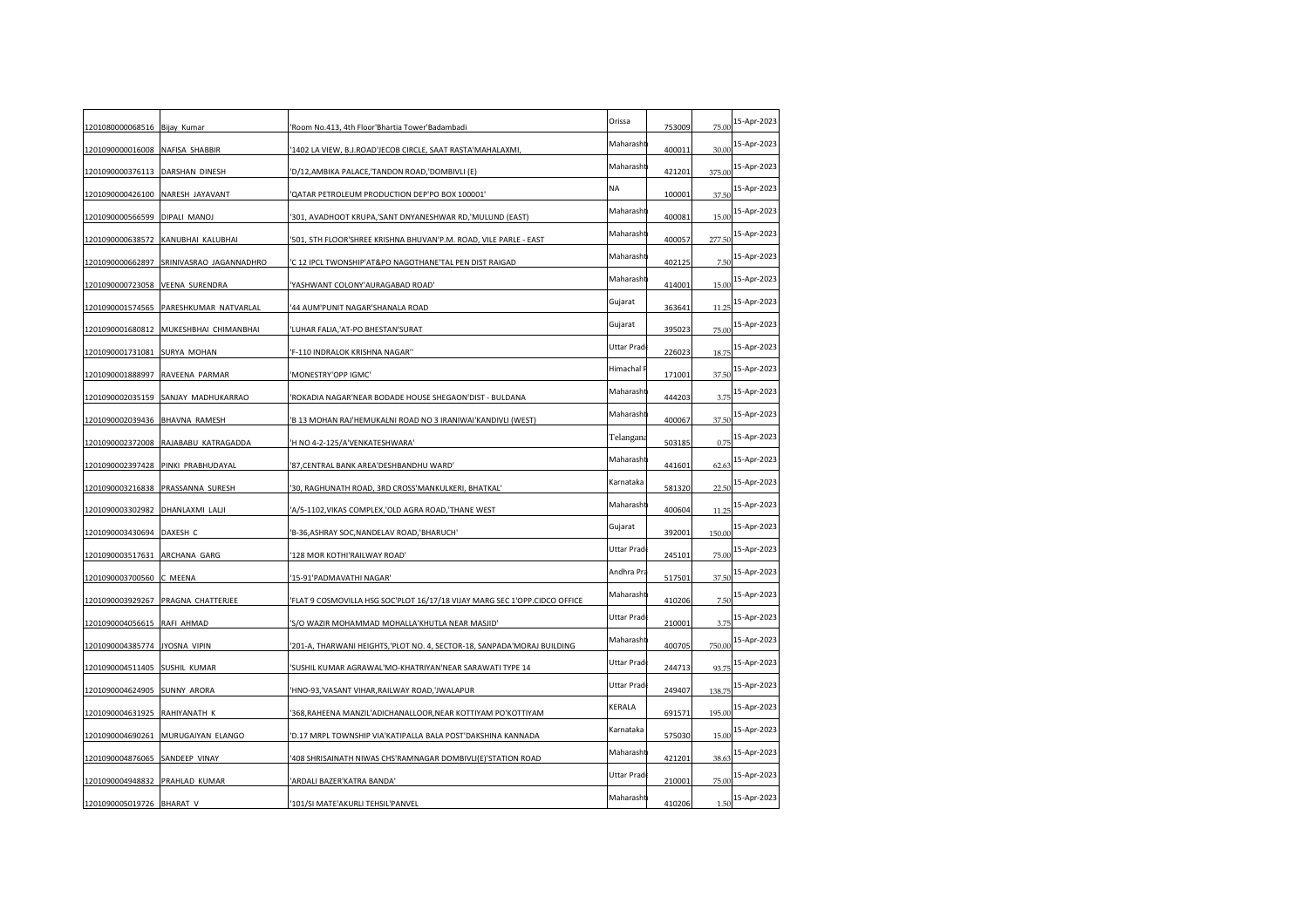| 1201080000068516 Bijay Kumar     |                                        | 'Room No.413, 4th Floor'Bhartia Tower'Badambadi                            | Orissa      | 753009 | 75.00  | 15-Apr-2023 |
|----------------------------------|----------------------------------------|----------------------------------------------------------------------------|-------------|--------|--------|-------------|
| 1201090000016008                 | <b>NAFISA SHABBIR</b>                  | '1402 LA VIEW, B.J.ROAD'JECOB CIRCLE, SAAT RASTA'MAHALAXMI                 | Maharasht   | 400011 | 30.00  | 15-Apr-2023 |
| 1201090000376113 DARSHAN DINESH  |                                        | 'D/12, AMBIKA PALACE, 'TANDON ROAD, 'DOMBIVLI (E)                          | Maharasht   | 421201 | 375.00 | 15-Apr-2023 |
| 1201090000426100                 | NARESH JAYAVANT                        | 'QATAR PETROLEUM PRODUCTION DEP'PO BOX 100001'                             | NA          | 100001 | 37.50  | 15-Apr-2023 |
| 1201090000566599 DIPALI MANOJ    |                                        | '301, AVADHOOT KRUPA,'SANT DNYANESHWAR RD,'MULUND (EAST)                   | Maharasht   | 400081 | 15.00  | 15-Apr-2023 |
|                                  | 1201090000638572 KANUBHAI KALUBHAI     | '501, 5TH FLOOR'SHREE KRISHNA BHUVAN'P.M. ROAD, VILE PARLE - EAST          | Maharasht   | 400057 | 277.50 | 15-Apr-2023 |
| 1201090000662897                 | SRINIVASRAO JAGANNADHRO                | 'C 12 IPCL TWONSHIP'AT&PO NAGOTHANE'TAL PEN DIST RAIGAD                    | Maharasht   | 402125 | 7.5(   | 15-Apr-2023 |
| 1201090000723058 VEENA SURENDRA  |                                        | 'YASHWANT COLONY'AURAGABAD ROAD'                                           | Maharasht   | 414001 | 15.00  | 15-Apr-2023 |
| 1201090001574565                 | PARESHKUMAR NATVARLAL                  | '44 AUM'PUNIT NAGAR'SHANALA ROAD                                           | Gujarat     | 363641 | 11.25  | 15-Apr-2023 |
|                                  | 1201090001680812 MUKESHBHAI CHIMANBHAI | 'LUHAR FALIA,'AT-PO BHESTAN'SURAT                                          | Gujarat     | 395023 | 75.00  | 15-Apr-2023 |
| 1201090001731081 SURYA MOHAN     |                                        | 'F-110 INDRALOK KRISHNA NAGAR"                                             | Uttar Prad  | 226023 | 18.75  | 15-Apr-2023 |
| 1201090001888997                 | RAVEENA PARMAR                         | 'MONESTRY'OPP IGMC'                                                        | Himachal I  | 171001 | 37.50  | 15-Apr-2023 |
| 1201090002035159                 | SANJAY MADHUKARRAO                     | 'ROKADIA NAGAR'NEAR BODADE HOUSE SHEGAON'DIST - BULDANA                    | Maharasht   | 444203 | 3.75   | 15-Apr-2023 |
| 1201090002039436                 | <b>BHAVNA RAMESH</b>                   | 'B 13 MOHAN RAJ'HEMUKALNI ROAD NO 3 IRANIWAI'KANDIVLI (WEST)               | Maharasht   | 400067 | 37.50  | 15-Apr-2023 |
|                                  | 1201090002372008 RAJABABU KATRAGADDA   | 'H NO 4-2-125/A'VENKATESHWARA'                                             | Telangana   | 503185 | 0.75   | 15-Apr-2023 |
|                                  | 1201090002397428 PINKI PRABHUDAYAL     | '87, CENTRAL BANK AREA' DESHBANDHU WARD'                                   | Maharasht   | 441601 | 62.63  | 15-Apr-2023 |
|                                  | 1201090003216838 PRASSANNA SURESH      | '30, RAGHUNATH ROAD, 3RD CROSS'MANKULKERI, BHATKAL'                        | Karnataka   | 581320 | 22.5(  | 15-Apr-2023 |
| 1201090003302982 DHANLAXMI LALJI |                                        | 'A/5-1102,VIKAS COMPLEX,'OLD AGRA ROAD,'THANE WEST                         | Maharasht   | 400604 | 11.25  | 15-Apr-2023 |
| 1201090003430694 DAXESH C        |                                        | 'B-36, ASHRAY SOC, NANDELAV ROAD, 'BHARUCH'                                | Gujarat     | 392001 | 150.00 | 15-Apr-2023 |
| 1201090003517631 ARCHANA GARG    |                                        | '128 MOR KOTHI'RAILWAY ROAD'                                               | Uttar Prad  | 245101 | 75.00  | 15-Apr-2023 |
| 1201090003700560 C MEENA         |                                        | '15-91'PADMAVATHI NAGAR'                                                   | Andhra Pra  | 517501 | 37.50  | 15-Apr-2023 |
|                                  | 1201090003929267 PRAGNA CHATTERJEE     | 'FLAT 9 COSMOVILLA HSG SOC'PLOT 16/17/18 VIJAY MARG SEC 1'OPP.CIDCO OFFICE | Maharasht   | 410206 | 7.50   | 15-Apr-2023 |
| 1201090004056615 RAFI AHMAD      |                                        | 'S/O WAZIR MOHAMMAD MOHALLA'KHUTLA NEAR MASJID'                            | Uttar Pradı | 210001 | 3.75   | 15-Apr-2023 |
| 1201090004385774                 | JYOSNA VIPIN                           | '201-A, THARWANI HEIGHTS, 'PLOT NO. 4, SECTOR-18, SANPADA'MORAJ BUILDING   | Maharasht   | 400705 | 750.00 | 15-Apr-2023 |
| 1201090004511405 SUSHIL KUMAR    |                                        | 'SUSHIL KUMAR AGRAWAL'MO-KHATRIYAN'NEAR SARAWATI TYPE 14                   | Uttar Prad  | 244713 | 93.75  | 15-Apr-2023 |
| 1201090004624905 SUNNY ARORA     |                                        | 'HNO-93,'VASANT VIHAR, RAILWAY ROAD, 'JWALAPUR                             | Uttar Prad  | 249407 | 138.75 | 15-Apr-2023 |
| 1201090004631925                 | RAHIYANATH K                           | '368, RAHEENA MANZIL'ADICHANALLOOR, NEAR KOTTIYAM PO'KOTTIYAM              | KERALA      | 691571 | 195.00 | 15-Apr-2023 |
| 1201090004690261                 | MURUGAIYAN ELANGO                      | 'D.17 MRPL TOWNSHIP VIA'KATIPALLA BALA POST'DAKSHINA KANNADA               | Karnataka   | 575030 | 15.00  | 15-Apr-2023 |
| 1201090004876065                 | SANDEEP VINAY                          | 408 SHRISAINATH NIWAS CHS'RAMNAGAR DOMBIVLI(E)'STATION ROAD                | Maharasht   | 421201 | 38.63  | 15-Apr-2023 |
| 1201090004948832 PRAHLAD KUMAR   |                                        | 'ARDALI BAZER'KATRA BANDA'                                                 | Uttar Prad  | 210001 | 75.00  | 15-Apr-2023 |
| 1201090005019726 BHARAT V        |                                        | '101/SI MATE'AKURLI TEHSIL'PANVEL                                          | Maharasht   | 410206 | 1.50   | 15-Apr-2023 |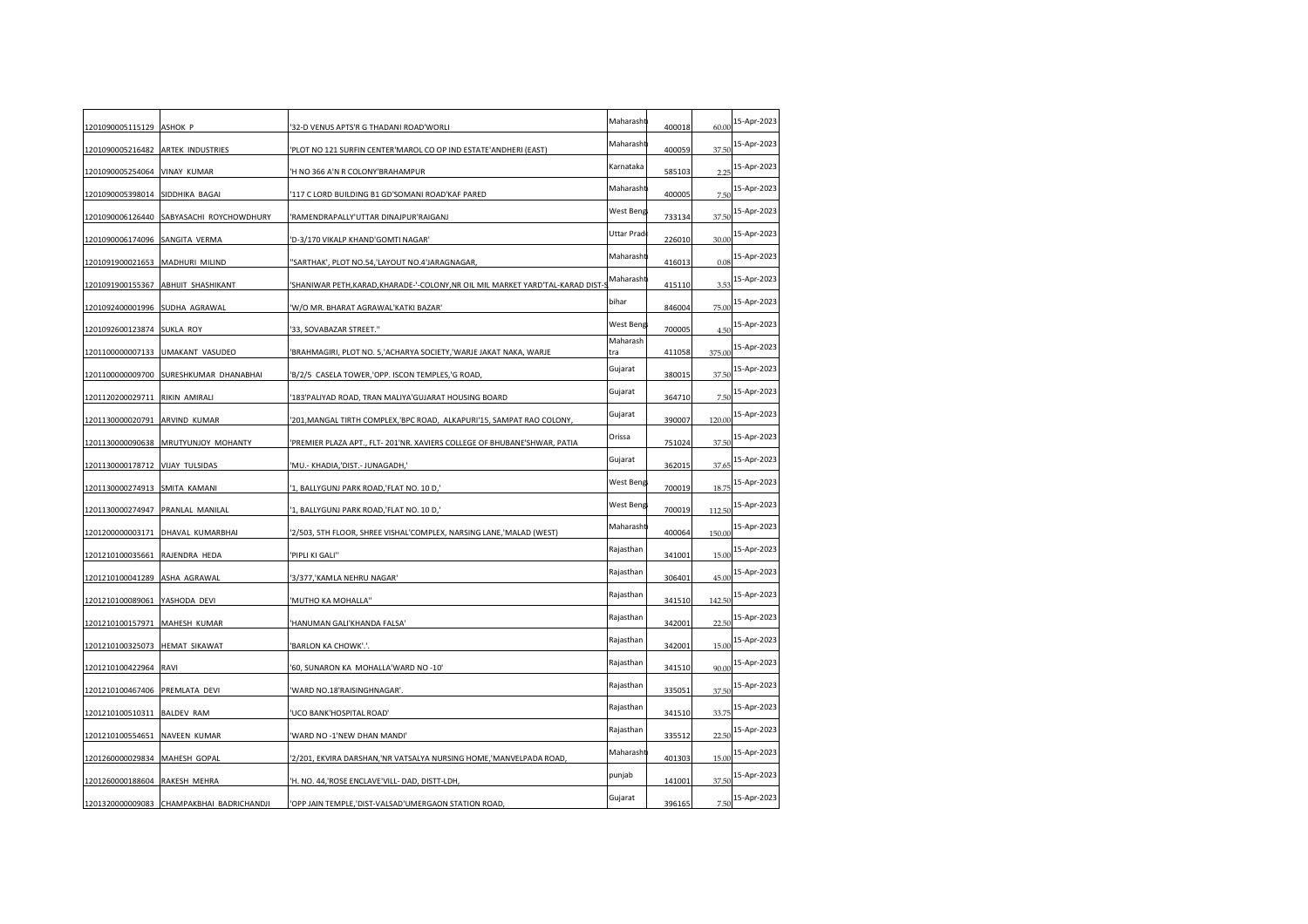| 1201090005115129 ASHOK P        |                                           | '32-D VENUS APTS'R G THADANI ROAD'WORLI                                     | Maharasht       | 400018 | 60.00  | 15-Apr-2023 |
|---------------------------------|-------------------------------------------|-----------------------------------------------------------------------------|-----------------|--------|--------|-------------|
| 1201090005216482                | <b>ARTEK INDUSTRIES</b>                   | 'PLOT NO 121 SURFIN CENTER'MAROL CO OP IND ESTATE'ANDHERI (EAST)            | Maharasht       | 400059 | 37.50  | 15-Apr-2023 |
| 1201090005254064                | <b>VINAY KUMAR</b>                        | 'H NO 366 A'N R COLONY'BRAHAMPUR                                            | Karnataka       | 585103 | 2.25   | 15-Apr-2023 |
| 1201090005398014                | SIDDHIKA BAGAI                            | '117 C LORD BUILDING B1 GD'SOMANI ROAD'KAF PARED                            | Maharasht       | 400005 | 7.50   | 15-Apr-2023 |
|                                 | 1201090006126440 SABYASACHI ROYCHOWDHURY  | 'RAMENDRAPALLY'UTTAR DINAJPUR'RAIGANJ                                       | West Beng       | 733134 | 37.50  | 15-Apr-2023 |
| 1201090006174096 SANGITA VERMA  |                                           | 'D-3/170 VIKALP KHAND'GOMTI NAGAR'                                          | Uttar Prad      | 226010 | 30.00  | 15-Apr-2023 |
| 1201091900021653                | MADHURI MILIND                            | 'SARTHAK', PLOT NO.54,'LAYOUT NO.4'JARAGNAGAR                               | Maharasht       | 416013 | 0.08   | 15-Apr-2023 |
| 1201091900155367                | ABHIJIT SHASHIKANT                        | 'SHANIWAR PETH,KARAD,KHARADE-'-COLONY,NR OIL MIL MARKET YARD'TAL-KARAD DIST | Maharasht       | 415110 | 3.53   | 15-Apr-2023 |
| 1201092400001996 SUDHA AGRAWAL  |                                           | 'W/O MR. BHARAT AGRAWAL'KATKI BAZAR'                                        | bihar           | 846004 | 75.00  | 15-Apr-2023 |
| 1201092600123874 SUKLA ROY      |                                           | '33, SOVABAZAR STREET."                                                     | West Beng       | 700005 | 4.50   | 15-Apr-2023 |
|                                 | 1201100000007133 UMAKANT VASUDEO          | 'BRAHMAGIRI, PLOT NO. 5, ACHARYA SOCIETY, 'WARJE JAKAT NAKA, WARJE          | Maharash<br>tra | 411058 | 375.00 | 15-Apr-2023 |
|                                 | 1201100000009700 SURESHKUMAR DHANABHAI    | 'B/2/5 CASELA TOWER,'OPP. ISCON TEMPLES,'G ROAD,                            | Gujarat         | 380015 | 37.50  | 15-Apr-2023 |
| 1201120200029711                | RIKIN AMIRALI                             | '183'PALIYAD ROAD, TRAN MALIYA'GUJARAT HOUSING BOARD                        | Gujarat         | 364710 | 7.5(   | 15-Apr-2023 |
| 1201130000020791                | ARVIND KUMAR                              | '201, MANGAL TIRTH COMPLEX, 'BPC ROAD, ALKAPURI'15, SAMPAT RAO COLONY,      | Gujarat         | 390007 | 120.00 | 15-Apr-2023 |
|                                 | 1201130000090638 MRUTYUNJOY MOHANTY       | 'PREMIER PLAZA APT., FLT- 201'NR. XAVIERS COLLEGE OF BHUBANE'SHWAR, PATIA   | Orissa          | 751024 | 37.50  | 15-Apr-2023 |
| 1201130000178712 VIJAY TULSIDAS |                                           | 'MU.- KHADIA,'DIST.- JUNAGADH,'                                             | Gujarat         | 362015 | 37.65  | 15-Apr-2023 |
| 1201130000274913                | SMITA KAMANI                              | '1, BALLYGUNJ PARK ROAD,'FLAT NO. 10 D,'                                    | West Beng       | 700019 | 18.75  | 15-Apr-2023 |
| 1201130000274947                | PRANLAL MANILAL                           | '1, BALLYGUNJ PARK ROAD,'FLAT NO. 10 D,'                                    | West Beng       | 700019 | 112.50 | 15-Apr-2023 |
| 1201200000003171                | DHAVAL KUMARBHAI                          | '2/503, 5TH FLOOR, SHREE VISHAL'COMPLEX, NARSING LANE,'MALAD (WEST)         | Maharasht       | 400064 | 150.00 | 15-Apr-2023 |
| 1201210100035661 RAJENDRA HEDA  |                                           | 'PIPLI KI GALI"                                                             | Rajasthan       | 341001 | 15.00  | 15-Apr-2023 |
| 1201210100041289 ASHA AGRAWAL   |                                           | '3/377,'KAMLA NEHRU NAGAR'                                                  | Rajasthan       | 306401 | 45.00  | 15-Apr-2023 |
| 1201210100089061 YASHODA DEVI   |                                           | 'MUTHO KA MOHALLA"                                                          | Rajasthan       | 341510 | 142.50 | 15-Apr-2023 |
| 1201210100157971                | MAHESH KUMAR                              | 'HANUMAN GALI'KHANDA FALSA'                                                 | Rajasthan       | 342001 | 22.5(  | 15-Apr-2023 |
| 1201210100325073                | <b>HEMAT SIKAWAT</b>                      | 'BARLON KA CHOWK'.'.                                                        | Rajasthan       | 342001 | 15.00  | 15-Apr-2023 |
| 1201210100422964                | <b>RAVI</b>                               | '60, SUNARON KA MOHALLA'WARD NO -10'                                        | Rajasthan       | 341510 | 90.00  | 15-Apr-2023 |
| 1201210100467406 PREMLATA DEVI  |                                           | 'WARD NO.18'RAISINGHNAGAR'.                                                 | Rajasthan       | 335051 | 37.50  | 15-Apr-2023 |
| 1201210100510311 BALDEV RAM     |                                           | 'UCO BANK'HOSPITAL ROAD'                                                    | Rajasthan       | 341510 | 33.75  | 15-Apr-2023 |
| 1201210100554651                | NAVEEN KUMAR                              | 'WARD NO -1'NEW DHAN MANDI'                                                 | Rajasthan       | 335512 | 22.5(  | 15-Apr-2023 |
| 1201260000029834                | MAHESH GOPAL                              | '2/201, EKVIRA DARSHAN,'NR VATSALYA NURSING HOME,'MANVELPADA ROAD           | Maharasht       | 401303 | 15.00  | 15-Apr-2023 |
| 1201260000188604 RAKESH MEHRA   |                                           | 'H. NO. 44, ROSE ENCLAVE'VILL- DAD, DISTT-LDH,                              | punjab          | 141001 | 37.50  | 15-Apr-2023 |
|                                 | 1201320000009083 CHAMPAKBHAI BADRICHANDJI | 'OPP JAIN TEMPLE, 'DIST-VALSAD'UMERGAON STATION ROAD,                       | Gujarat         | 396165 | 7.50   | 15-Apr-2023 |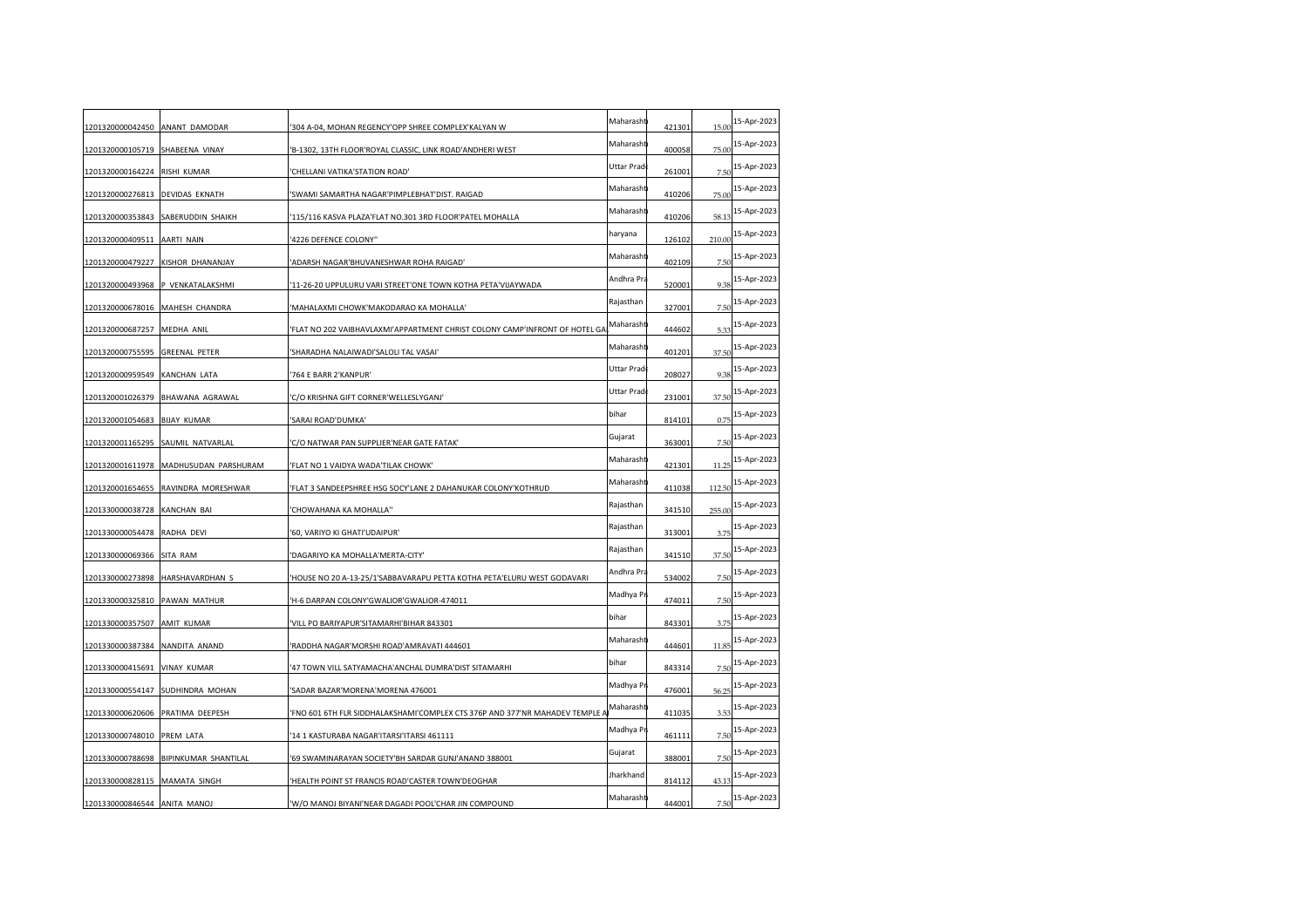| 1201320000042450 ANANT DAMODAR   |                                       | 304 A-04, MOHAN REGENCY'OPP SHREE COMPLEX'KALYAN W                          | Maharasht  | 421301 | 15.00  | 15-Apr-2023 |
|----------------------------------|---------------------------------------|-----------------------------------------------------------------------------|------------|--------|--------|-------------|
| 1201320000105719                 | SHABEENA VINAY                        | B-1302, 13TH FLOOR'ROYAL CLASSIC, LINK ROAD'ANDHERI WEST                    | Maharasht  | 400058 | 75.00  | 15-Apr-2023 |
| 1201320000164224                 | <b>RISHI KUMAR</b>                    | CHELLANI VATIKA'STATION ROAD'                                               | Uttar Prad | 261001 | 7.5(   | 15-Apr-2023 |
| 1201320000276813 DEVIDAS EKNATH  |                                       | 'SWAMI SAMARTHA NAGAR'PIMPLEBHAT'DIST. RAIGAD                               | Maharasht  | 410206 | 75.00  | 15-Apr-2023 |
|                                  | 1201320000353843 SABERUDDIN SHAIKH    | 115/116 KASVA PLAZA'FLAT NO.301 3RD FLOOR'PATEL MOHALLA                     | Maharasht  | 410206 | 58.13  | 15-Apr-2023 |
| 1201320000409511 AARTI NAIN      |                                       | 4226 DEFENCE COLONY"                                                        | haryana    | 126102 | 210.00 | 15-Apr-2023 |
| 1201320000479227                 | KISHOR DHANANJAY                      | ADARSH NAGAR'BHUVANESHWAR ROHA RAIGAD'                                      | Maharasht  | 402109 | 7.50   | 15-Apr-2023 |
|                                  | 1201320000493968 P VENKATALAKSHMI     | 11-26-20 UPPULURU VARI STREET'ONE TOWN KOTHA PETA'VIJAYWADA                 | Andhra Pra | 520001 | 9.38   | 15-Apr-2023 |
|                                  | 1201320000678016 MAHESH CHANDRA       | 'MAHALAXMI CHOWK'MAKODARAO KA MOHALLA'                                      | Rajasthan  | 327001 | 7.50   | 15-Apr-2023 |
| 1201320000687257 MEDHA ANIL      |                                       | 'FLAT NO 202 VAIBHAVLAXMI'APPARTMENT CHRIST COLONY CAMP'INFRONT OF HOTEL GA | Maharasht  | 444602 | 5.33   | 15-Apr-2023 |
| 1201320000755595 GREENAL PETER   |                                       | 'SHARADHA NALAIWADI'SALOLI TAL VASAI'                                       | Maharasht  | 401201 | 37.50  | 15-Apr-2023 |
| 1201320000959549                 | KANCHAN LATA                          | '764 E BARR 2'KANPUR'                                                       | Uttar Prad | 208027 | 9.38   | 15-Apr-2023 |
|                                  | 1201320001026379 BHAWANA AGRAWAL      | 'C/O KRISHNA GIFT CORNER'WELLESLYGANJ'                                      | Uttar Prad | 231001 | 37.50  | 15-Apr-2023 |
| 1201320001054683 BIJAY KUMAR     |                                       | 'SARAI ROAD'DUMKA'                                                          | bihar      | 814101 | 0.75   | 15-Apr-2023 |
|                                  | 1201320001165295 SAUMIL NATVARLAL     | C/O NATWAR PAN SUPPLIER'NEAR GATE FATAK'                                    | Gujarat    | 363001 | 7.50   | 15-Apr-2023 |
|                                  | 1201320001611978 MADHUSUDAN PARSHURAM | 'FLAT NO 1 VAIDYA WADA'TILAK CHOWK'                                         | Maharasht  | 421301 | 11.25  | 15-Apr-2023 |
|                                  | 1201320001654655 RAVINDRA MORESHWAR   | FLAT 3 SANDEEPSHREE HSG SOCY'LANE 2 DAHANUKAR COLONY'KOTHRUD                | Maharasht  | 411038 | 112.50 | 15-Apr-2023 |
| 1201330000038728 KANCHAN BAI     |                                       | CHOWAHANA KA MOHALLA"                                                       | Rajasthan  | 341510 | 255.00 | 15-Apr-2023 |
| 1201330000054478                 | RADHA DEVI                            | '60, VARIYO KI GHATI'UDAIPUR'                                               | Rajasthan  | 313001 | 3.75   | 15-Apr-2023 |
| 1201330000069366 SITA RAM        |                                       | 'DAGARIYO KA MOHALLA'MERTA-CITY'                                            | Rajasthan  | 341510 | 37.50  | 15-Apr-2023 |
|                                  | 1201330000273898 HARSHAVARDHAN S      | 'HOUSE NO 20 A-13-25/1'SABBAVARAPU PETTA KOTHA PETA'ELURU WEST GODAVARI     | Andhra Pra | 534002 | 7.50   | 15-Apr-2023 |
| 1201330000325810 PAWAN MATHUR    |                                       | H-6 DARPAN COLONY'GWALIOR'GWALIOR-474011                                    | Madhya Pr  | 474011 | 7.50   | 15-Apr-2023 |
| 1201330000357507                 | <b>AMIT KUMAR</b>                     | VILL PO BARIYAPUR'SITAMARHI'BIHAR 843301                                    | bihar      | 843301 | 3.75   | 15-Apr-2023 |
| 1201330000387384                 | NANDITA ANAND                         | RADDHA NAGAR'MORSHI ROAD'AMRAVATI 444601                                    | Maharasht  | 444601 | 11.85  | 15-Apr-2023 |
| 1201330000415691 VINAY KUMAR     |                                       | 47 TOWN VILL SATYAMACHA'ANCHAL DUMRA'DIST SITAMARHI                         | bihar      | 843314 | 7.50   | 15-Apr-2023 |
|                                  | 1201330000554147 SUDHINDRA MOHAN      | 'SADAR BAZAR'MORENA'MORENA 476001                                           | Madhya Pr  | 476001 | 56.25  | 15-Apr-2023 |
| 1201330000620606 PRATIMA DEEPESH |                                       | 'FNO 601 6TH FLR SIDDHALAKSHAMI'COMPLEX CTS 376P AND 377'NR MAHADEV TEMPLE. | Maharasht  | 411035 | 3.53   | 15-Apr-2023 |
| 1201330000748010                 | PREM LATA                             | 14 1 KASTURABA NAGAR'ITARSI'ITARSI 461111                                   | Madhya Pr  | 461111 | 7.50   | 15-Apr-2023 |
| 1201330000788698                 | BIPINKUMAR SHANTILAL                  | '69 SWAMINARAYAN SOCIETY'BH SARDAR GUNJ'ANAND 388001                        | Gujarat    | 388001 | 7.50   | 15-Apr-2023 |
| 1201330000828115 MAMATA SINGH    |                                       | 'HEALTH POINT ST FRANCIS ROAD'CASTER TOWN'DEOGHAR                           | Jharkhand  | 814112 | 43.13  | 15-Apr-2023 |
| 1201330000846544 ANITA MANOJ     |                                       | 'W/O MANOJ BIYANI'NEAR DAGADI POOL'CHAR JIN COMPOUND                        | Maharasht  | 444001 | 7.50   | 15-Apr-2023 |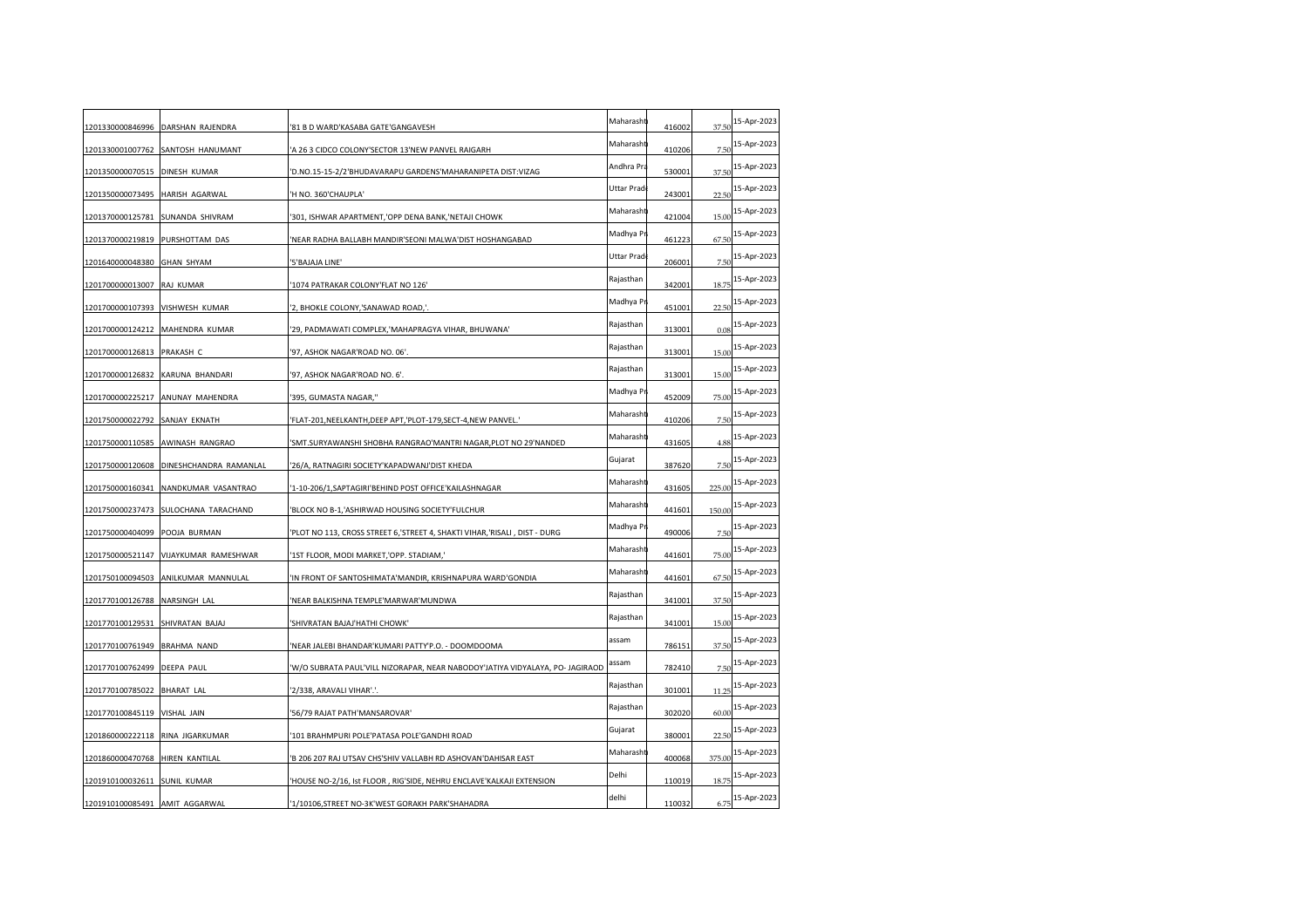|                                  | 1201330000846996 DARSHAN RAJENDRA       | '81 B D WARD'KASABA GATE'GANGAVESH                                            | Maharasht  | 416002 | 37.50  | 15-Apr-2023 |
|----------------------------------|-----------------------------------------|-------------------------------------------------------------------------------|------------|--------|--------|-------------|
| 1201330001007762                 | SANTOSH HANUMANT                        | 'A 26 3 CIDCO COLONY'SECTOR 13'NEW PANVEL RAIGARH                             | Maharasht  | 410206 | 7.5(   | 15-Apr-2023 |
| 1201350000070515 DINESH KUMAR    |                                         | 'D.NO.15-15-2/2'BHUDAVARAPU GARDENS'MAHARANIPETA DIST:VIZAG                   | Andhra Pra | 530001 | 37.50  | 15-Apr-2023 |
| 1201350000073495                 | HARISH AGARWAL                          | 'H NO. 360'CHAUPLA'                                                           | Uttar Prad | 243001 | 22.5(  | 15-Apr-2023 |
| 1201370000125781                 | SUNANDA SHIVRAM                         | 301, ISHWAR APARTMENT, OPP DENA BANK, 'NETAJI CHOWK                           | Maharasht  | 421004 | 15.00  | 15-Apr-2023 |
| 1201370000219819 PURSHOTTAM DAS  |                                         | 'NEAR RADHA BALLABH MANDIR'SEONI MALWA'DIST HOSHANGABAD                       | Madhya Pi  | 461223 | 67.50  | 15-Apr-2023 |
| 1201640000048380 GHAN SHYAM      |                                         | '5' BAJAJA LINE'                                                              | Uttar Prad | 206001 | 7.50   | 15-Apr-2023 |
| 1201700000013007 RAJ KUMAR       |                                         | 1074 PATRAKAR COLONY'FLAT NO 126'                                             | Rajasthan  | 342001 | 18.75  | 15-Apr-2023 |
| 1201700000107393                 | VISHWESH KUMAR                          | '2, BHOKLE COLONY,'SANAWAD ROAD,'                                             | Madhya Pr  | 451001 | 22.5(  | 15-Apr-2023 |
|                                  | 1201700000124212 MAHENDRA KUMAR         | '29, PADMAWATI COMPLEX, 'MAHAPRAGYA VIHAR, BHUWANA'                           | Rajasthan  | 313001 | 0.08   | 15-Apr-2023 |
| 1201700000126813 PRAKASH C       |                                         | '97, ASHOK NAGAR'ROAD NO. 06'.                                                | Rajasthan  | 313001 | 15.00  | 15-Apr-2023 |
| 1201700000126832                 | KARUNA BHANDARI                         | '97, ASHOK NAGAR'ROAD NO. 6'.                                                 | Rajasthan  | 313001 | 15.00  | 15-Apr-2023 |
| 1201700000225217                 | ANUNAY MAHENDRA                         | '395, GUMASTA NAGAR,"                                                         | Madhya Pr  | 452009 | 75.00  | 15-Apr-2023 |
| 1201750000022792                 | SANJAY EKNATH                           | 'FLAT-201, NEELKANTH, DEEP APT, 'PLOT-179, SECT-4, NEW PANVEL.'               | Maharasht  | 410206 | 7.5(   | 15-Apr-2023 |
|                                  | 1201750000110585 AWINASH RANGRAO        | 'SMT.SURYAWANSHI SHOBHA RANGRAO'MANTRI NAGAR, PLOT NO 29'NANDED               | Maharasht  | 431605 | 4.88   | 15-Apr-2023 |
|                                  | 1201750000120608 DINESHCHANDRA RAMANLAL | '26/A, RATNAGIRI SOCIETY'KAPADWANJ'DIST KHEDA                                 | Gujarat    | 387620 | 7.50   | 15-Apr-2023 |
| 1201750000160341                 | NANDKUMAR VASANTRAO                     | '1-10-206/1, SAPTAGIRI'BEHIND POST OFFICE'KAILASHNAGAR                        | Maharasht  | 431605 | 225.00 | 15-Apr-2023 |
| 1201750000237473                 | SULOCHANA TARACHAND                     | BLOCK NO B-1, ASHIRWAD HOUSING SOCIETY'FULCHUR'                               | Maharasht  | 441601 | 150.00 | 15-Apr-2023 |
| 1201750000404099                 | POOJA BURMAN                            | 'PLOT NO 113, CROSS STREET 6,'STREET 4, SHAKTI VIHAR,'RISALI, DIST - DURG     | Madhya Pr  | 490006 | 7.5(   | 15-Apr-2023 |
|                                  | 1201750000521147 VIJAYKUMAR RAMESHWAR   | '1ST FLOOR, MODI MARKET,'OPP. STADIAM,'                                       | Maharasht  | 441601 | 75.00  | 15-Apr-2023 |
|                                  | 1201750100094503 ANILKUMAR MANNULAL     | IN FRONT OF SANTOSHIMATA'MANDIR, KRISHNAPURA WARD'GONDIA                      | Maharasht  | 441601 | 67.50  | 15-Apr-2023 |
| 1201770100126788 NARSINGH LAL    |                                         | NEAR BALKISHNA TEMPLE'MARWAR'MUNDWA                                           | Rajasthan  | 341001 | 37.50  | 15-Apr-2023 |
| 1201770100129531                 | SHIVRATAN BAJAJ                         | 'SHIVRATAN BAJAJ'HATHI CHOWK'                                                 | Rajasthan  | 341001 | 15.00  | 15-Apr-2023 |
| 1201770100761949 BRAHMA NAND     |                                         | 'NEAR JALEBI BHANDAR'KUMARI PATTY'P.O. - DOOMDOOMA                            | assam      | 786151 | 37.50  | 15-Apr-2023 |
| 1201770100762499 DEEPA PAUL      |                                         | 'W/O SUBRATA PAUL'VILL NIZORAPAR, NEAR NABODOY'JATIYA VIDYALAYA, PO- JAGIRAOD | assam      | 782410 | 7.50   | 15-Apr-2023 |
| 1201770100785022 BHARAT LAL      |                                         | '2/338, ARAVALI VIHAR'.'.                                                     | Rajasthan  | 301001 | 11.25  | 15-Apr-2023 |
| 1201770100845119                 | VISHAL JAIN                             | '56/79 RAJAT PATH'MANSAROVAR'                                                 | Rajasthan  | 302020 | 60.00  | 15-Apr-2023 |
| 1201860000222118 RINA JIGARKUMAR |                                         | '101 BRAHMPURI POLE'PATASA POLE'GANDHI ROAD                                   | Gujarat    | 380001 | 22.5(  | 15-Apr-2023 |
| 1201860000470768 HIREN KANTILAL  |                                         | 'B 206 207 RAJ UTSAV CHS'SHIV VALLABH RD ASHOVAN'DAHISAR EAST                 | Maharasht  | 400068 | 375.00 | 15-Apr-2023 |
| 1201910100032611                 | <b>SUNIL KUMAR</b>                      | 'HOUSE NO-2/16, Ist FLOOR, RIG'SIDE, NEHRU ENCLAVE'KALKAJI EXTENSION          | Delhi      | 110019 | 18.75  | 15-Apr-2023 |
| 1201910100085491 AMIT AGGARWAL   |                                         | '1/10106, STREET NO-3K'WEST GORAKH PARK'SHAHADRA                              | delhi      | 110032 | 6.75   | 15-Apr-2023 |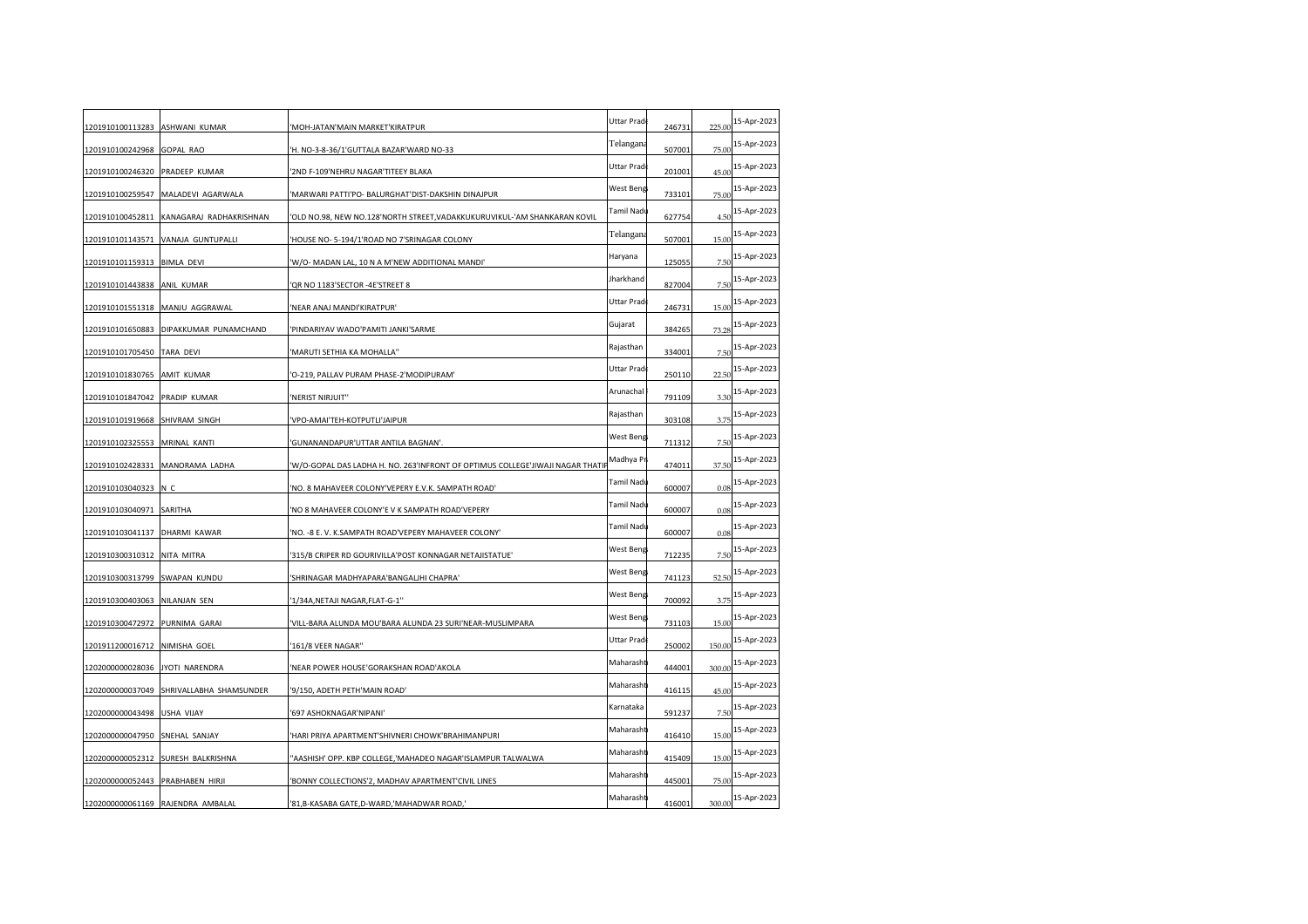| 1201910100113283 ASHWANI KUMAR   |                                          | 'MOH-JATAN'MAIN MARKET'KIRATPUR                                                | Uttar Prad | 246731 | 225.00 | 15-Apr-2023 |
|----------------------------------|------------------------------------------|--------------------------------------------------------------------------------|------------|--------|--------|-------------|
| 1201910100242968                 | GOPAL RAO                                | 'H. NO-3-8-36/1'GUTTALA BAZAR'WARD NO-33                                       | Telangana  | 507001 | 75.00  | 15-Apr-2023 |
| 1201910100246320                 | PRADEEP KUMAR                            | 2ND F-109'NEHRU NAGAR'TITEEY BLAKA                                             | Uttar Prad | 201001 | 45.00  | 15-Apr-2023 |
| 1201910100259547                 | MALADEVI AGARWALA                        | 'MARWARI PATTI'PO- BALURGHAT'DIST-DAKSHIN DINAJPUR                             | West Beng  | 733101 | 75.00  | 15-Apr-2023 |
| 1201910100452811                 | KANAGARAJ RADHAKRISHNAN                  | 'OLD NO.98, NEW NO.128'NORTH STREET,VADAKKUKURUVIKUL-'AM SHANKARAN KOVIL       | Tamil Nadı | 627754 | 4.50   | 15-Apr-2023 |
|                                  | 1201910101143571 VANAJA GUNTUPALLI       | HOUSE NO- 5-194/1'ROAD NO 7'SRINAGAR COLONY                                    | Telangana  | 507001 | 15.00  | 15-Apr-2023 |
| 1201910101159313 BIMLA DEVI      |                                          | 'W/O- MADAN LAL, 10 N A M'NEW ADDITIONAL MANDI'                                | Haryana    | 125055 | 7.50   | 15-Apr-2023 |
| 1201910101443838                 | ANIL KUMAR                               | 'QR NO 1183'SECTOR -4E'STREET 8                                                | Jharkhand  | 827004 | 7.5(   | 15-Apr-2023 |
| 1201910101551318 MANJU AGGRAWAL  |                                          | 'NEAR ANAJ MANDI'KIRATPUR'                                                     | Uttar Prad | 246731 | 15.00  | 15-Apr-2023 |
|                                  | 1201910101650883 DIPAKKUMAR PUNAMCHAND   | 'PINDARIYAV WADO'PAMITI JANKI'SARME                                            | Gujarat    | 384265 | 73.28  | 15-Apr-2023 |
| 1201910101705450 TARA DEVI       |                                          | 'MARUTI SETHIA KA MOHALLA"                                                     | Rajasthan  | 334001 | 7.50   | 15-Apr-2023 |
| 1201910101830765                 | AMIT KUMAR                               | 'O-219, PALLAV PURAM PHASE-2'MODIPURAM'                                        | Uttar Prad | 250110 | 22.5(  | 15-Apr-2023 |
| 1201910101847042                 | PRADIP KUMAR                             | 'NERIST NIRJUIT"                                                               | Arunachal  | 791109 | 3.3(   | 15-Apr-2023 |
| 1201910101919668                 | SHIVRAM SINGH                            | 'VPO-AMAI'TEH-KOTPUTLI'JAIPUR                                                  | Rajasthan  | 303108 | 3.75   | 15-Apr-2023 |
| 1201910102325553                 | MRINAL KANTI                             | 'GUNANANDAPUR'UTTAR ANTILA BAGNAN'.                                            | West Beng  | 711312 | 7.50   | 15-Apr-2023 |
|                                  | 1201910102428331 MANORAMA LADHA          | 'W/O-GOPAL DAS LADHA H. NO. 263'INFRONT OF OPTIMUS COLLEGE'JIWAJI NAGAR THATIF | Madhya Pi  | 474011 | 37.50  | 15-Apr-2023 |
| 1201910103040323 N C             |                                          | 'NO. 8 MAHAVEER COLONY'VEPERY E.V.K. SAMPATH ROAD'                             | Tamil Nadı | 600007 | 0.08   | 15-Apr-2023 |
| 1201910103040971                 | SARITHA                                  | 'NO 8 MAHAVEER COLONY'E V K SAMPATH ROAD'VEPERY                                | Tamil Nadı | 600007 | 0.08   | 15-Apr-2023 |
| 1201910103041137                 | DHARMI KAWAR                             | 'NO. -8 E.V. K.SAMPATH ROAD'VEPERY MAHAVEER COLONY'                            | Tamil Nadı | 600007 | 0.08   | 15-Apr-2023 |
| 1201910300310312                 | NITA MITRA                               | '315/B CRIPER RD GOURIVILLA'POST KONNAGAR NETAJISTATUE'                        | West Beng  | 712235 | 7.5(   | 15-Apr-2023 |
| 1201910300313799 SWAPAN KUNDU    |                                          | 'SHRINAGAR MADHYAPARA'BANGALJHI CHAPRA'                                        | West Beng  | 741123 | 52.50  | 15-Apr-2023 |
| 1201910300403063                 | NILANJAN SEN                             | '1/34A, NETAJI NAGAR, FLAT-G-1"                                                | West Beng  | 700092 | 3.75   | 15-Apr-2023 |
| 1201910300472972                 | PURNIMA GARAI                            | 'VILL-BARA ALUNDA MOU'BARA ALUNDA 23 SURI'NEAR-MUSLIMPARA                      | West Beng  | 731103 | 15.00  | 15-Apr-2023 |
| 1201911200016712 NIMISHA GOEL    |                                          | '161/8 VEER NAGAR"                                                             | Uttar Prad | 250002 | 150.00 | 15-Apr-2023 |
| 1202000000028036 JYOTI NARENDRA  |                                          | 'NEAR POWER HOUSE'GORAKSHAN ROAD'AKOLA                                         | Maharasht  | 444001 | 300.00 | 15-Apr-2023 |
|                                  | 1202000000037049 SHRIVALLABHA SHAMSUNDER | '9/150, ADETH PETH'MAIN ROAD'                                                  | Maharasht  | 416115 | 45.00  | 15-Apr-2023 |
| 1202000000043498                 | <b>USHA VIJAY</b>                        | '697 ASHOKNAGAR'NIPANI'                                                        | Karnataka  | 591237 | 7.50   | 15-Apr-2023 |
| 1202000000047950                 | SNEHAL SANJAY                            | 'HARI PRIYA APARTMENT'SHIVNERI CHOWK'BRAHIMANPURI                              | Maharasht  | 416410 | 15.00  | 15-Apr-2023 |
| 1202000000052312                 | SURESH BALKRISHNA                        | "AASHISH' OPP. KBP COLLEGE,'MAHADEO NAGAR'ISLAMPUR TALWALWA                    | Maharasht  | 415409 | 15.00  | 15-Apr-2023 |
| 1202000000052443 PRABHABEN HIRJI |                                          | 'BONNY COLLECTIONS'2, MADHAV APARTMENT'CIVIL LINES                             | Maharasht  | 445001 | 75.00  | 15-Apr-2023 |
|                                  | 1202000000061169 RAJENDRA AMBALAL        | '81,B-KASABA GATE,D-WARD,'MAHADWAR ROAD,'                                      | Maharasht  | 416001 | 300.00 | 15-Apr-2023 |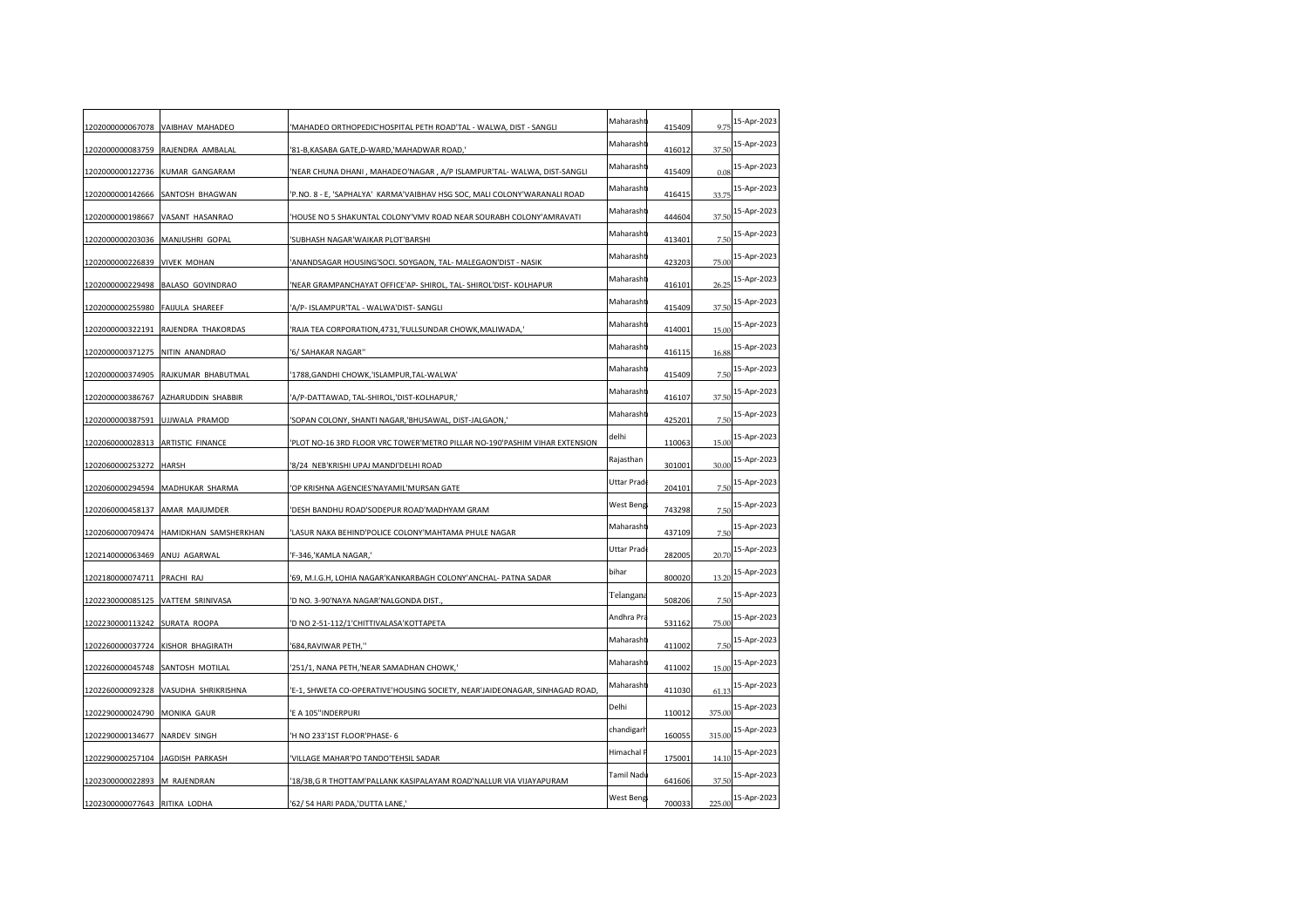|                                  | 1202000000067078 VAIBHAV MAHADEO     | 'MAHADEO ORTHOPEDIC'HOSPITAL PETH ROAD'TAL - WALWA, DIST - SANGLI          | Maharasht  | 415409 | 9.75   | 15-Apr-2023 |
|----------------------------------|--------------------------------------|----------------------------------------------------------------------------|------------|--------|--------|-------------|
| 1202000000083759                 | RAJENDRA AMBALAL                     | '81-B, KASABA GATE, D-WARD, 'MAHADWAR ROAD,'                               | Maharasht  | 416012 | 37.50  | 15-Apr-2023 |
| 1202000000122736                 | <b>KUMAR GANGARAM</b>                | 'NEAR CHUNA DHANI, MAHADEO'NAGAR, A/P ISLAMPUR'TAL-WALWA, DIST-SANGLI      | Maharasht  | 415409 | 0.08   | 15-Apr-2023 |
| 1202000000142666                 | SANTOSH BHAGWAN                      | 'P.NO. 8 - E, 'SAPHALYA' KARMA'VAIBHAV HSG SOC, MALI COLONY'WARANALI ROAD  | Maharasht  | 416415 | 33.75  | 15-Apr-2023 |
| 1202000000198667                 | VASANT HASANRAO                      | 'HOUSE NO 5 SHAKUNTAL COLONY'VMV ROAD NEAR SOURABH COLONY'AMRAVATI         | Maharasht  | 444604 | 37.50  | 15-Apr-2023 |
| 1202000000203036 MANJUSHRI GOPAL |                                      | 'SUBHASH NAGAR'WAIKAR PLOT'BARSHI                                          | Maharasht  | 413401 | 7.50   | 15-Apr-2023 |
| 1202000000226839 VIVEK MOHAN     |                                      | 'ANANDSAGAR HOUSING'SOCI. SOYGAON, TAL- MALEGAON'DIST - NASIK              | Maharasht  | 423203 | 75.00  | 15-Apr-2023 |
|                                  | 1202000000229498 BALASO GOVINDRAO    | NEAR GRAMPANCHAYAT OFFICE'AP- SHIROL, TAL- SHIROL'DIST- KOLHAPUR           | Maharasht  | 416101 | 26.25  | 15-Apr-2023 |
| 1202000000255980                 | <b>FAIJULA SHAREEF</b>               | 'A/P- ISLAMPUR'TAL - WALWA'DIST- SANGLI                                    | Maharasht  | 415409 | 37.50  | 15-Apr-2023 |
|                                  | 1202000000322191 RAJENDRA THAKORDAS  | 'RAJA TEA CORPORATION, 4731, 'FULLSUNDAR CHOWK, MALIWADA,'                 | Maharasht  | 414001 | 15.00  | 15-Apr-2023 |
| 1202000000371275 NITIN ANANDRAO  |                                      | '6/ SAHAKAR NAGAR"                                                         | Maharasht  | 416115 | 16.88  | 15-Apr-2023 |
| 1202000000374905                 | RAJKUMAR BHABUTMAL                   | '1788, GANDHI CHOWK, 'ISLAMPUR, TAL-WALWA'                                 | Maharasht  | 415409 | 7.50   | 15-Apr-2023 |
| 1202000000386767                 | AZHARUDDIN SHABBIR                   | 'A/P-DATTAWAD, TAL-SHIROL,'DIST-KOLHAPUR,'                                 | Maharasht  | 416107 | 37.50  | 15-Apr-2023 |
| 1202000000387591                 | UJJWALA PRAMOD                       | 'SOPAN COLONY, SHANTI NAGAR,'BHUSAWAL, DIST-JALGAON,                       | Maharasht  | 425201 | 7.5(   | 15-Apr-2023 |
| 1202060000028313                 | <b>ARTISTIC FINANCE</b>              | 'PLOT NO-16 3RD FLOOR VRC TOWER'METRO PILLAR NO-190'PASHIM VIHAR EXTENSION | delhi      | 110063 | 15.00  | 15-Apr-2023 |
| 1202060000253272 HARSH           |                                      | '8/24 NEB'KRISHI UPAJ MANDI'DELHI ROAD                                     | Rajasthan  | 301001 | 30.00  | 15-Apr-2023 |
| 1202060000294594                 | MADHUKAR SHARMA                      | 'OP KRISHNA AGENCIES'NAYAMIL'MURSAN GATE                                   | Uttar Prad | 204101 | 7.5(   | 15-Apr-2023 |
| 1202060000458137                 | AMAR MAJUMDER                        | 'DESH BANDHU ROAD'SODEPUR ROAD'MADHYAM GRAM                                | West Beng  | 743298 | 7.5(   | 15-Apr-2023 |
| 1202060000709474                 | HAMIDKHAN SAMSHERKHAN                | 'LASUR NAKA BEHIND'POLICE COLONY'MAHTAMA PHULE NAGAR                       | Maharasht  | 437109 | 7.5(   | 15-Apr-2023 |
| 1202140000063469                 | ANUJ AGARWAL                         | 'F-346,'KAMLA NAGAR,'                                                      | Uttar Prad | 282005 | 20.70  | 15-Apr-2023 |
| 1202180000074711 PRACHI RAJ      |                                      | '69, M.I.G.H, LOHIA NAGAR'KANKARBAGH COLONY'ANCHAL- PATNA SADAR            | bihar      | 800020 | 13.20  | 15-Apr-2023 |
| 1202230000085125                 | VATTEM SRINIVASA                     | 'D NO. 3-90'NAYA NAGAR'NALGONDA DIST.                                      | Telangana  | 508206 | 7.50   | 15-Apr-2023 |
| 1202230000113242                 | SURATA ROOPA                         | 'D NO 2-51-112/1'CHITTIVALASA'KOTTAPETA                                    | Andhra Pra | 531162 | 75.00  | 15-Apr-2023 |
| 1202260000037724                 | KISHOR BHAGIRATH                     | '684, RAVIWAR PETH,"                                                       | Maharasht  | 411002 | 7.5(   | 15-Apr-2023 |
| 1202260000045748 SANTOSH MOTILAL |                                      | '251/1, NANA PETH,'NEAR SAMADHAN CHOWK,'                                   | Maharasht  | 411002 | 15.00  | 15-Apr-2023 |
|                                  | 1202260000092328 VASUDHA SHRIKRISHNA | 'E-1, SHWETA CO-OPERATIVE'HOUSING SOCIETY, NEAR'JAIDEONAGAR, SINHAGAD ROAD | Maharasht  | 411030 | 61.13  | 15-Apr-2023 |
| 1202290000024790                 | MONIKA GAUR                          | 'E A 105"INDERPURI                                                         | Delhi      | 110012 | 375.00 | 15-Apr-2023 |
| 1202290000134677                 | NARDEV SINGH                         | 'H NO 233'1ST FLOOR'PHASE- 6                                               | chandigarh | 160055 | 315.00 | 15-Apr-2023 |
| 1202290000257104                 | JAGDISH PARKASH                      | 'VILLAGE MAHAR'PO TANDO'TEHSIL SADAR                                       | Himachal F | 175001 | 14.10  | 15-Apr-2023 |
| 1202300000022893 M RAJENDRAN     |                                      | '18/3B, G R THOTTAM' PALLANK KASIPALAYAM ROAD' NALLUR VIA VIJAYAPURAM      | Tamil Nadı | 641606 | 37.50  | 15-Apr-2023 |
| 1202300000077643 RITIKA LODHA    |                                      | '62/54 HARI PADA,'DUTTA LANE,'                                             | West Beng  | 700033 | 225.00 | 15-Apr-2023 |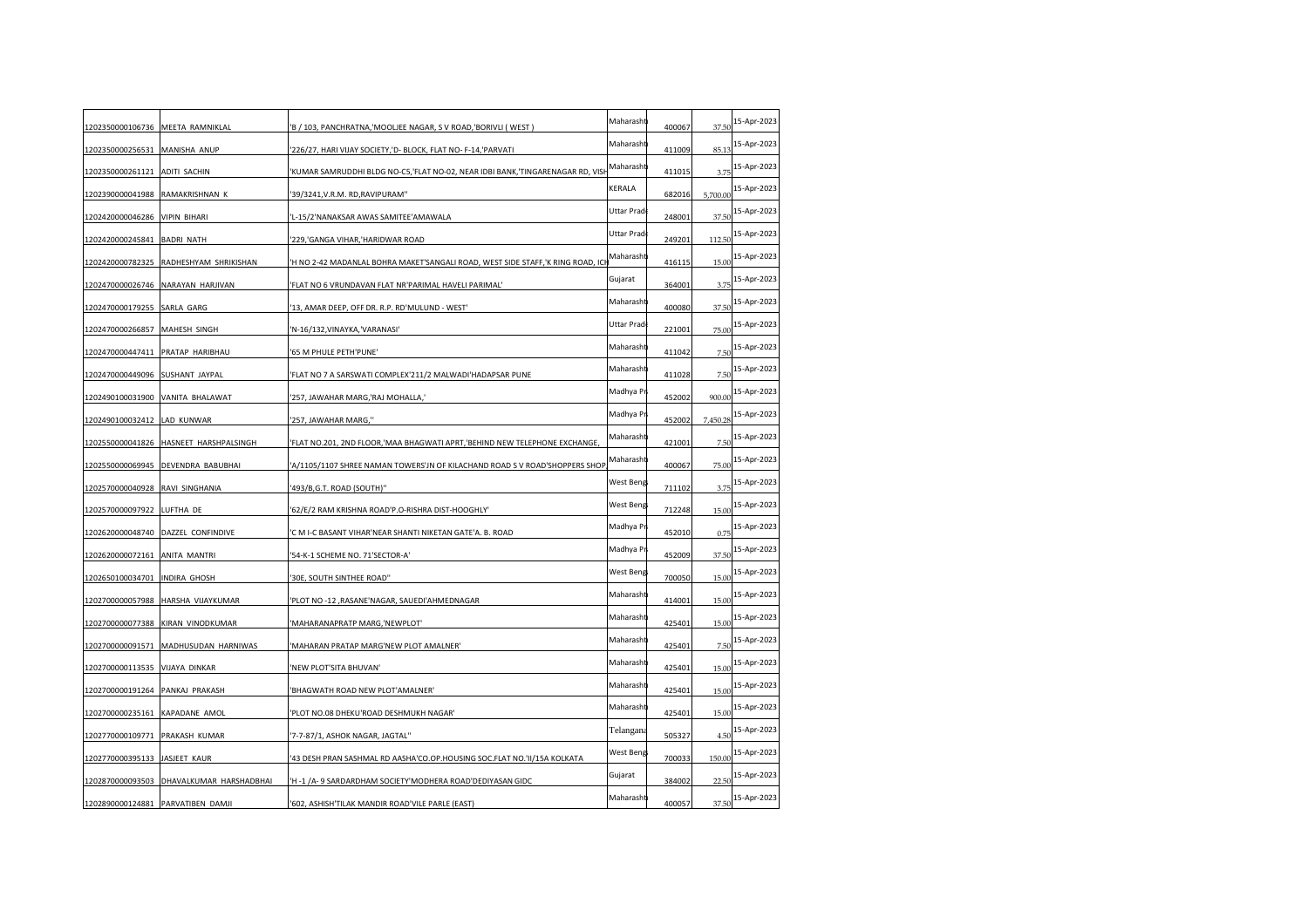| 1202350000106736 MEETA RAMNIKLAL  |                                          | 'B / 103, PANCHRATNA,'MOOLJEE NAGAR, S V ROAD,'BORIVLI (WEST)                  | Maharasht  | 400067 | 37.50    | 15-Apr-2023 |
|-----------------------------------|------------------------------------------|--------------------------------------------------------------------------------|------------|--------|----------|-------------|
| 1202350000256531                  | MANISHA ANUP                             | '226/27, HARI VIJAY SOCIETY,'D- BLOCK, FLAT NO-F-14,'PARVATI                   | Maharasht  | 411009 | 85.13    | 15-Apr-2023 |
| 1202350000261121                  | <b>ADITI SACHIN</b>                      | 'KUMAR SAMRUDDHI BLDG NO-C5,'FLAT NO-02, NEAR IDBI BANK,'TINGARENAGAR RD, VISI | Maharasht  | 411015 | 3.7      | 15-Apr-2023 |
| 1202390000041988                  | RAMAKRISHNAN K                           | '39/3241, V.R.M. RD, RAVIPURAM''                                               | KERALA     | 682016 | 5,700.00 | 15-Apr-2023 |
| 1202420000046286                  | <b>VIPIN BIHARI</b>                      | 'L-15/2'NANAKSAR AWAS SAMITEE'AMAWALA                                          | Uttar Prad | 248001 | 37.50    | 15-Apr-2023 |
| 1202420000245841 BADRI NATH       |                                          | '229,'GANGA VIHAR,'HARIDWAR ROAD                                               | Uttar Prad | 249201 | 112.50   | 15-Apr-2023 |
| 1202420000782325                  | RADHESHYAM SHRIKISHAN                    | 'H NO 2-42 MADANLAL BOHRA MAKET'SANGALI ROAD, WEST SIDE STAFF,'K RING ROAD, IC | Maharasht  | 416115 | 15.00    | 15-Apr-2023 |
|                                   | 1202470000026746 NARAYAN HARJIVAN        | 'FLAT NO 6 VRUNDAVAN FLAT NR'PARIMAL HAVELI PARIMAL'                           | Gujarat    | 364001 | 3.75     | 15-Apr-2023 |
| 1202470000179255                  | SARLA GARG                               | '13, AMAR DEEP, OFF DR. R.P. RD'MULUND - WEST'                                 | Maharasht  | 400080 | 37.50    | 15-Apr-2023 |
| 1202470000266857 MAHESH SINGH     |                                          | 'N-16/132, VINAYKA, 'VARANASI'                                                 | Uttar Prad | 221001 | 75.00    | 15-Apr-2023 |
| 1202470000447411 PRATAP HARIBHAU  |                                          | '65 M PHULE PETH'PUNE'                                                         | Maharasht  | 411042 | 7.50     | 15-Apr-2023 |
| 1202470000449096                  | SUSHANT JAYPAL                           | 'FLAT NO 7 A SARSWATI COMPLEX'211/2 MALWADI'HADAPSAR PUNE                      | Maharasht  | 411028 | 7.50     | 15-Apr-2023 |
| 1202490100031900                  | VANITA BHALAWAT                          | '257, JAWAHAR MARG,'RAJ MOHALLA,'                                              | Madhya Pr  | 452002 | 900.00   | 15-Apr-2023 |
| 1202490100032412                  | LAD KUNWAR                               | '257, JAWAHAR MARG,"                                                           | Madhya Pr  | 452002 | 7,450.28 | 15-Apr-2023 |
|                                   | 1202550000041826 HASNEET HARSHPALSINGH   | 'FLAT NO.201, 2ND FLOOR,'MAA BHAGWATI APRT,'BEHIND NEW TELEPHONE EXCHANGE      | Maharasht  | 421001 | 7.50     | 15-Apr-2023 |
|                                   | 1202550000069945 DEVENDRA BABUBHAI       | 'A/1105/1107 SHREE NAMAN TOWERS'JN OF KILACHAND ROAD S V ROAD'SHOPPERS SHOP    | Maharasht  | 400067 | 75.00    | 15-Apr-2023 |
| 1202570000040928                  | RAVI SINGHANIA                           | '493/B, G.T. ROAD (SOUTH)"                                                     | West Beng  | 711102 | 3.75     | 15-Apr-2023 |
| 1202570000097922                  | LUFTHA DE                                | '62/E/2 RAM KRISHNA ROAD'P.O-RISHRA DIST-HOOGHLY'                              | West Beng  | 712248 | 15.00    | 15-Apr-2023 |
| 1202620000048740                  | DAZZEL CONFINDIVE                        | 'C M I-C BASANT VIHAR'NEAR SHANTI NIKETAN GATE'A. B. ROAD                      | Madhya Pr  | 452010 | 0.75     | 15-Apr-2023 |
| 1202620000072161                  | ANITA MANTRI                             | '54-K-1 SCHEME NO. 71'SECTOR-A'                                                | Madhya Pr  | 452009 | 37.50    | 15-Apr-2023 |
| 1202650100034701 INDIRA GHOSH     |                                          | '30E, SOUTH SINTHEE ROAD"                                                      | West Beng  | 700050 | 15.00    | 15-Apr-2023 |
| 1202700000057988                  | HARSHA VIJAYKUMAR                        | 'PLOT NO -12, RASANE'NAGAR, SAUEDI'AHMEDNAGAR                                  | Maharasht  | 414001 | 15.00    | 15-Apr-2023 |
| 1202700000077388                  | KIRAN VINODKUMAR                         | 'MAHARANAPRATP MARG,'NEWPLOT'                                                  | Maharasht  | 425401 | 15.00    | 15-Apr-2023 |
| 1202700000091571                  | MADHUSUDAN HARNIWAS                      | 'MAHARAN PRATAP MARG'NEW PLOT AMALNER'                                         | Maharasht  | 425401 | 7.50     | 15-Apr-2023 |
| 1202700000113535 VIJAYA DINKAR    |                                          | 'NEW PLOT'SITA BHUVAN'                                                         | Maharasht  | 425401 | 15.00    | 15-Apr-2023 |
| 1202700000191264 PANKAJ PRAKASH   |                                          | 'BHAGWATH ROAD NEW PLOT'AMALNER'                                               | Maharasht  | 425401 | 15.00    | 15-Apr-2023 |
| 1202700000235161                  | KAPADANE AMOL                            | 'PLOT NO.08 DHEKU'ROAD DESHMUKH NAGAR'                                         | Maharasht  | 425401 | 15.00    | 15-Apr-2023 |
| 1202770000109771                  | PRAKASH KUMAR                            | '7-7-87/1, ASHOK NAGAR, JAGTAL''                                               | Telangana  | 505327 | 4.5(     | 15-Apr-2023 |
| 1202770000395133                  | JASJEET KAUR                             | '43 DESH PRAN SASHMAL RD AASHA'CO.OP.HOUSING SOC.FLAT NO.'II/15A KOLKATA       | West Beng  | 700033 | 150.00   | 15-Apr-2023 |
|                                   | 1202870000093503 DHAVALKUMAR HARSHADBHAI | 'H -1 /A-9 SARDARDHAM SOCIETY'MODHERA ROAD'DEDIYASAN GIDC                      | Gujarat    | 384002 | 22.50    | 15-Apr-2023 |
| 1202890000124881 PARVATIBEN DAMJI |                                          | '602, ASHISH'TILAK MANDIR ROAD'VILE PARLE (EAST)                               | Maharasht  | 400057 | 37.50    | 15-Apr-2023 |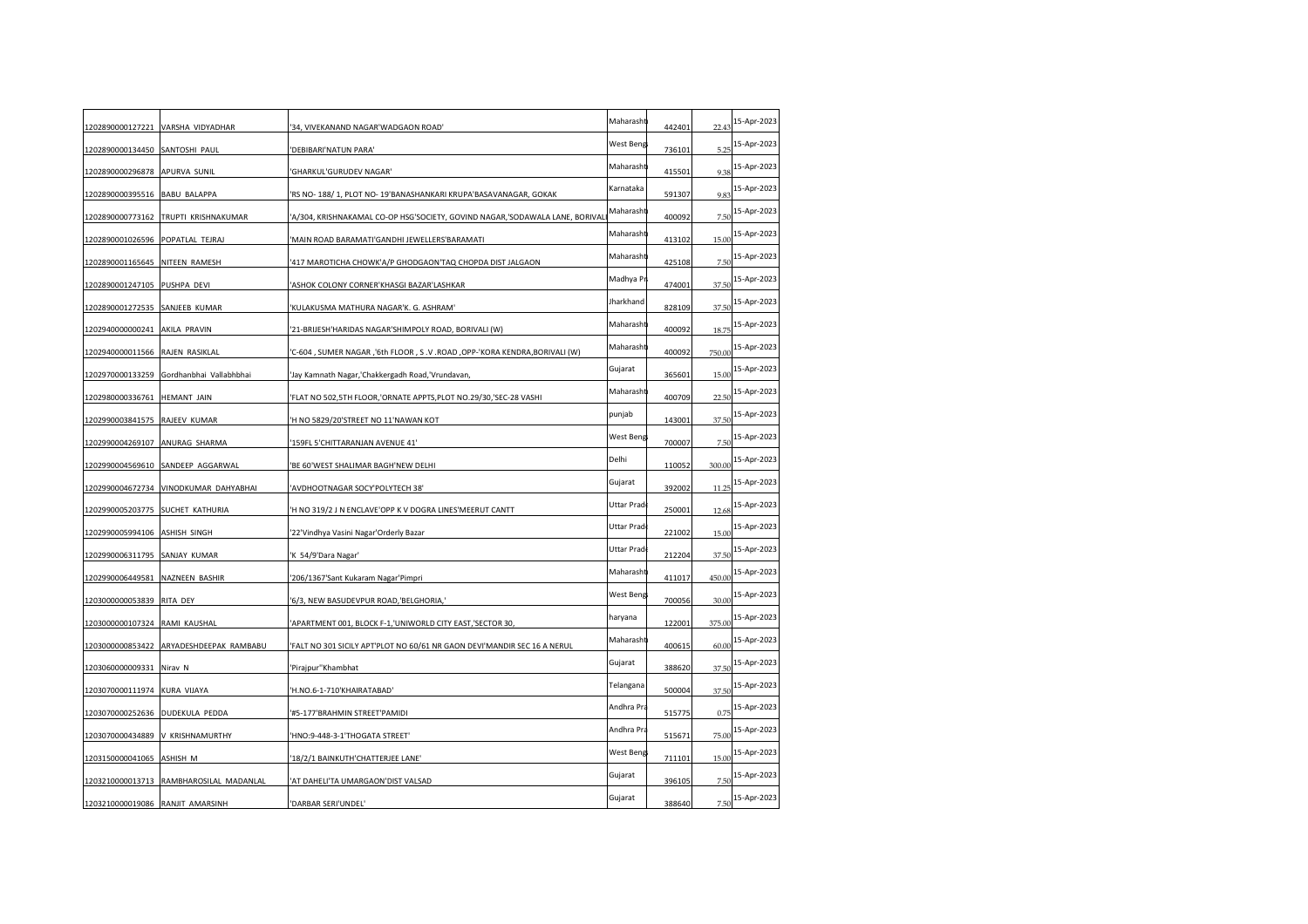|                                  |                                         |                                                                              | Maharasht   |        |        | 15-Apr-2023 |
|----------------------------------|-----------------------------------------|------------------------------------------------------------------------------|-------------|--------|--------|-------------|
|                                  | 1202890000127221 VARSHA VIDYADHAR       | '34, VIVEKANAND NAGAR'WADGAON ROAD'                                          | West Beng   | 442401 | 22.43  | 15-Apr-2023 |
| 1202890000134450                 | SANTOSHI PAUL                           | 'DEBIBARI'NATUN PARA'                                                        |             | 736101 | 5.25   |             |
| 1202890000296878 APURVA SUNIL    |                                         | 'GHARKUL'GURUDEV NAGAR'                                                      | Maharasht   | 415501 | 9.38   | 15-Apr-2023 |
| 1202890000395516 BABU BALAPPA    |                                         | 'RS NO- 188/ 1, PLOT NO- 19'BANASHANKARI KRUPA'BASAVANAGAR, GOKAK            | Karnataka   | 591307 | 9.83   | 15-Apr-2023 |
| 1202890000773162                 | TRUPTI KRISHNAKUMAR                     | 'A/304, KRISHNAKAMAL CO-OP HSG'SOCIETY, GOVIND NAGAR,'SODAWALA LANE, BORIVAI | Maharasht   | 400092 | 7.50   | 15-Apr-2023 |
| 1202890001026596 POPATLAL TEJRAJ |                                         | 'MAIN ROAD BARAMATI'GANDHI JEWELLERS'BARAMATI                                | Maharasht   | 413102 | 15.00  | 15-Apr-2023 |
| 1202890001165645 NITEEN RAMESH   |                                         | 417 MAROTICHA CHOWK'A/P GHODGAON'TAQ CHOPDA DIST JALGAON                     | Maharasht   | 425108 | 7.50   | 15-Apr-2023 |
| 1202890001247105 PUSHPA DEVI     |                                         | 'ASHOK COLONY CORNER'KHASGI BAZAR'LASHKAR                                    | Madhya Pr   | 474001 | 37.50  | 15-Apr-2023 |
|                                  |                                         |                                                                              | Jharkhand   |        |        | 15-Apr-2023 |
| 1202890001272535 SANJEEB KUMAR   |                                         | 'KULAKUSMA MATHURA NAGAR'K. G. ASHRAM'                                       | Maharasht   | 828109 | 37.50  | 15-Apr-2023 |
| 1202940000000241 AKILA PRAVIN    |                                         | 21-BRIJESH'HARIDAS NAGAR'SHIMPOLY ROAD, BORIVALI (W)                         | Maharasht   | 400092 | 18.75  | 15-Apr-2023 |
| 1202940000011566 RAJEN RASIKLAL  |                                         | 'C-604 , SUMER NAGAR ,'6th FLOOR , S .V .ROAD ,OPP-'KORA KENDRA,BORIVALI (W) |             | 400092 | 750.00 |             |
| 1202970000133259                 | Gordhanbhai Vallabhbhai                 | 'Jay Kamnath Nagar,'Chakkergadh Road,'Vrundavan,                             | Gujarat     | 365601 | 15.00  | 15-Apr-2023 |
| 1202980000336761                 | <b>HEMANT JAIN</b>                      | FLAT NO 502,5TH FLOOR, ORNATE APPTS, PLOT NO.29/30, 'SEC-28 VASHI'           | Maharasht   | 400709 | 22.5(  | 15-Apr-2023 |
| 1202990003841575                 | RAJEEV KUMAR                            | 'H NO 5829/20'STREET NO 11'NAWAN KOT                                         | punjab      | 143001 | 37.50  | 15-Apr-2023 |
| 1202990004269107                 | ANURAG SHARMA                           | '159FL 5'CHITTARANJAN AVENUE 41'                                             | West Beng   | 700007 | 7.50   | 15-Apr-2023 |
|                                  | 1202990004569610 SANDEEP AGGARWAL       | 'BE 60'WEST SHALIMAR BAGH'NEW DELHI                                          | Delhi       | 110052 | 300.00 | 15-Apr-2023 |
| 1202990004672734                 | VINODKUMAR DAHYABHAI                    | 'AVDHOOTNAGAR SOCY'POLYTECH 38'                                              | Gujarat     | 392002 | 11.25  | 15-Apr-2023 |
| 1202990005203775 SUCHET KATHURIA |                                         | 'H NO 319/2 J N ENCLAVE'OPP K V DOGRA LINES'MEERUT CANTT                     | Uttar Pradı | 250001 | 12.68  | 15-Apr-2023 |
| 1202990005994106                 | <b>ASHISH SINGH</b>                     | 22'Vindhya Vasini Nagar'Orderly Bazar                                        | Uttar Pradı | 221002 | 15.00  | 15-Apr-2023 |
|                                  |                                         |                                                                              | Uttar Prad  |        |        | 15-Apr-2023 |
| 1202990006311795 SANJAY KUMAR    |                                         | 'K 54/9'Dara Nagar'                                                          | Maharasht   | 212204 | 37.50  | 15-Apr-2023 |
| 1202990006449581 NAZNEEN BASHIR  |                                         | '206/1367'Sant Kukaram Nagar'Pimpri                                          | West Beng   | 411017 | 450.00 | 15-Apr-2023 |
| 1203000000053839 RITA DEY        |                                         | '6/3, NEW BASUDEVPUR ROAD,'BELGHORIA,'                                       |             | 700056 | 30.00  |             |
| 1203000000107324 RAMI KAUSHAL    |                                         | APARTMENT 001, BLOCK F-1, UNIWORLD CITY EAST, SECTOR 30                      | haryana     | 122001 | 375.00 | 15-Apr-2023 |
| 1203000000853422                 | ARYADESHDEEPAK RAMBABU                  | 'FALT NO 301 SICILY APT'PLOT NO 60/61 NR GAON DEVI'MANDIR SEC 16 A NERUL     | Maharasht   | 400615 | 60.00  | 15-Apr-2023 |
| 1203060000009331                 | Nirav <sub>N</sub>                      | 'Pirajpur"Khambhat                                                           | Gujarat     | 388620 | 37.50  | 15-Apr-2023 |
| 1203070000111974 KURA VIJAYA     |                                         | 'H.NO.6-1-710'KHAIRATABAD'                                                   | Telangana   | 500004 | 37.50  | 15-Apr-2023 |
| 1203070000252636 DUDEKULA PEDDA  |                                         | '#5-177'BRAHMIN STREET'PAMIDI                                                | Andhra Pra  | 515775 | 0.75   | 15-Apr-2023 |
|                                  | 1203070000434889 V KRISHNAMURTHY        | 'HNO:9-448-3-1'THOGATA STREET'                                               | Andhra Pra  | 515671 | 75.00  | 15-Apr-2023 |
| 1203150000041065                 | ASHISH M                                | 18/2/1 BAINKUTH'CHATTERJEE LANE'                                             | West Beng   | 711101 | 15.00  | 15-Apr-2023 |
|                                  |                                         |                                                                              | Gujarat     |        |        | 15-Apr-2023 |
|                                  | 1203210000013713 RAMBHAROSILAL MADANLAL | 'AT DAHELI'TA UMARGAON'DIST VALSAD                                           | Gujarat     | 396105 | 7.5(   | 15-Apr-2023 |
| 1203210000019086 RANJIT AMARSINH |                                         | 'DARBAR SERI'UNDEL'                                                          |             | 388640 | 7.50   |             |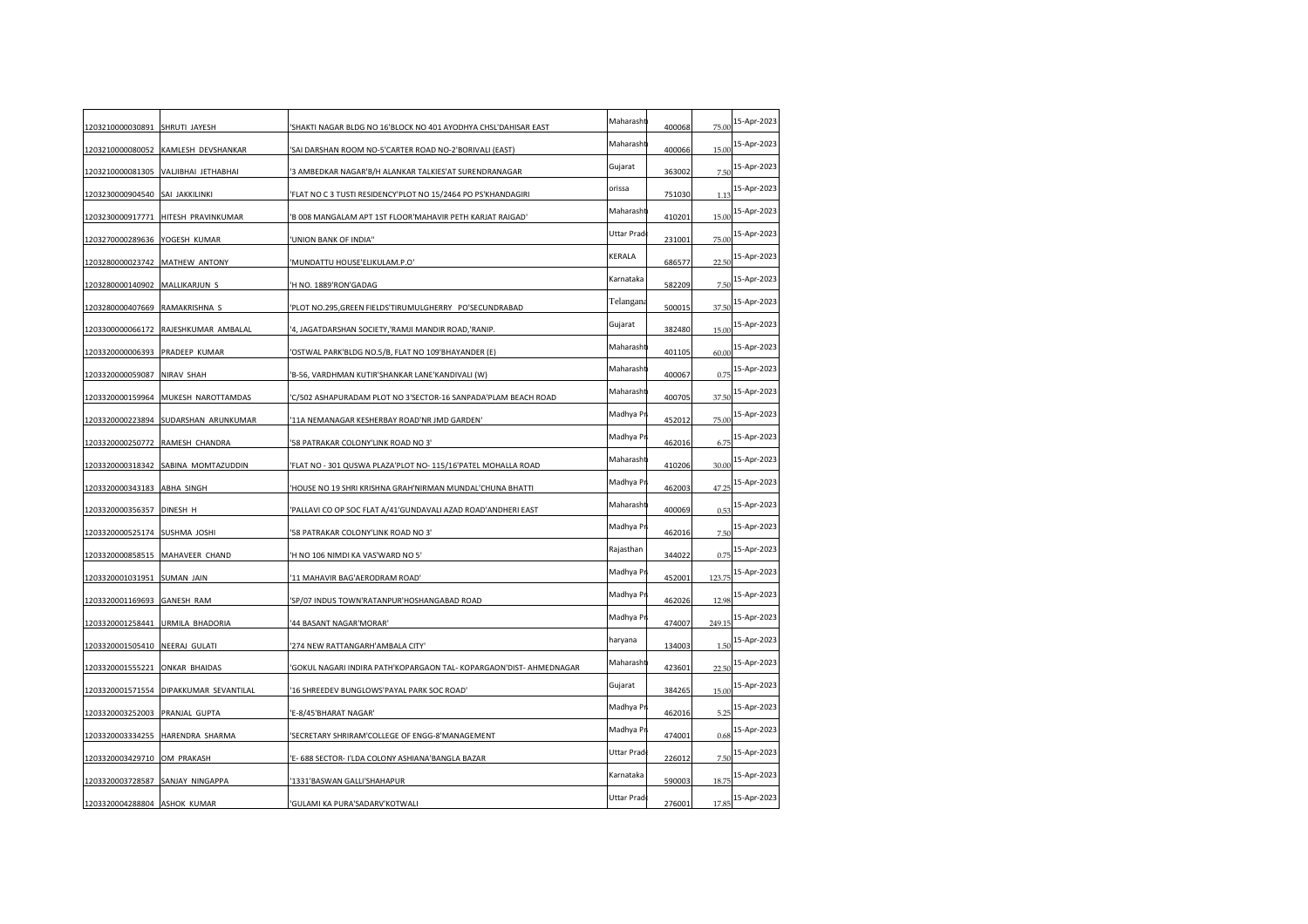| 1203210000030891 SHRUTI JAYESH   |                                        | 'SHAKTI NAGAR BLDG NO 16'BLOCK NO 401 AYODHYA CHSL'DAHISAR EAST     | Maharasht  | 400068 | 75.00  | 15-Apr-2023 |
|----------------------------------|----------------------------------------|---------------------------------------------------------------------|------------|--------|--------|-------------|
| 1203210000080052                 | KAMLESH DEVSHANKAR                     | 'SAI DARSHAN ROOM NO-5'CARTER ROAD NO-2'BORIVALI (EAST)             | Maharasht  | 400066 | 15.00  | 15-Apr-2023 |
|                                  | 1203210000081305 VALJIBHAI JETHABHAI   | 3 AMBEDKAR NAGAR'B/H ALANKAR TALKIES'AT SURENDRANAGAR               | Gujarat    | 363002 | 7.50   | 15-Apr-2023 |
| 1203230000904540                 | SAI JAKKILINKI                         | 'FLAT NO C 3 TUSTI RESIDENCY'PLOT NO 15/2464 PO PS'KHANDAGIRI       | orissa     | 751030 | 1.13   | 15-Apr-2023 |
| 1203230000917771                 | HITESH PRAVINKUMAR                     | 'B 008 MANGALAM APT 1ST FLOOR'MAHAVIR PETH KARJAT RAIGAD'           | Maharasht  | 410201 | 15.00  | 15-Apr-2023 |
| 1203270000289636 YOGESH KUMAR    |                                        | 'UNION BANK OF INDIA"                                               | Uttar Prad | 231001 | 75.00  | 15-Apr-2023 |
| 1203280000023742                 | MATHEW ANTONY                          | 'MUNDATTU HOUSE'ELIKULAM.P.O'                                       | KERALA     | 686577 | 22.5(  | 15-Apr-2023 |
| 1203280000140902 MALLIKARJUN S   |                                        | 'H NO. 1889'RON'GADAG                                               | Karnataka  | 582209 | 7.5(   | 15-Apr-2023 |
| 1203280000407669                 | RAMAKRISHNA S                          | 'PLOT NO.295,GREEN FIELDS'TIRUMULGHERRY PO'SECUNDRABAD              | Telangana  | 500015 | 37.50  | 15-Apr-2023 |
|                                  | 1203300000066172 RAJESHKUMAR AMBALAL   | '4, JAGATDARSHAN SOCIETY,'RAMJI MANDIR ROAD,'RANIP.                 | Gujarat    | 382480 | 15.00  | 15-Apr-2023 |
| 1203320000006393 PRADEEP KUMAR   |                                        | 'OSTWAL PARK'BLDG NO.5/B, FLAT NO 109'BHAYANDER (E)                 | Maharasht  | 401105 | 60.00  | 15-Apr-2023 |
| 1203320000059087                 | NIRAV SHAH                             | 'B-56, VARDHMAN KUTIR'SHANKAR LANE'KANDIVALI (W)                    | Maharasht  | 400067 | 0.75   | 15-Apr-2023 |
| 1203320000159964                 | MUKESH NAROTTAMDAS                     | 'C/502 ASHAPURADAM PLOT NO 3'SECTOR-16 SANPADA'PLAM BEACH ROAD      | Maharasht  | 400705 | 37.50  | 15-Apr-2023 |
| 1203320000223894                 | SUDARSHAN ARUNKUMAR                    | '11A NEMANAGAR KESHERBAY ROAD'NR JMD GARDEN'                        | Madhya Pr  | 452012 | 75.00  | 15-Apr-2023 |
| 1203320000250772                 | RAMESH CHANDRA                         | '58 PATRAKAR COLONY'LINK ROAD NO 3'                                 | Madhya Pr  | 462016 | 6.75   | 15-Apr-2023 |
|                                  | 1203320000318342 SABINA MOMTAZUDDIN    | 'FLAT NO - 301 QUSWA PLAZA'PLOT NO- 115/16'PATEL MOHALLA ROAD       | Maharasht  | 410206 | 30.00  | 15-Apr-2023 |
| 1203320000343183                 | <b>ABHA SINGH</b>                      | 'HOUSE NO 19 SHRI KRISHNA GRAH'NIRMAN MUNDAL'CHUNA BHATTI           | Madhya Pr  | 462003 | 47.25  | 15-Apr-2023 |
| 1203320000356357                 | DINESH H                               | 'PALLAVI CO OP SOC FLAT A/41'GUNDAVALI AZAD ROAD'ANDHERI EAST       | Maharasht  | 400069 | 0.53   | 15-Apr-2023 |
| 1203320000525174                 | SUSHMA JOSHI                           | '58 PATRAKAR COLONY'LINK ROAD NO 3'                                 | Madhya Pr  | 462016 | 7.5(   | 15-Apr-2023 |
|                                  | 1203320000858515 MAHAVEER CHAND        | 'H NO 106 NIMDI KA VAS'WARD NO 5'                                   | Rajasthan  | 344022 | 0.75   | 15-Apr-2023 |
| 1203320001031951 SUMAN JAIN      |                                        | '11 MAHAVIR BAG'AERODRAM ROAD'                                      | Madhya P   | 452001 | 123.75 | 15-Apr-2023 |
| 1203320001169693                 | <b>GANESH RAM</b>                      | 'SP/07 INDUS TOWN'RATANPUR'HOSHANGABAD ROAD                         | Madhya Pr  | 462026 | 12.98  | 15-Apr-2023 |
| 1203320001258441                 | URMILA BHADORIA                        | '44 BASANT NAGAR'MORAR'                                             | Madhya Pr  | 474007 | 249.15 | 15-Apr-2023 |
| 1203320001505410                 | <b>NEERAJ GULATI</b>                   | '274 NEW RATTANGARH'AMBALA CITY'                                    | haryana    | 134003 | 1.50   | 15-Apr-2023 |
| 1203320001555221                 | <b>ONKAR BHAIDAS</b>                   | 'GOKUL NAGARI INDIRA PATH'KOPARGAON TAL- KOPARGAON'DIST- AHMEDNAGAR | Maharasht  | 423601 | 22.5(  | 15-Apr-2023 |
|                                  | 1203320001571554 DIPAKKUMAR SEVANTILAL | '16 SHREEDEV BUNGLOWS'PAYAL PARK SOC ROAD'                          | Gujarat    | 384265 | 15.00  | 15-Apr-2023 |
| 1203320003252003 PRANJAL GUPTA   |                                        | 'E-8/45'BHARAT NAGAR'                                               | Madhya Pr  | 462016 | 5.25   | 15-Apr-2023 |
| 1203320003334255                 | HARENDRA SHARMA                        | 'SECRETARY SHRIRAM'COLLEGE OF ENGG-8'MANAGEMENT                     | Madhya Pr  | 474001 | 0.68   | 15-Apr-2023 |
| 1203320003429710                 | OM PRAKASH                             | 'E- 688 SECTOR- I'LDA COLONY ASHIANA'BANGLA BAZAR                   | Uttar Prad | 226012 | 7.5(   | 15-Apr-2023 |
| 1203320003728587 SANJAY NINGAPPA |                                        | '1331'BASWAN GALLI'SHAHAPUR                                         | Karnataka  | 590003 | 18.75  | 15-Apr-2023 |
| 1203320004288804 ASHOK KUMAR     |                                        | 'GULAMI KA PURA'SADARV'KOTWALI                                      | Uttar Prad | 276001 | 17.85  | 15-Apr-2023 |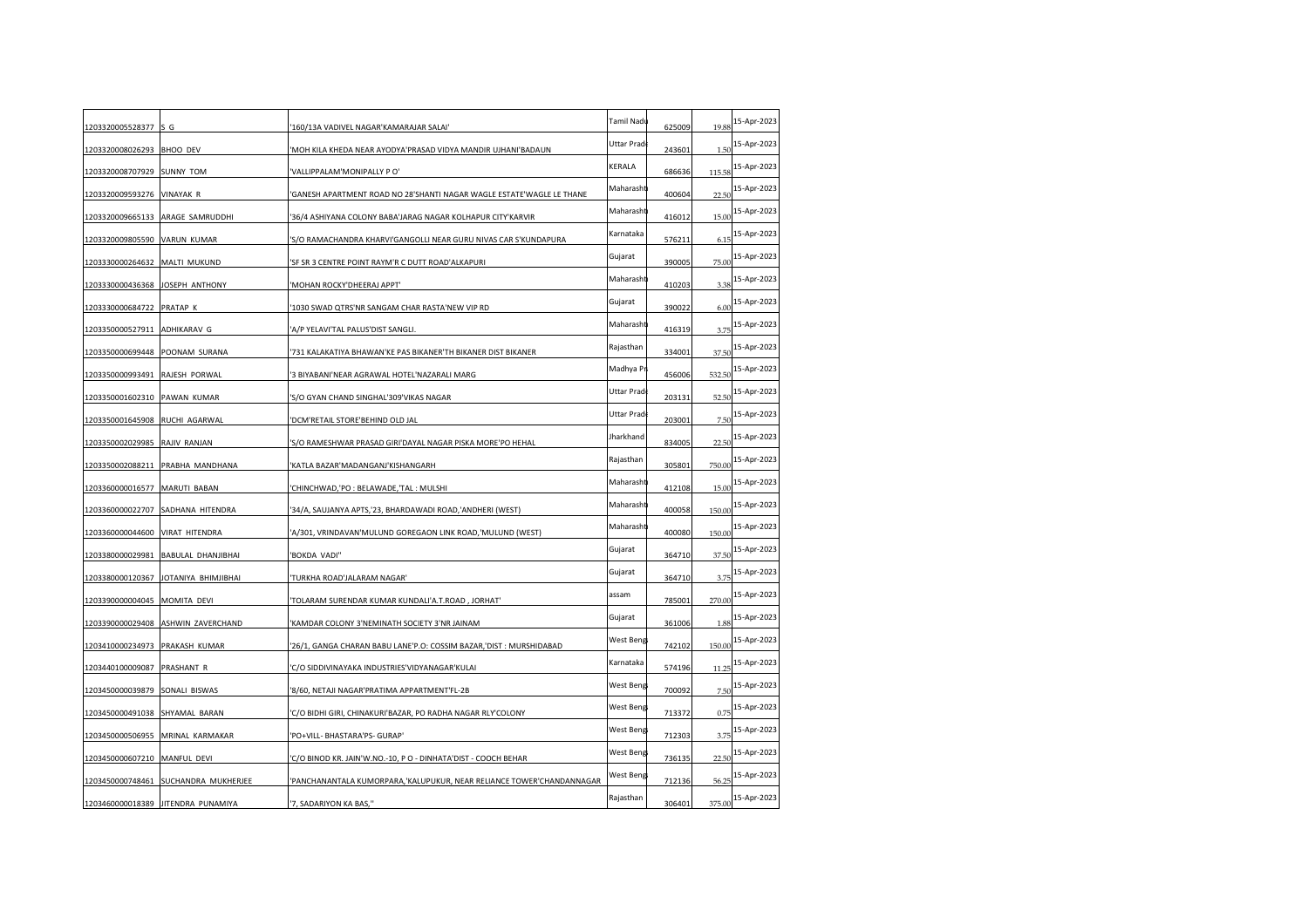| 1203320005528377 S G            |                                      | '160/13A VADIVEL NAGAR'KAMARAJAR SALAI'                                | Tamil Nadı | 625009 | 19.88  | 15-Apr-2023 |
|---------------------------------|--------------------------------------|------------------------------------------------------------------------|------------|--------|--------|-------------|
| 1203320008026293 BHOO DEV       |                                      | 'MOH KILA KHEDA NEAR AYODYA'PRASAD VIDYA MANDIR UJHANI'BADAUN          | Uttar Prad | 243601 | 1.50   | 15-Apr-2023 |
| 1203320008707929 SUNNY TOM      |                                      | VALLIPPALAM'MONIPALLY PO'                                              | KERALA     | 686636 | 115.58 | 15-Apr-2023 |
| 1203320009593276 VINAYAK R      |                                      | 'GANESH APARTMENT ROAD NO 28'SHANTI NAGAR WAGLE ESTATE'WAGLE LE THANE  | Maharasht  | 400604 | 22.5(  | 15-Apr-2023 |
|                                 | 1203320009665133 ARAGE SAMRUDDHI     | 36/4 ASHIYANA COLONY BABA'JARAG NAGAR KOLHAPUR CITY'KARVIR             | Maharasht  | 416012 | 15.00  | 15-Apr-2023 |
| 1203320009805590 VARUN KUMAR    |                                      | 'S/O RAMACHANDRA KHARVI'GANGOLLI NEAR GURU NIVAS CAR S'KUNDAPURA       | Karnataka  | 576211 | 6.15   | 15-Apr-2023 |
| 1203330000264632 MALTI MUKUND   |                                      | 'SF SR 3 CENTRE POINT RAYM'R C DUTT ROAD'ALKAPURI                      | Gujarat    | 390005 | 75.00  | 15-Apr-2023 |
| 1203330000436368 JOSEPH ANTHONY |                                      | 'MOHAN ROCKY'DHEERAJ APPT'                                             | Maharasht  | 410203 | 3.38   | 15-Apr-2023 |
| 1203330000684722 PRATAP K       |                                      | 1030 SWAD QTRS'NR SANGAM CHAR RASTA'NEW VIP RD                         | Gujarat    | 390022 | 6.00   | 15-Apr-2023 |
| 1203350000527911 ADHIKARAV G    |                                      | 'A/P YELAVI'TAL PALUS'DIST SANGLI.                                     | Maharasht  | 416319 | 3.75   | 15-Apr-2023 |
| 1203350000699448 POONAM SURANA  |                                      | 731 KALAKATIYA BHAWAN'KE PAS BIKANER'TH BIKANER DIST BIKANER           | Rajasthan  | 334001 | 37.50  | 15-Apr-2023 |
| 1203350000993491 RAJESH PORWAL  |                                      | '3 BIYABANI'NEAR AGRAWAL HOTEL'NAZARALI MARG                           | Madhya Pr  | 456006 | 532.50 | 15-Apr-2023 |
| 1203350001602310 PAWAN KUMAR    |                                      | 'S/O GYAN CHAND SINGHAL'309'VIKAS NAGAR                                | Uttar Prad | 203131 | 52.50  | 15-Apr-2023 |
| 1203350001645908 RUCHI AGARWAL  |                                      | DCM'RETAIL STORE'BEHIND OLD JAL                                        | Uttar Prad | 203001 | 7.5(   | 15-Apr-2023 |
| 1203350002029985 RAJIV RANJAN   |                                      | 'S/O RAMESHWAR PRASAD GIRI'DAYAL NAGAR PISKA MORE'PO HEHAL             | Jharkhand  | 834005 | 22.5(  | 15-Apr-2023 |
|                                 | 1203350002088211 PRABHA MANDHANA     | KATLA BAZAR'MADANGANJ'KISHANGARH                                       | Rajasthan  | 305801 | 750.00 | 15-Apr-2023 |
| 1203360000016577 MARUTI BABAN   |                                      | CHINCHWAD,'PO : BELAWADE,'TAL : MULSHI                                 | Maharasht  | 412108 | 15.00  | 15-Apr-2023 |
|                                 | 1203360000022707 SADHANA HITENDRA    | 34/A, SAUJANYA APTS,'23, BHARDAWADI ROAD,'ANDHERI (WEST)               | Maharasht  | 400058 | 150.00 | 15-Apr-2023 |
| 1203360000044600 VIRAT HITENDRA |                                      | 'A/301, VRINDAVAN'MULUND GOREGAON LINK ROAD,'MULUND (WEST)             | Maharasht  | 400080 | 150.00 | 15-Apr-2023 |
|                                 | 1203380000029981 BABULAL DHANJIBHAI  | 'BOKDA VADI"                                                           | Gujarat    | 364710 | 37.50  | 15-Apr-2023 |
|                                 | 1203380000120367 JOTANIYA BHIMJIBHAI | TURKHA ROAD'JALARAM NAGAR'                                             | Gujarat    | 364710 | 3.75   | 15-Apr-2023 |
| 1203390000004045 MOMITA DEVI    |                                      | 'TOLARAM SURENDAR KUMAR KUNDALI'A.T.ROAD, JORHAT'                      | assam      | 785001 | 270.00 | 15-Apr-2023 |
|                                 | 1203390000029408 ASHWIN ZAVERCHAND   | KAMDAR COLONY 3'NEMINATH SOCIETY 3'NR JAINAM                           | Gujarat    | 361006 | 1.88   | 15-Apr-2023 |
| 1203410000234973                | PRAKASH KUMAR                        | 26/1, GANGA CHARAN BABU LANE'P.O: COSSIM BAZAR,'DIST : MURSHIDABAD     | West Beng  | 742102 | 150.00 | 15-Apr-2023 |
| 1203440100009087 PRASHANT R     |                                      | 'C/O SIDDIVINAYAKA INDUSTRIES'VIDYANAGAR'KULAI                         | Karnataka  | 574196 | 11.25  | 15-Apr-2023 |
| 1203450000039879 SONALI BISWAS  |                                      | '8/60, NETAJI NAGAR'PRATIMA APPARTMENT'FL-2B                           | West Beng  | 700092 | 7.50   | 15-Apr-2023 |
| 1203450000491038 SHYAMAL BARAN  |                                      | C/O BIDHI GIRI, CHINAKURI'BAZAR, PO RADHA NAGAR RLY'COLONY             | West Beng  | 713372 | 0.75   | 15-Apr-2023 |
|                                 | 1203450000506955 MRINAL KARMAKAR     | 'PO+VILL- BHASTARA'PS- GURAP'                                          | West Beng  | 712303 | 3.75   | 15-Apr-2023 |
| 1203450000607210 MANFUL DEVI    |                                      | 'C/O BINOD KR. JAIN'W.NO.-10, P O - DINHATA'DIST - COOCH BEHAR         | West Beng  | 736135 | 22.5(  | 15-Apr-2023 |
|                                 | 1203450000748461 SUCHANDRA MUKHERJEE | 'PANCHANANTALA KUMORPARA, 'KALUPUKUR, NEAR RELIANCE TOWER'CHANDANNAGAR | West Beng  | 712136 | 56.25  | 15-Apr-2023 |
|                                 | 1203460000018389 JITENDRA PUNAMIYA   | '7, SADARIYON KA BAS,"                                                 | Rajasthan  | 306401 | 375.00 | 15-Apr-2023 |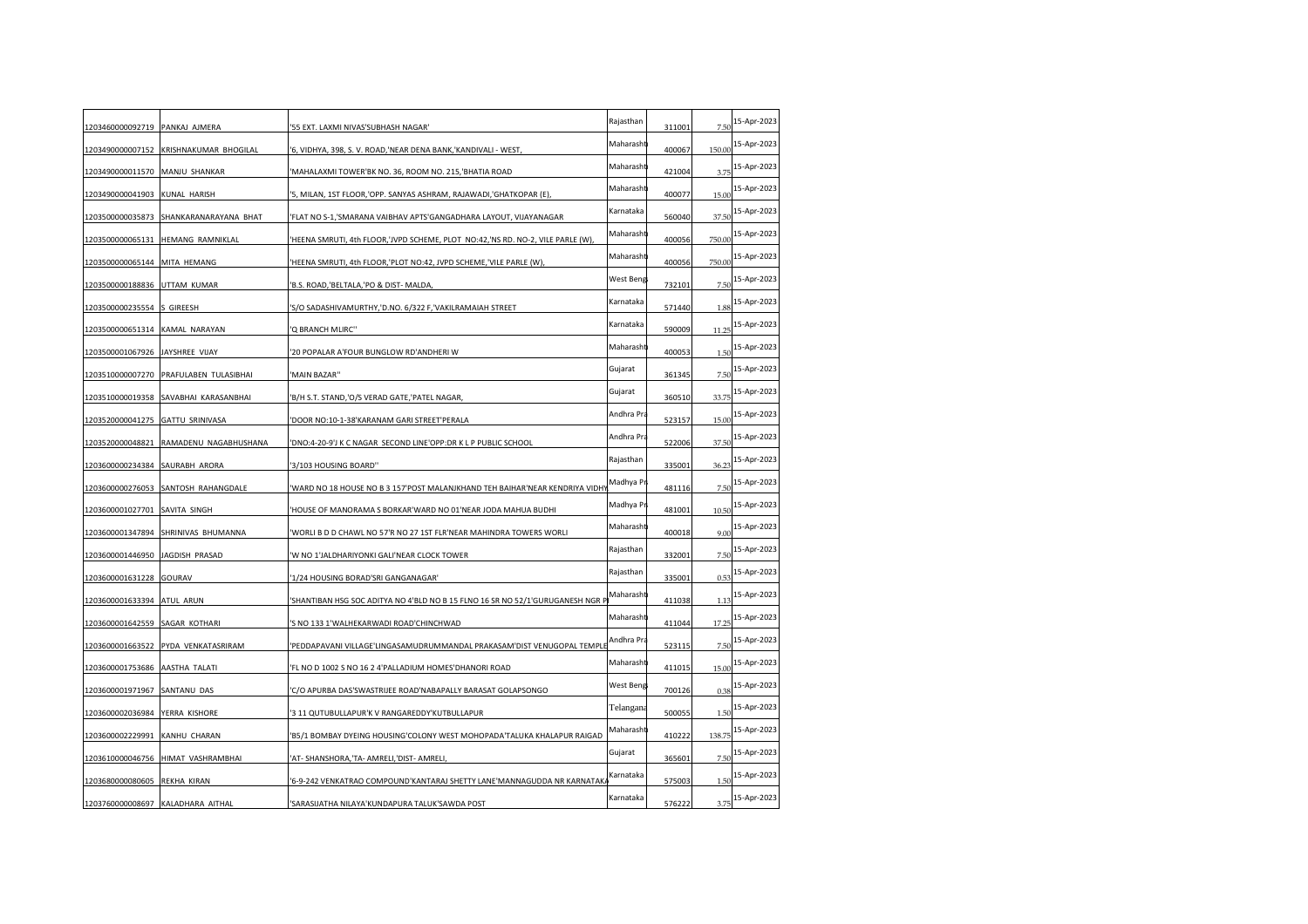| 1203460000092719 PANKAJ AJMERA  |                                   | '55 EXT. LAXMI NIVAS'SUBHASH NAGAR'                                              | Rajasthan  | 311001 | 7.50   | 15-Apr-2023 |
|---------------------------------|-----------------------------------|----------------------------------------------------------------------------------|------------|--------|--------|-------------|
| 1203490000007152                | KRISHNAKUMAR BHOGILAL             | '6, VIDHYA, 398, S. V. ROAD, 'NEAR DENA BANK, 'KANDIVALI - WEST,                 | Maharasht  | 400067 | 150.00 | 15-Apr-2023 |
| 1203490000011570                | MANJU SHANKAR                     | 'MAHALAXMI TOWER'BK NO. 36, ROOM NO. 215, 'BHATIA ROAD                           | Maharasht  | 421004 | 3.7    | 15-Apr-2023 |
| 1203490000041903                | <b>KUNAL HARISH</b>               | '5, MILAN, 1ST FLOOR, OPP. SANYAS ASHRAM, RAJAWADI, GHATKOPAR (E)                | Maharasht  | 400077 | 15.00  | 15-Apr-2023 |
| 1203500000035873                | SHANKARANARAYANA BHAT             | 'FLAT NO S-1,'SMARANA VAIBHAV APTS'GANGADHARA LAYOUT, VIJAYANAGAR                | Karnataka  | 560040 | 37.50  | 15-Apr-2023 |
|                                 | 1203500000065131 HEMANG RAMNIKLAL | 'HEENA SMRUTI, 4th FLOOR, JVPD SCHEME, PLOT NO:42, 'NS RD. NO-2, VILE PARLE (W), | Maharasht  | 400056 | 750.00 | 15-Apr-2023 |
| 1203500000065144                | MITA HEMANG                       | 'HEENA SMRUTI, 4th FLOOR, 'PLOT NO:42, JVPD SCHEME, 'VILE PARLE (W)              | Maharasht  | 400056 | 750.00 | 15-Apr-2023 |
| 1203500000188836                | UTTAM KUMAR                       | 'B.S. ROAD,'BELTALA,'PO & DIST-MALDA,                                            | West Beng  | 732101 | 7.5(   | 15-Apr-2023 |
| 1203500000235554                | S GIREESH                         | 'S/O SADASHIVAMURTHY,'D.NO. 6/322 F,'VAKILRAMAIAH STREET                         | Karnataka  | 571440 | 1.88   | 15-Apr-2023 |
| 1203500000651314 KAMAL NARAYAN  |                                   | 'Q BRANCH MLIRC"                                                                 | Karnataka  | 590009 | 11.25  | 15-Apr-2023 |
| 1203500001067926 JAYSHREE VIJAY |                                   | '20 POPALAR A'FOUR BUNGLOW RD'ANDHERI W                                          | Maharasht  | 400053 | 1.50   | 15-Apr-2023 |
| 1203510000007270                | PRAFULABEN TULASIBHAI             | 'MAIN BAZAR"                                                                     | Gujarat    | 361345 | 7.50   | 15-Apr-2023 |
| 1203510000019358                | SAVABHAI KARASANBHAI              | 'B/H S.T. STAND,'O/S VERAD GATE,'PATEL NAGAR,                                    | Gujarat    | 360510 | 33.75  | 15-Apr-2023 |
| 1203520000041275                | <b>GATTU SRINIVASA</b>            | 'DOOR NO:10-1-38'KARANAM GARI STREET'PERALA                                      | Andhra Pra | 523157 | 15.00  | 15-Apr-2023 |
| 1203520000048821                | RAMADENU NAGABHUSHANA             | 'DNO:4-20-9'J K C NAGAR SECOND LINE'OPP:DR K L P PUBLIC SCHOOL                   | Andhra Pra | 522006 | 37.50  | 15-Apr-2023 |
| 1203600000234384 SAURABH ARORA  |                                   | '3/103 HOUSING BOARD"                                                            | Rajasthan  | 335001 | 36.23  | 15-Apr-2023 |
| 1203600000276053                | SANTOSH RAHANGDALE                | WARD NO 18 HOUSE NO B 3 157'POST MALANJKHAND TEH BAIHAR'NEAR KENDRIYA VIDH       | Madhya Pr  | 481116 | 7.5(   | 15-Apr-2023 |
| 1203600001027701                | SAVITA SINGH                      | 'HOUSE OF MANORAMA S BORKAR'WARD NO 01'NEAR JODA MAHUA BUDHI                     | Madhya Pr  | 481001 | 10.50  | 15-Apr-2023 |
| 1203600001347894                | SHRINIVAS BHUMANNA                | 'WORLI B D D CHAWL NO 57'R NO 27 1ST FLR'NEAR MAHINDRA TOWERS WORLI              | Maharasht  | 400018 | 9.00   | 15-Apr-2023 |
| 1203600001446950 JAGDISH PRASAD |                                   | 'W NO 1'JALDHARIYONKI GALI'NEAR CLOCK TOWER                                      | Rajasthan  | 332001 | 7.5(   | 15-Apr-2023 |
| 1203600001631228 GOURAV         |                                   | '1/24 HOUSING BORAD'SRI GANGANAGAR'                                              | Rajasthan  | 335001 | 0.53   | 15-Apr-2023 |
| 1203600001633394                | ATUL ARUN                         | 'SHANTIBAN HSG SOC ADITYA NO 4'BLD NO B 15 FLNO 16 SR NO 52/1'GURUGANESH NGR I   | Maharasht  | 411038 | 1.13   | 15-Apr-2023 |
| 1203600001642559                | SAGAR KOTHARI                     | 'S NO 133 1'WALHEKARWADI ROAD'CHINCHWAD                                          | Maharasht  | 411044 | 17.25  | 15-Apr-2023 |
| 1203600001663522                | PYDA VENKATASRIRAM                | 'PEDDAPAVANI VILLAGE'LINGASAMUDRUMMANDAL PRAKASAM'DIST VENUGOPAL TEMPLE          | Andhra Pra | 523115 | 7.5(   | 15-Apr-2023 |
| 1203600001753686                | <b>AASTHA TALATI</b>              | 'FL NO D 1002 S NO 16 2 4'PALLADIUM HOMES'DHANORI ROAD                           | Maharasht  | 411015 | 15.00  | 15-Apr-2023 |
| 1203600001971967                | SANTANU DAS                       | 'C/O APURBA DAS'SWASTRIJEE ROAD'NABAPALLY BARASAT GOLAPSONGO                     | West Beng  | 700126 | 0.38   | 15-Apr-2023 |
| 1203600002036984                | YERRA KISHORE                     | '3 11 QUTUBULLAPUR'K V RANGAREDDY'KUTBULLAPUR                                    | Telangana  | 500055 | 1.5(   | 15-Apr-2023 |
| 1203600002229991                | KANHU CHARAN                      | 'B5/1 BOMBAY DYEING HOUSING'COLONY WEST MOHOPADA'TALUKA KHALAPUR RAIGAD          | Maharasht  | 410222 | 138.75 | 15-Apr-2023 |
| 1203610000046756                | HIMAT VASHRAMBHAI                 | 'AT- SHANSHORA, 'TA- AMRELI, 'DIST- AMRELI                                       | Gujarat    | 365601 | 7.50   | 15-Apr-2023 |
| 1203680000080605 REKHA KIRAN    |                                   | '6-9-242 VENKATRAO COMPOUND'KANTARAJ SHETTY LANE'MANNAGUDDA NR KARNATAK          | Karnataka  | 575003 | 1.5(   | 15-Apr-2023 |
|                                 | 1203760000008697 KALADHARA AITHAL | 'SARASIJATHA NILAYA'KUNDAPURA TALUK'SAWDA POST                                   | Karnataka  | 576222 | 3.75   | 15-Apr-2023 |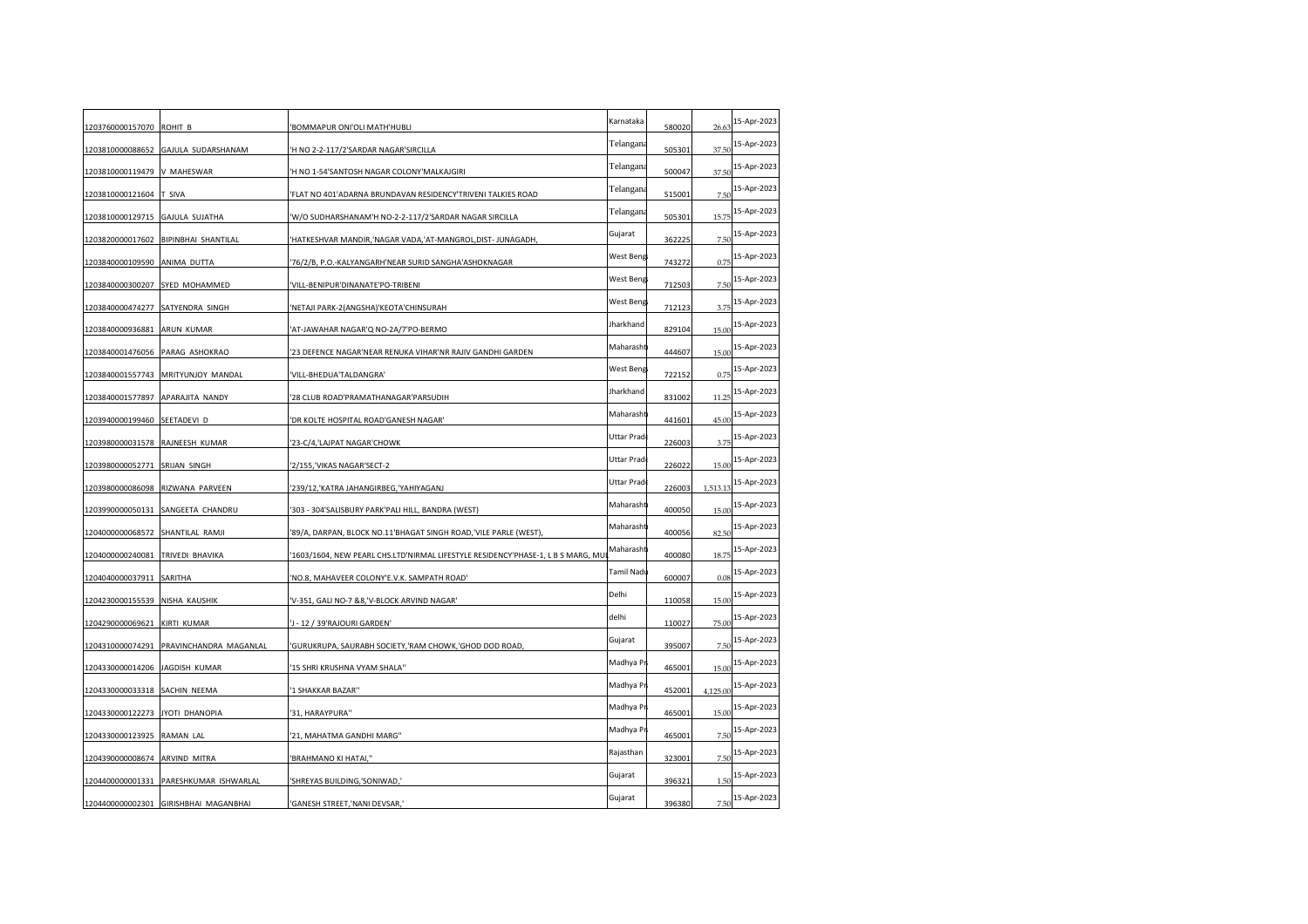| 1203760000157070 ROHIT B         |                                       | BOMMAPUR ONI'OLI MATH'HUBLI                                                      | Karnataka  | 580020 | 26.63    | 15-Apr-2023 |
|----------------------------------|---------------------------------------|----------------------------------------------------------------------------------|------------|--------|----------|-------------|
|                                  | 1203810000088652 GAJULA SUDARSHANAM   | H NO 2-2-117/2'SARDAR NAGAR'SIRCILLA                                             | Telangana  | 505301 | 37.50    | 15-Apr-2023 |
| 1203810000119479 V MAHESWAR      |                                       | 'H NO 1-54'SANTOSH NAGAR COLONY'MALKAJGIRI                                       | Telangana  | 500047 | 37.50    | 15-Apr-2023 |
| 1203810000121604 T SIVA          |                                       | 'FLAT NO 401'ADARNA BRUNDAVAN RESIDENCY'TRIVENI TALKIES ROAD                     | Telangana  | 515001 | 7.50     | 15-Apr-2023 |
| 1203810000129715 GAJULA SUJATHA  |                                       | 'W/O SUDHARSHANAM'H NO-2-2-117/2'SARDAR NAGAR SIRCILLA                           | Telangana  | 505301 | 15.75    | 15-Apr-2023 |
|                                  | 1203820000017602 BIPINBHAI SHANTILAL  | 'HATKESHVAR MANDIR,'NAGAR VADA,'AT-MANGROL,DIST- JUNAGADH,                       | Gujarat    | 362225 | 7.5(     | 15-Apr-2023 |
| 1203840000109590                 | ANIMA DUTTA                           | '76/2/B, P.O.-KALYANGARH'NEAR SURID SANGHA'ASHOKNAGAR                            | West Beng  | 743272 | 0.75     | 15-Apr-2023 |
| 1203840000300207 SYED MOHAMMED   |                                       | 'VILL-BENIPUR'DINANATE'PO-TRIBENI                                                | West Beng  | 712503 | 7.5(     | 15-Apr-2023 |
| 1203840000474277                 | SATYENDRA SINGH                       | 'NETAJI PARK-2(ANGSHA)'KEOTA'CHINSURAH                                           | West Beng  | 712123 | 3.75     | 15-Apr-2023 |
| 1203840000936881                 | ARUN KUMAR                            | 'AT-JAWAHAR NAGAR'Q NO-2A/7'PO-BERMO                                             | Jharkhand  | 829104 | 15.00    | 15-Apr-2023 |
| 1203840001476056 PARAG ASHOKRAO  |                                       | '23 DEFENCE NAGAR'NEAR RENUKA VIHAR'NR RAJIV GANDHI GARDEN                       | Maharasht  | 444607 | 15.00    | 15-Apr-2023 |
| 1203840001557743                 | MRITYUNJOY MANDAL                     | 'VILL-BHEDUA'TALDANGRA'                                                          | West Beng  | 722152 | 0.75     | 15-Apr-2023 |
| 1203840001577897                 | APARAJITA NANDY                       | '28 CLUB ROAD'PRAMATHANAGAR'PARSUDIH                                             | Jharkhand  | 831002 | 11.25    | 15-Apr-2023 |
| 1203940000199460                 | SEETADEVI D                           | 'DR KOLTE HOSPITAL ROAD'GANESH NAGAR'                                            | Maharasht  | 441601 | 45.00    | 15-Apr-2023 |
| 1203980000031578 RAJNEESH KUMAR  |                                       | '23-C/4,'LAJPAT NAGAR'CHOWK                                                      | Uttar Prad | 226003 | 3.75     | 15-Apr-2023 |
| 1203980000052771                 | SRIJAN SINGH                          | '2/155,'VIKAS NAGAR'SECT-2                                                       | Uttar Prad | 226022 | 15.00    | 15-Apr-2023 |
|                                  | 1203980000086098 RIZWANA PARVEEN      | '239/12,'KATRA JAHANGIRBEG,'YAHIYAGANJ                                           | Uttar Prad | 226003 | 1,513.13 | 15-Apr-2023 |
|                                  | 1203990000050131 SANGEETA CHANDRU     | '303 - 304'SALISBURY PARK'PALI HILL, BANDRA (WEST)                               | Maharasht  | 400050 | 15.00    | 15-Apr-2023 |
| 1204000000068572 SHANTILAL RAMJI |                                       | '89/A, DARPAN, BLOCK NO.11'BHAGAT SINGH ROAD, 'VILE PARLE (WEST)                 | Maharasht  | 400056 | 82.50    | 15-Apr-2023 |
| 1204000000240081 TRIVEDI BHAVIKA |                                       | '1603/1604, NEW PEARL CHS.LTD'NIRMAL LIFESTYLE RESIDENCY'PHASE-1, L B S MARG, MU | Maharasht  | 400080 | 18.75    | 15-Apr-2023 |
| 1204040000037911 SARITHA         |                                       | 'NO.8, MAHAVEER COLONY'E.V.K. SAMPATH ROAD'                                      | Tamil Nad  | 600007 | 0.08     | 15-Apr-2023 |
| 1204230000155539 NISHA KAUSHIK   |                                       | 'V-351, GALI NO-7 &8,'V-BLOCK ARVIND NAGAR'                                      | Delhi      | 110058 | 15.00    | 15-Apr-2023 |
| 1204290000069621                 | KIRTI KUMAR                           | J - 12 / 39'RAJOURI GARDEN'                                                      | delhi      | 110027 | 75.00    | 15-Apr-2023 |
| 1204310000074291                 | PRAVINCHANDRA MAGANLAL                | 'GURUKRUPA, SAURABH SOCIETY,'RAM CHOWK,'GHOD DOD ROAD,                           | Gujarat    | 395007 | 7.50     | 15-Apr-2023 |
| 1204330000014206 JAGDISH KUMAR   |                                       | '15 SHRI KRUSHNA VYAM SHALA"                                                     | Madhya Pr  | 465001 | 15.00    | 15-Apr-2023 |
| 1204330000033318 SACHIN NEEMA    |                                       | '1 SHAKKAR BAZAR"                                                                | Madhya P   | 452001 | 4,125.00 | 15-Apr-2023 |
| 1204330000122273                 | JYOTI DHANOPIA                        | '31, HARAYPURA"                                                                  | Madhya Pr  | 465001 | 15.00    | 15-Apr-2023 |
| 1204330000123925 RAMAN LAL       |                                       | '21, MAHATMA GANDHI MARG"                                                        | Madhya Pr  | 465001 | 7.5(     | 15-Apr-2023 |
| 1204390000008674                 | ARVIND MITRA                          | 'BRAHMANO KI HATAI,"                                                             | Rajasthan  | 323001 | 7.50     | 15-Apr-2023 |
| 1204400000001331                 | PARESHKUMAR ISHWARLAL                 | 'SHREYAS BUILDING,'SONIWAD,'                                                     | Gujarat    | 396321 | 1.5(     | 15-Apr-2023 |
|                                  | 1204400000002301 GIRISHBHAI MAGANBHAI | 'GANESH STREET, 'NANI DEVSAR,'                                                   | Gujarat    | 396380 | 7.50     | 15-Apr-2023 |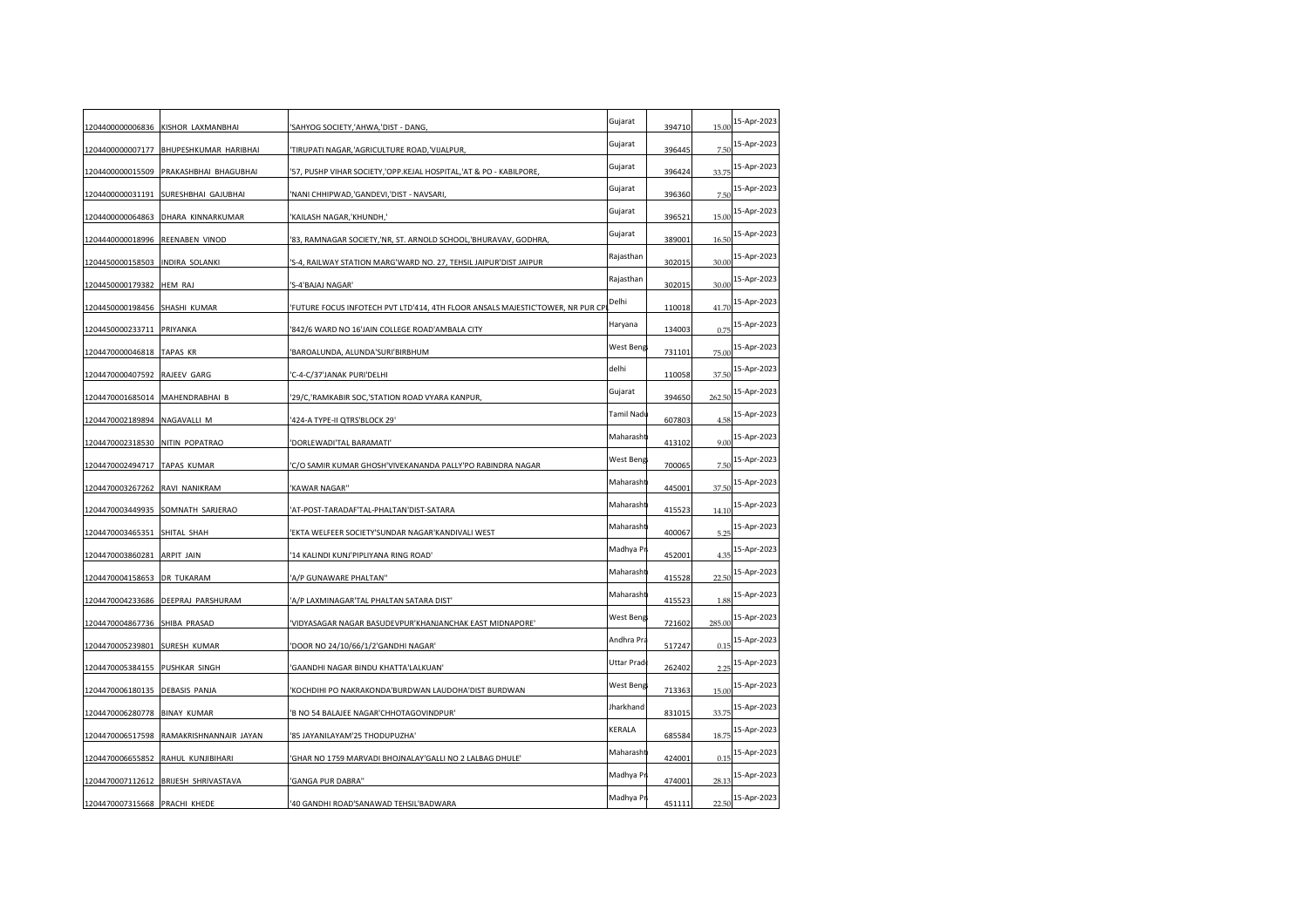|                                 | 1204400000006836 KISHOR LAXMANBHAI   | 'SAHYOG SOCIETY,'AHWA,'DIST - DANG,                                            | Gujarat    | 394710 | 15.00  | 15-Apr-2023 |
|---------------------------------|--------------------------------------|--------------------------------------------------------------------------------|------------|--------|--------|-------------|
| 1204400000007177                | BHUPESHKUMAR HARIBHAI                | 'TIRUPATI NAGAR,'AGRICULTURE ROAD,'VIJALPUR,                                   | Gujarat    | 396445 | 7.50   | 15-Apr-2023 |
| 1204400000015509                | PRAKASHBHAI BHAGUBHAI                | '57, PUSHP VIHAR SOCIETY,'OPP.KEJAL HOSPITAL,'AT & PO - KABILPORE              | Gujarat    | 396424 | 33.75  | 15-Apr-2023 |
|                                 | 1204400000031191 SURESHBHAI GAJUBHAI | NANI CHHIPWAD, 'GANDEVI,' DIST - NAVSARI                                       | Gujarat    | 396360 | 7.50   | 15-Apr-2023 |
| 1204400000064863                | DHARA KINNARKUMAR                    | 'KAILASH NAGAR,'KHUNDH,'                                                       | Gujarat    | 396521 | 15.00  | 15-Apr-2023 |
| 1204440000018996 REENABEN VINOD |                                      | '83, RAMNAGAR SOCIETY,'NR, ST. ARNOLD SCHOOL,'BHURAVAV, GODHRA                 | Gujarat    | 389001 | 16.50  | 15-Apr-2023 |
| 1204450000158503                | INDIRA SOLANKI                       | 'S-4, RAILWAY STATION MARG'WARD NO. 27, TEHSIL JAIPUR'DIST JAIPUR              | Rajasthan  | 302015 | 30.00  | 15-Apr-2023 |
| 1204450000179382                | HEM RAJ                              | 'S-4'BAJAJ NAGAR'                                                              | Rajasthan  | 302015 | 30.00  | 15-Apr-2023 |
| 1204450000198456                | SHASHI KUMAR                         | FUTURE FOCUS INFOTECH PVT LTD'414, 4TH FLOOR ANSALS MAJESTIC'TOWER, NR PUR CP' | Delhi      | 110018 | 41.70  | 15-Apr-2023 |
| 1204450000233711                | PRIYANKA                             | '842/6 WARD NO 16'JAIN COLLEGE ROAD'AMBALA CITY                                | Haryana    | 134003 | 0.75   | 15-Apr-2023 |
| 1204470000046818 TAPAS KR       |                                      | 'BAROALUNDA, ALUNDA'SURI'BIRBHUM                                               | West Beng  | 731101 | 75.00  | 15-Apr-2023 |
| 1204470000407592                | RAJEEV GARG                          | 'C-4-C/37'JANAK PURI'DELHI                                                     | delhi      | 110058 | 37.50  | 15-Apr-2023 |
| 1204470001685014 MAHENDRABHAI B |                                      | '29/C,'RAMKABIR SOC,'STATION ROAD VYARA KANPUR,                                | Gujarat    | 394650 | 262.50 | 15-Apr-2023 |
| 1204470002189894                | NAGAVALLI M                          | '424-A TYPE-II QTRS'BLOCK 29'                                                  | Tamil Nadu | 607803 | 4.58   | 15-Apr-2023 |
| 1204470002318530                | NITIN POPATRAO                       | 'DORLEWADI'TAL BARAMATI'                                                       | Maharasht  | 413102 | 9.00   | 15-Apr-2023 |
| 1204470002494717 TAPAS KUMAR    |                                      | 'C/O SAMIR KUMAR GHOSH'VIVEKANANDA PALLY'PO RABINDRA NAGAR                     | West Beng  | 700065 | 7.50   | 15-Apr-2023 |
| 1204470003267262                | RAVI NANIKRAM                        | 'KAWAR NAGAR"                                                                  | Maharasht  | 445001 | 37.50  | 15-Apr-2023 |
| 1204470003449935                | SOMNATH SARJERAO                     | AT-POST-TARADAF'TAL-PHALTAN'DIST-SATARA                                        | Maharasht  | 415523 | 14.10  | 15-Apr-2023 |
| 1204470003465351                | SHITAL SHAH                          | EKTA WELFEER SOCIETY'SUNDAR NAGAR'KANDIVALI WEST                               | Maharasht  | 400067 | 5.25   | 15-Apr-2023 |
| 1204470003860281                | <b>ARPIT JAIN</b>                    | '14 KALINDI KUNJ'PIPLIYANA RING ROAD'                                          | Madhya Pi  | 452001 | 4.35   | 15-Apr-2023 |
| 1204470004158653 DR TUKARAM     |                                      | 'A/P GUNAWARE PHALTAN''                                                        | Maharasht  | 415528 | 22.50  | 15-Apr-2023 |
|                                 | 1204470004233686 DEEPRAJ PARSHURAM   | 'A/P LAXMINAGAR'TAL PHALTAN SATARA DIST'                                       | Maharasht  | 415523 | 1.88   | 15-Apr-2023 |
| 1204470004867736 SHIBA PRASAD   |                                      | 'VIDYASAGAR NAGAR BASUDEVPUR'KHANJANCHAK EAST MIDNAPORE'                       | West Beng  | 721602 | 285.00 | 15-Apr-2023 |
| 1204470005239801                | SURESH KUMAR                         | 'DOOR NO 24/10/66/1/2'GANDHI NAGAR'                                            | Andhra Pra | 517247 | 0.15   | 15-Apr-2023 |
| 1204470005384155 PUSHKAR SINGH  |                                      | 'GAANDHI NAGAR BINDU KHATTA'LALKUAN'                                           | Uttar Prad | 262402 | 2.25   | 15-Apr-2023 |
| 1204470006180135 DEBASIS PANJA  |                                      | 'KOCHDIHI PO NAKRAKONDA'BURDWAN LAUDOHA'DIST BURDWAN                           | West Beng  | 713363 | 15.00  | 15-Apr-2023 |
| 1204470006280778                | <b>BINAY KUMAR</b>                   | 'B NO 54 BALAJEE NAGAR'CHHOTAGOVINDPUR'                                        | Jharkhand  | 831015 | 33.75  | 15-Apr-2023 |
| 1204470006517598                | RAMAKRISHNANNAIR JAYAN               | '85 JAYANILAYAM'25 THODUPUZHA'                                                 | KERALA     | 685584 | 18.75  | 15-Apr-2023 |
| 1204470006655852                | RAHUL KUNJIBIHARI                    | GHAR NO 1759 MARVADI BHOJNALAY'GALLI NO 2 LALBAG DHULE'                        | Maharasht  | 424001 | 0.15   | 15-Apr-2023 |
| 1204470007112612                | BRIJESH SHRIVASTAVA                  | 'GANGA PUR DABRA"                                                              | Madhya Pi  | 474001 | 28.13  | 15-Apr-2023 |
| 1204470007315668 PRACHI KHEDE   |                                      | '40 GANDHI ROAD'SANAWAD TEHSIL'BADWARA                                         | Madhya Pr  | 451111 | 22.50  | 15-Apr-2023 |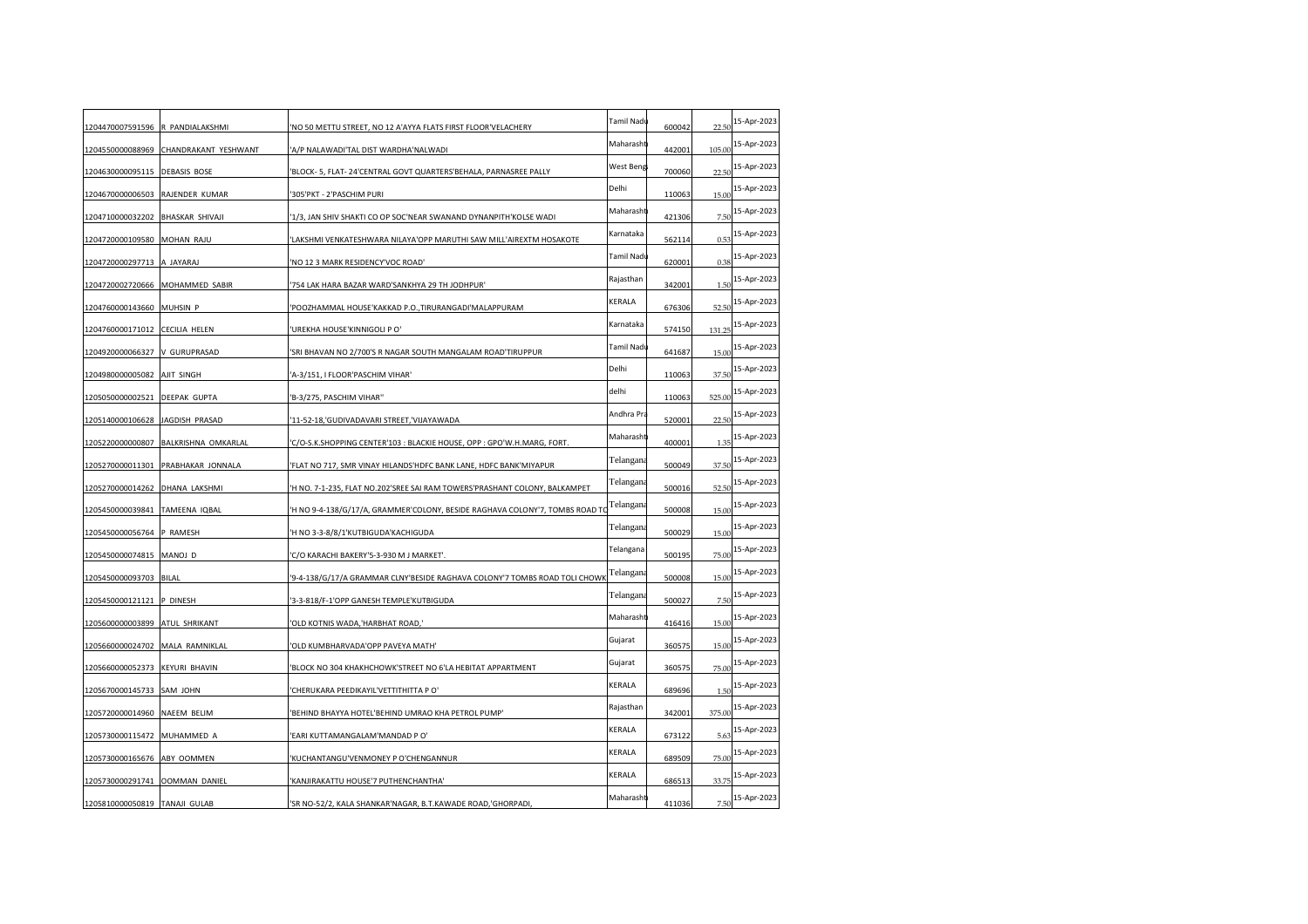| 1204470007591596 R PANDIALAKSHMI |                                    | 'NO 50 METTU STREET, NO 12 A'AYYA FLATS FIRST FLOOR'VELACHERY               | Tamil Nadı | 600042 | 22.50  | 15-Apr-2023 |
|----------------------------------|------------------------------------|-----------------------------------------------------------------------------|------------|--------|--------|-------------|
| 1204550000088969                 | CHANDRAKANT YESHWANT               | 'A/P NALAWADI'TAL DIST WARDHA'NALWADI                                       | Maharasht  | 442001 | 105.00 | 15-Apr-2023 |
| 1204630000095115                 | <b>DEBASIS BOSE</b>                | 'BLOCK- 5, FLAT- 24'CENTRAL GOVT QUARTERS'BEHALA, PARNASREE PALLY           | West Beng  | 700060 | 22.5(  | 15-Apr-2023 |
| 1204670000006503                 | RAJENDER KUMAR                     | '305'PKT - 2'PASCHIM PURI                                                   | Delhi      | 110063 | 15.00  | 15-Apr-2023 |
| 1204710000032202                 | <b>BHASKAR SHIVAJI</b>             | '1/3, JAN SHIV SHAKTI CO OP SOC'NEAR SWANAND DYNANPITH'KOLSE WADI           | Maharasht  | 421306 | 7.50   | 15-Apr-2023 |
| 1204720000109580 MOHAN RAJU      |                                    | 'LAKSHMI VENKATESHWARA NILAYA'OPP MARUTHI SAW MILL'AIREXTM HOSAKOTE         | Karnataka  | 562114 | 0.53   | 15-Apr-2023 |
| 1204720000297713                 | A JAYARAJ                          | 'NO 12 3 MARK RESIDENCY'VOC ROAD'                                           | Tamil Nadı | 620001 | 0.38   | 15-Apr-2023 |
|                                  | 1204720002720666 MOHAMMED SABIR    | 754 LAK HARA BAZAR WARD'SANKHYA 29 TH JODHPUR'                              | Rajasthan  | 342001 | 1.5(   | 15-Apr-2023 |
| 1204760000143660                 | MUHSIN <sub>P</sub>                | 'POOZHAMMAL HOUSE'KAKKAD P.O.,TIRURANGADI'MALAPPURAM                        | KERALA     | 676306 | 52.50  | 15-Apr-2023 |
| 1204760000171012 CECILIA HELEN   |                                    | 'UREKHA HOUSE'KINNIGOLI P O'                                                | Karnataka  | 574150 | 131.25 | 15-Apr-2023 |
| 1204920000066327 V GURUPRASAD    |                                    | 'SRI BHAVAN NO 2/700'S R NAGAR SOUTH MANGALAM ROAD'TIRUPPUR                 | Tamil Nadı | 641687 | 15.00  | 15-Apr-2023 |
| 1204980000005082                 | AJIT SINGH                         | 'A-3/151, I FLOOR'PASCHIM VIHAR'                                            | Delhi      | 110063 | 37.50  | 15-Apr-2023 |
| 1205050000002521                 | <b>DEEPAK GUPTA</b>                | 'B-3/275, PASCHIM VIHAR"                                                    | delhi      | 110063 | 525.00 | 15-Apr-2023 |
| 1205140000106628                 | JAGDISH PRASAD                     | '11-52-18,'GUDIVADAVARI STREET,'VIJAYAWADA                                  | Andhra Pra | 520001 | 22.5(  | 15-Apr-2023 |
| 1205220000000807                 | BALKRISHNA OMKARLAL                | 'C/O-S.K.SHOPPING CENTER'103 : BLACKIE HOUSE, OPP : GPO'W.H.MARG, FORT.     | Maharasht  | 400001 | 1.35   | 15-Apr-2023 |
|                                  | 1205270000011301 PRABHAKAR JONNALA | 'FLAT NO 717, SMR VINAY HILANDS'HDFC BANK LANE, HDFC BANK'MIYAPUR           | Telangana  | 500049 | 37.50  | 15-Apr-2023 |
| 1205270000014262                 | <b>DHANA LAKSHMI</b>               | 'H NO. 7-1-235, FLAT NO.202'SREE SAI RAM TOWERS'PRASHANT COLONY, BALKAMPET  | Telangana  | 500016 | 52.50  | 15-Apr-2023 |
| 1205450000039841 TAMEENA IQBAL   |                                    | 'H NO 9-4-138/G/17/A, GRAMMER'COLONY, BESIDE RAGHAVA COLONY'7, TOMBS ROAD T | Telangana  | 500008 | 15.00  | 15-Apr-2023 |
| 1205450000056764                 | P RAMESH                           | 'H NO 3-3-8/8/1'KUTBIGUDA'KACHIGUDA                                         | Telangana  | 500029 | 15.00  | 15-Apr-2023 |
| 1205450000074815 MANOJ D         |                                    | 'C/O KARACHI BAKERY'5-3-930 M J MARKET'.                                    | Telangana  | 500195 | 75.00  | 15-Apr-2023 |
| 1205450000093703 BILAL           |                                    | '9-4-138/G/17/A GRAMMAR CLNY'BESIDE RAGHAVA COLONY'7 TOMBS ROAD TOLI CHOWK  | Telangana  | 500008 | 15.00  | 15-Apr-2023 |
| 1205450000121121                 | P DINESH                           | '3-3-818/F-1'OPP GANESH TEMPLE'KUTBIGUDA                                    | Telangana  | 500027 | 7.50   | 15-Apr-2023 |
| 1205600000003899 ATUL SHRIKANT   |                                    | 'OLD KOTNIS WADA, 'HARBHAT ROAD,'                                           | Maharasht  | 416416 | 15.00  | 15-Apr-2023 |
| 1205660000024702 MALA RAMNIKLAL  |                                    | 'OLD KUMBHARVADA'OPP PAVEYA MATH'                                           | Gujarat    | 360575 | 15.00  | 15-Apr-2023 |
| 1205660000052373                 | <b>KEYURI BHAVIN</b>               | 'BLOCK NO 304 KHAKHCHOWK'STREET NO 6'LA HEBITAT APPARTMENT                  | Gujarat    | 360575 | 75.00  | 15-Apr-2023 |
| 1205670000145733 SAM JOHN        |                                    | 'CHERUKARA PEEDIKAYIL'VETTITHITTA P O'                                      | KERALA     | 689696 | 1.5(   | 15-Apr-2023 |
| 1205720000014960                 | <b>NAEEM BELIM</b>                 | 'BEHIND BHAYYA HOTEL'BEHIND UMRAO KHA PETROL PUMP'                          | Rajasthan  | 342001 | 375.00 | 15-Apr-2023 |
| 1205730000115472                 | MUHAMMED A                         | 'EARI KUTTAMANGALAM'MANDAD P O'                                             | KERALA     | 673122 | 5.63   | 15-Apr-2023 |
| 1205730000165676                 | ABY OOMMEN                         | 'KUCHANTANGU'VENMONEY PO'CHENGANNUR                                         | KERALA     | 689509 | 75.00  | 15-Apr-2023 |
| 1205730000291741 OOMMAN DANIEL   |                                    | 'KANJIRAKATTU HOUSE'7 PUTHENCHANTHA'                                        | KERALA     | 686513 | 33.75  | 15-Apr-2023 |
| 1205810000050819 TANAJI GULAB    |                                    | 'SR NO-52/2, KALA SHANKAR'NAGAR, B.T.KAWADE ROAD,'GHORPADI                  | Maharasht  | 411036 | 7.50   | 15-Apr-2023 |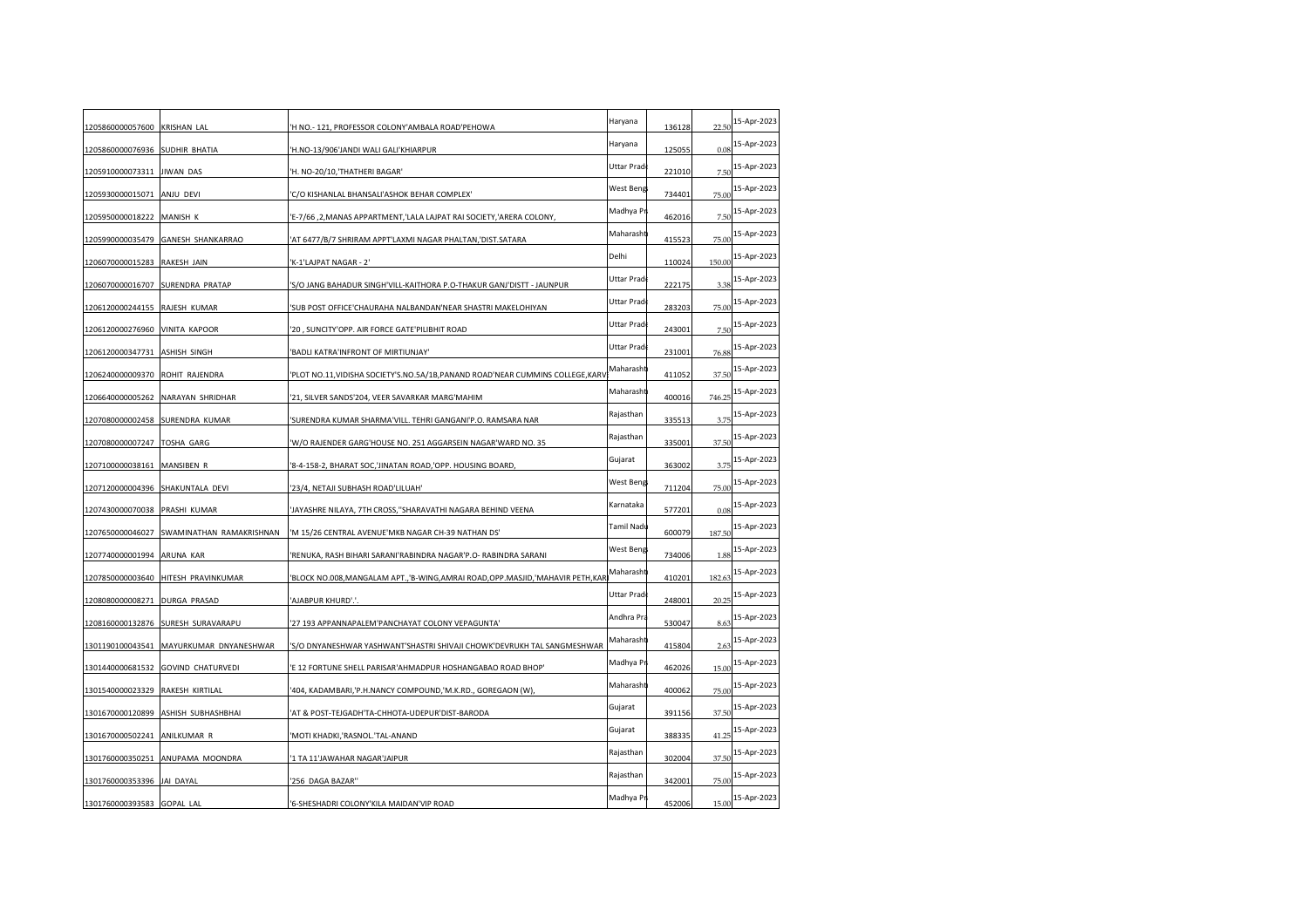| 1205860000057600 KRISHAN LAL     |                                     | 'H NO.- 121, PROFESSOR COLONY'AMBALA ROAD'PEHOWA                                   | Haryana           | 136128 | 22.50  | 15-Apr-2023 |
|----------------------------------|-------------------------------------|------------------------------------------------------------------------------------|-------------------|--------|--------|-------------|
| 1205860000076936 SUDHIR BHATIA   |                                     | 'H.NO-13/906'JANDI WALI GALI'KHIARPUR                                              | Haryana           | 125055 | 0.08   | 15-Apr-2023 |
| 1205910000073311                 | <b>JIWAN DAS</b>                    | H. NO-20/10, THATHERI BAGAR'                                                       | Uttar Prad        | 221010 | 7.5(   | 15-Apr-2023 |
| 1205930000015071                 | ANJU DEVI                           | 'C/O KISHANLAL BHANSALI'ASHOK BEHAR COMPLEX'                                       | West Beng         | 734401 | 75.00  | 15-Apr-2023 |
| 1205950000018222                 | MANISH K                            | 'E-7/66,2, MANAS APPARTMENT, 'LALA LAJPAT RAI SOCIETY, 'ARERA COLONY,              | Madhya P          | 462016 | 7.50   | 15-Apr-2023 |
|                                  | 1205990000035479 GANESH SHANKARRAO  | 'AT 6477/B/7 SHRIRAM APPT'LAXMI NAGAR PHALTAN,'DIST.SATARA                         | Maharasht         | 415523 | 75.00  | 15-Apr-2023 |
| 1206070000015283 RAKESH JAIN     |                                     | 'K-1'LAJPAT NAGAR - 2'                                                             | Delhi             | 110024 | 150.00 | 15-Apr-2023 |
|                                  | 1206070000016707 SURENDRA PRATAP    | S/O JANG BAHADUR SINGH'VILL-KAITHORA P.O-THAKUR GANJ'DISTT - JAUNPUR               | Uttar Prad        | 222175 | 3.38   | 15-Apr-2023 |
| 1206120000244155 RAJESH KUMAR    |                                     | 'SUB POST OFFICE'CHAURAHA NALBANDAN'NEAR SHASTRI MAKELOHIYAN                       | Uttar Prad        | 283203 | 75.00  | 15-Apr-2023 |
| 1206120000276960 VINITA KAPOOR   |                                     | '20, SUNCITY'OPP. AIR FORCE GATE'PILIBHIT ROAD                                     | Uttar Prad        | 243001 | 7.50   | 15-Apr-2023 |
| 1206120000347731 ASHISH SINGH    |                                     | 'BADLI KATRA'INFRONT OF MIRTIUNJAY'                                                | Uttar Prad        | 231001 | 76.88  | 15-Apr-2023 |
| 1206240000009370                 | ROHIT RAJENDRA                      | 'PLOT NO.11, VIDISHA SOCIETY'S.NO.5A/1B, PANAND ROAD'NEAR CUMMINS COLLEGE, KARV    | Maharasht         | 411052 | 37.50  | 15-Apr-2023 |
| 1206640000005262                 | NARAYAN SHRIDHAR                    | 21, SILVER SANDS'204, VEER SAVARKAR MARG'MAHIM                                     | Maharasht         | 400016 | 746.25 | 15-Apr-2023 |
| 1207080000002458                 | SURENDRA KUMAR                      | SURENDRA KUMAR SHARMA'VILL. TEHRI GANGANI'P.O. RAMSARA NAR                         | Rajasthan         | 335513 | 3.75   | 15-Apr-2023 |
| 1207080000007247 TOSHA GARG      |                                     | 'W/O RAJENDER GARG'HOUSE NO. 251 AGGARSEIN NAGAR'WARD NO. 35                       | Rajasthan         | 335001 | 37.50  | 15-Apr-2023 |
| 1207100000038161 MANSIBEN R      |                                     | '8-4-158-2, BHARAT SOC,'JINATAN ROAD,'OPP. HOUSING BOARD,                          | Gujarat           | 363002 | 3.75   | 15-Apr-2023 |
| 1207120000004396 SHAKUNTALA DEVI |                                     | '23/4, NETAJI SUBHASH ROAD'LILUAH'                                                 | West Beng         | 711204 | 75.00  | 15-Apr-2023 |
| 1207430000070038 PRASHI KUMAR    |                                     | JAYASHRE NILAYA, 7TH CROSS,"SHARAVATHI NAGARA BEHIND VEENA                         | Karnataka         | 577201 | 0.08   | 15-Apr-2023 |
| 1207650000046027                 | SWAMINATHAN RAMAKRISHNAN            | 'M 15/26 CENTRAL AVENUE'MKB NAGAR CH-39 NATHAN DS'                                 | Tamil Nadı        | 600079 | 187.50 | 15-Apr-2023 |
| 1207740000001994                 | ARUNA KAR                           | 'RENUKA, RASH BIHARI SARANI'RABINDRA NAGAR'P.O- RABINDRA SARANI                    | West Beng         | 734006 | 1.88   | 15-Apr-2023 |
|                                  | 1207850000003640 HITESH PRAVINKUMAR | 'BLOCK NO.008, MANGALAM APT., 'B-WING, AMRAI ROAD, OPP. MASJID, 'MAHAVIR PETH, KAR | Maharasht         | 410201 | 182.63 | 15-Apr-2023 |
| 1208080000008271                 | <b>DURGA PRASAD</b>                 | 'AJABPUR KHURD'.'.                                                                 | <b>Uttar Prad</b> | 248001 | 20.25  | 15-Apr-2023 |
| 1208160000132876                 | SURESH SURAVARAPU                   | 27 193 APPANNAPALEM'PANCHAYAT COLONY VEPAGUNTA'                                    | Andhra Pra        | 530047 | 8.63   | 15-Apr-2023 |
| 1301190100043541                 | MAYURKUMAR DNYANESHWAR              | 'S/O DNYANESHWAR YASHWANT'SHASTRI SHIVAJI CHOWK'DEVRUKH TAL SANGMESHWAR            | Maharasht         | 415804 | 2.63   | 15-Apr-2023 |
|                                  | 1301440000681532 GOVIND CHATURVEDI  | 'E 12 FORTUNE SHELL PARISAR'AHMADPUR HOSHANGABAO ROAD BHOP'                        | Madhya P          | 462026 | 15.00  | 15-Apr-2023 |
| 1301540000023329 RAKESH KIRTILAL |                                     | '404, KADAMBARI,'P.H.NANCY COMPOUND,'M.K.RD., GOREGAON (W)                         | Maharasht         | 400062 | 75.00  | 15-Apr-2023 |
| 1301670000120899                 | ASHISH SUBHASHBHAI                  | AT & POST-TEJGADH'TA-CHHOTA-UDEPUR'DIST-BARODA'                                    | Gujarat           | 391156 | 37.50  | 15-Apr-2023 |
| 1301670000502241                 | ANILKUMAR R                         | 'MOTI KHADKI,'RASNOL.'TAL-ANAND                                                    | Gujarat           | 388335 | 41.25  | 15-Apr-2023 |
| 1301760000350251                 | ANUPAMA MOONDRA                     | '1 TA 11'JAWAHAR NAGAR'JAIPUR                                                      | Rajasthan         | 302004 | 37.50  | 15-Apr-2023 |
| 1301760000353396 JAI DAYAL       |                                     | '256 DAGA BAZAR"                                                                   | Rajasthan         | 342001 | 75.00  | 15-Apr-2023 |
| 1301760000393583 GOPAL LAL       |                                     | '6-SHESHADRI COLONY'KILA MAIDAN'VIP ROAD                                           | Madhya Pr         | 452006 | 15.00  | 15-Apr-2023 |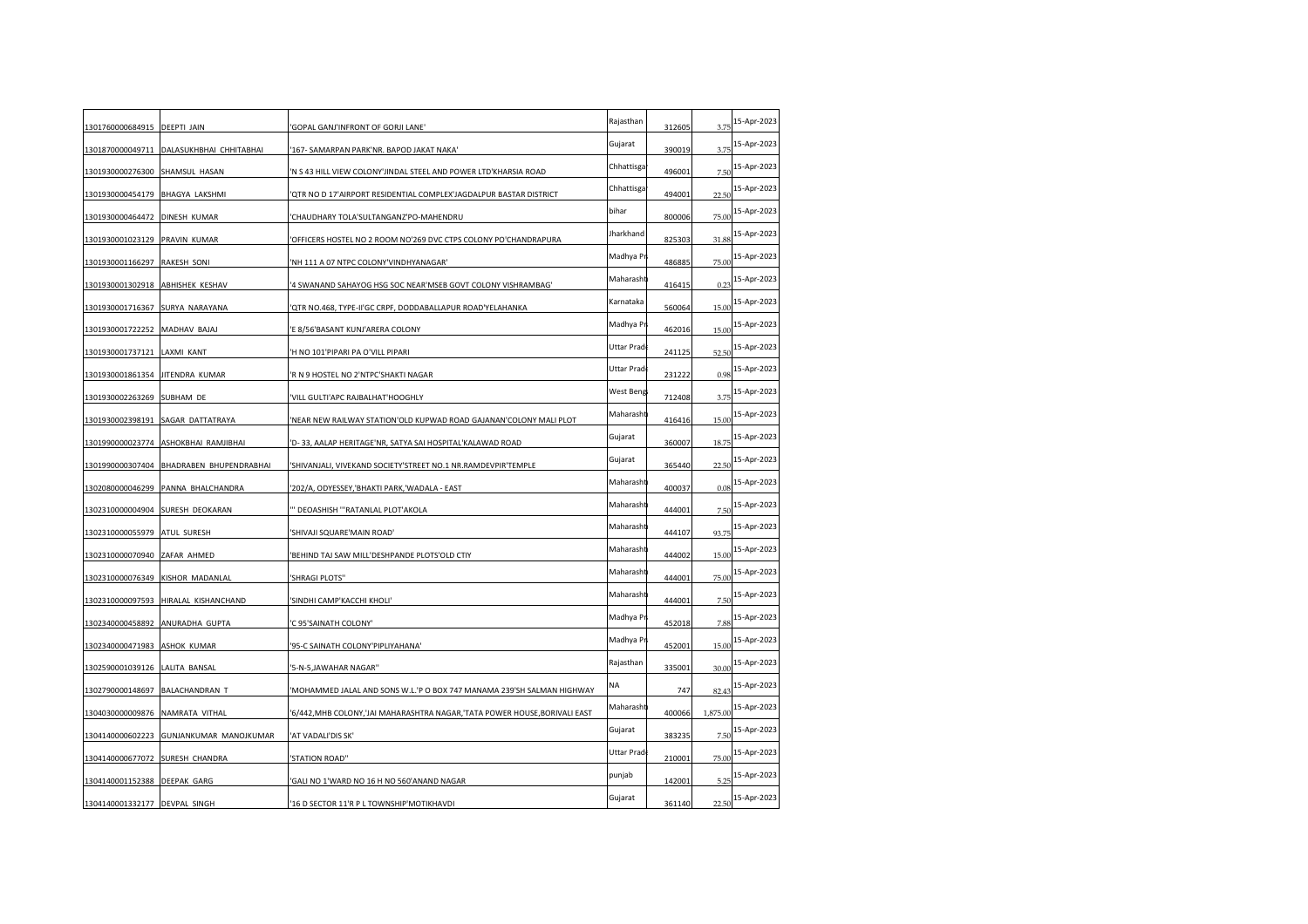| 1301760000684915 DEEPTI JAIN     |                                          | 'GOPAL GANJ'INFRONT OF GORJI LANE'                                           | Rajasthan  | 312605 | 3.75     | 15-Apr-2023 |
|----------------------------------|------------------------------------------|------------------------------------------------------------------------------|------------|--------|----------|-------------|
| 1301870000049711                 | DALASUKHBHAI CHHITABHAI                  | '167- SAMARPAN PARK'NR. BAPOD JAKAT NAKA'                                    | Gujarat    | 390019 | 3.75     | 15-Apr-2023 |
| 1301930000276300 SHAMSUL HASAN   |                                          | 'N S 43 HILL VIEW COLONY'JINDAL STEEL AND POWER LTD'KHARSIA ROAD             | Chhattisga | 496001 | 7.5(     | 15-Apr-2023 |
|                                  |                                          |                                                                              | Chhattisga |        |          | 15-Apr-2023 |
| 1301930000454179                 | <b>BHAGYA LAKSHMI</b>                    | QTR NO D 17'AIRPORT RESIDENTIAL COMPLEX'JAGDALPUR BASTAR DISTRICT            | bihar      | 494001 | 22.5(    | 15-Apr-2023 |
| 1301930000464472 DINESH KUMAR    |                                          | 'CHAUDHARY TOLA'SULTANGANZ'PO-MAHENDRU                                       | Jharkhand  | 800006 | 75.00    | 15-Apr-2023 |
| 1301930001023129 PRAVIN KUMAR    |                                          | OFFICERS HOSTEL NO 2 ROOM NO'269 DVC CTPS COLONY PO'CHANDRAPURA              | Madhya Pr  | 825303 | 31.88    | 15-Apr-2023 |
| 1301930001166297 RAKESH SONI     |                                          | 'NH 111 A 07 NTPC COLONY'VINDHYANAGAR'                                       |            | 486885 | 75.00    |             |
| 1301930001302918 ABHISHEK KESHAV |                                          | '4 SWANAND SAHAYOG HSG SOC NEAR'MSEB GOVT COLONY VISHRAMBAG'                 | Maharasht  | 416415 | 0.23     | 15-Apr-2023 |
| 1301930001716367                 | SURYA NARAYANA                           | QTR NO.468, TYPE-II'GC CRPF, DODDABALLAPUR ROAD'YELAHANKA                    | Karnataka  | 560064 | 15.00    | 15-Apr-2023 |
| 1301930001722252 MADHAV BAJAJ    |                                          | 'E 8/56'BASANT KUNJ'ARERA COLONY                                             | Madhya Pi  | 462016 | 15.00    | 15-Apr-2023 |
| 1301930001737121 LAXMI KANT      |                                          | 'H NO 101'PIPARI PA O'VILL PIPARI                                            | Uttar Prad | 241125 | 52.50    | 15-Apr-2023 |
| 1301930001861354                 | JITENDRA KUMAR                           | 'R N 9 HOSTEL NO 2'NTPC'SHAKTI NAGAR                                         | Uttar Prad | 231222 | 0.98     | 15-Apr-2023 |
| 1301930002263269                 | SUBHAM DE                                | 'VILL GULTI'APC RAJBALHAT'HOOGHLY                                            | West Beng  | 712408 | 3.75     | 15-Apr-2023 |
| 1301930002398191                 | SAGAR DATTATRAYA                         | 'NEAR NEW RAILWAY STATION'OLD KUPWAD ROAD GAJANAN'COLONY MALI PLOT           | Maharasht  | 416416 | 15.00    | 15-Apr-2023 |
| 1301990000023774                 | ASHOKBHAI RAMJIBHAI                      | 'D-33, AALAP HERITAGE'NR, SATYA SAI HOSPITAL'KALAWAD ROAD                    | Gujarat    | 360007 | 18.75    | 15-Apr-2023 |
|                                  | 1301990000307404 BHADRABEN BHUPENDRABHAI | 'SHIVANJALI, VIVEKAND SOCIETY'STREET NO.1 NR.RAMDEVPIR'TEMPLE                | Gujarat    | 365440 | 22.50    | 15-Apr-2023 |
|                                  | 1302080000046299 PANNA BHALCHANDRA       | 202/A, ODYESSEY, 'BHAKTI PARK, 'WADALA - EAST                                | Maharasht  | 400037 | 0.08     | 15-Apr-2023 |
|                                  | 1302310000004904 SURESH DEOKARAN         | " DEOASHISH "'RATANLAL PLOT'AKOLA                                            | Maharasht  | 444001 | 7.5(     | 15-Apr-2023 |
| 1302310000055979                 | ATUL SURESH                              | 'SHIVAJI SQUARE'MAIN ROAD'                                                   | Maharasht  | 444107 | 93.75    | 15-Apr-2023 |
| 1302310000070940 ZAFAR AHMED     |                                          | 'BEHIND TAJ SAW MILL'DESHPANDE PLOTS'OLD CTIY                                | Maharasht  | 444002 | 15.00    | 15-Apr-2023 |
| 1302310000076349 KISHOR MADANLAL |                                          | 'SHRAGI PLOTS"                                                               | Maharasht  | 444001 | 75.00    | 15-Apr-2023 |
|                                  | 1302310000097593 HIRALAL KISHANCHAND     | 'SINDHI CAMP'KACCHI KHOLI'                                                   | Maharasht  | 444001 | 7.50     | 15-Apr-2023 |
| 1302340000458892                 | ANURADHA GUPTA                           | 'C 95'SAINATH COLONY'                                                        | Madhya Pr  | 452018 | 7.88     | 15-Apr-2023 |
| 1302340000471983                 | <b>ASHOK KUMAR</b>                       | '95-C SAINATH COLONY'PIPLIYAHANA'                                            | Madhya Pr  | 452001 | 15.00    | 15-Apr-2023 |
| 1302590001039126 LALITA BANSAL   |                                          | '5-N-5, JAWAHAR NAGAR"                                                       | Rajasthan  | 335001 | 30.00    | 15-Apr-2023 |
| 1302790000148697 BALACHANDRAN T  |                                          | 'MOHAMMED JALAL AND SONS W.L.'P O BOX 747 MANAMA 239'SH SALMAN HIGHWAY       | NA         | 747    | 82.43    | 15-Apr-2023 |
| 1304030000009876                 | NAMRATA VITHAL                           | '6/442, MHB COLONY, 'JAI MAHARASHTRA NAGAR, 'TATA POWER HOUSE, BORIVALI EAST | Maharasht  | 400066 | 1,875.00 | 15-Apr-2023 |
| 1304140000602223                 | GUNJANKUMAR MANOJKUMAR                   | 'AT VADALI'DIS SK'                                                           | Gujarat    | 383235 | 7.50     | 15-Apr-2023 |
| 1304140000677072                 | SURESH CHANDRA                           | 'STATION ROAD''                                                              | Uttar Prad | 210001 | 75.00    | 15-Apr-2023 |
| 1304140001152388 DEEPAK GARG     |                                          | 'GALI NO 1'WARD NO 16 H NO 560'ANAND NAGAR                                   | punjab     | 142001 | 5.25     | 15-Apr-2023 |
| 1304140001332177 DEVPAL SINGH    |                                          | '16 D SECTOR 11'R P L TOWNSHIP'MOTIKHAVDI                                    | Gujarat    | 361140 | 22.50    | 15-Apr-2023 |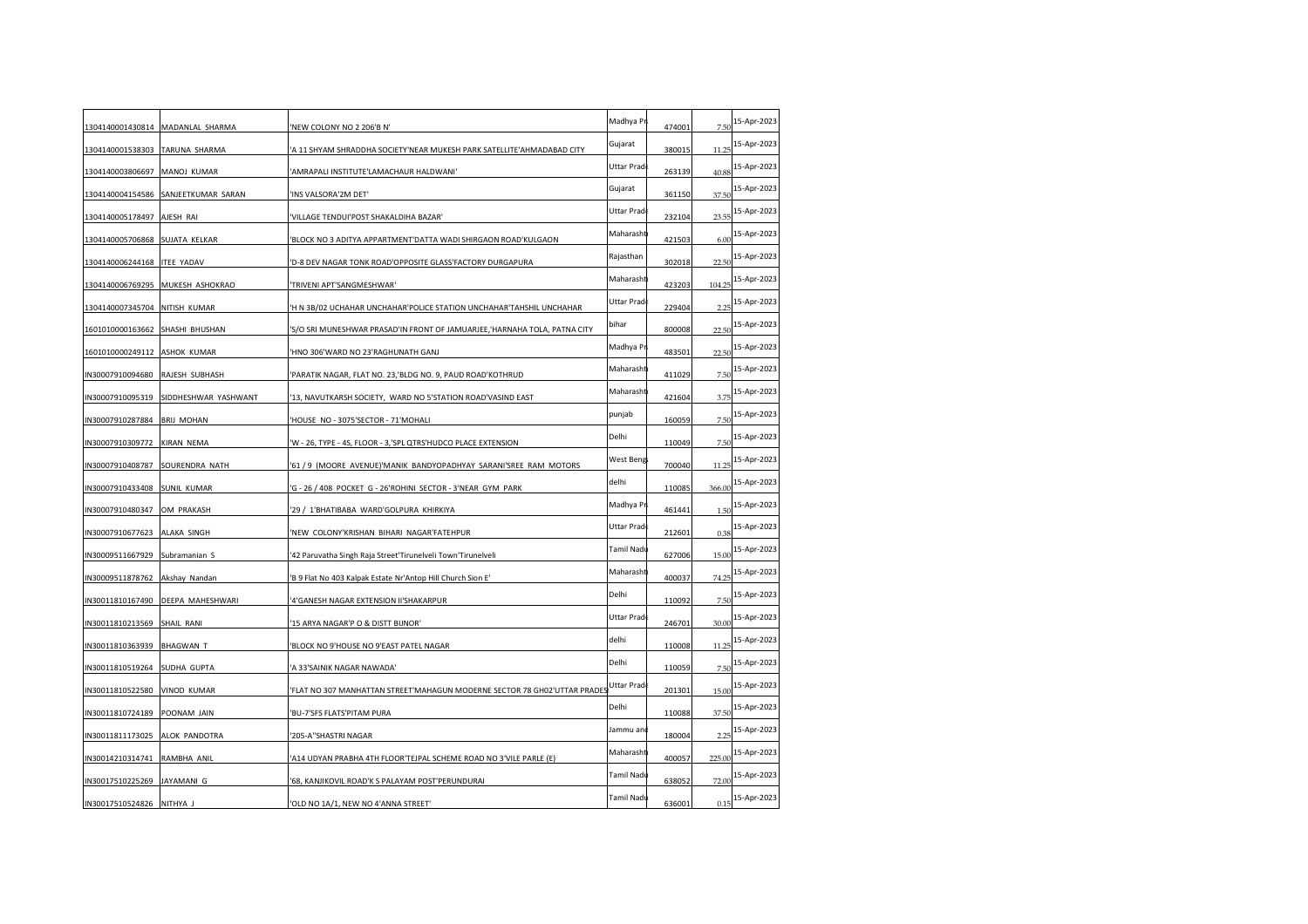|                                 |                                  | 'NEW COLONY NO 2 206'B N'                                                  | Madhya Pr  | 474001 | 7.50   | 15-Apr-2023 |
|---------------------------------|----------------------------------|----------------------------------------------------------------------------|------------|--------|--------|-------------|
| 1304140001538303                | TARUNA SHARMA                    | A 11 SHYAM SHRADDHA SOCIETY'NEAR MUKESH PARK SATELLITE'AHMADABAD CITY      | Gujarat    | 380015 | 11.25  | 15-Apr-2023 |
| 1304140003806697                | MANOJ KUMAR                      | AMRAPALI INSTITUTE'LAMACHAUR HALDWANI'                                     | Uttar Prad | 263139 | 40.88  | 15-Apr-2023 |
| 1304140004154586                | SANJEETKUMAR SARAN               | INS VALSORA'2M DET'                                                        | Gujarat    | 361150 | 37.50  | 15-Apr-2023 |
| 1304140005178497                | AJESH RAI                        | VILLAGE TENDUI'POST SHAKALDIHA BAZAR'                                      | Uttar Prad | 232104 | 23.55  | 15-Apr-2023 |
| 1304140005706868 SUJATA KELKAR  |                                  | BLOCK NO 3 ADITYA APPARTMENT'DATTA WADI SHIRGAON ROAD'KULGAON'             | Maharasht  | 421503 | 6.00   | 15-Apr-2023 |
| 1304140006244168 ITEE YADAV     |                                  | D-8 DEV NAGAR TONK ROAD'OPPOSITE GLASS'FACTORY DURGAPURA                   | Rajasthan  | 302018 | 22.5(  | 15-Apr-2023 |
|                                 | 1304140006769295 MUKESH ASHOKRAO | TRIVENI APT'SANGMESHWAR'                                                   | Maharasht  | 423203 | 104.25 | 15-Apr-2023 |
| 1304140007345704 NITISH KUMAR   |                                  | 'H N 3B/02 UCHAHAR UNCHAHAR'POLICE STATION UNCHAHAR'TAHSHIL UNCHAHAR       | Uttar Prad | 229404 | 2.25   | 15-Apr-2023 |
| 1601010000163662 SHASHI BHUSHAN |                                  | 'S/O SRI MUNESHWAR PRASAD'IN FRONT OF JAMUARJEE, 'HARNAHA TOLA, PATNA CITY | bihar      | 800008 | 22.50  | 15-Apr-2023 |
| 1601010000249112 ASHOK KUMAR    |                                  | 'HNO 306'WARD NO 23'RAGHUNATH GANJ                                         | Madhya Pi  | 483501 | 22.50  | 15-Apr-2023 |
| N30007910094680                 | RAJESH SUBHASH                   | 'PARATIK NAGAR, FLAT NO. 23,'BLDG NO. 9, PAUD ROAD'KOTHRUD                 | Maharasht  | 411029 | 7.50   | 15-Apr-2023 |
| N30007910095319                 | SIDDHESHWAR YASHWANT             | 13, NAVUTKARSH SOCIETY, WARD NO 5'STATION ROAD'VASIND EAST                 | Maharasht  | 421604 | 3.75   | 15-Apr-2023 |
| N30007910287884                 | <b>BRIJ MOHAN</b>                | HOUSE NO - 3075'SECTOR - 71'MOHALI                                         | punjab     | 160059 | 7.5(   | 15-Apr-2023 |
| N30007910309772                 | KIRAN NEMA                       | W - 26, TYPE - 4S, FLOOR - 3, SPL QTRS'HUDCO PLACE EXTENSION               | Delhi      | 110049 | 7.50   | 15-Apr-2023 |
| N30007910408787 SOURENDRA NATH  |                                  | '61/9 (MOORE AVENUE)'MANIK BANDYOPADHYAY SARANI'SREE RAM MOTORS            | West Beng  | 700040 | 11.25  | 15-Apr-2023 |
| N30007910433408                 | <b>SUNIL KUMAR</b>               | 'G - 26 / 408 POCKET G - 26'ROHINI SECTOR - 3'NEAR GYM PARK                | delhi      | 110085 | 366.00 | 15-Apr-2023 |
| N30007910480347                 | OM PRAKASH                       | '29 / 1'BHATIBABA WARD'GOLPURA KHIRKIYA                                    | Madhya Pr  | 461441 | 1.5(   | 15-Apr-2023 |
| N30007910677623                 | ALAKA SINGH                      | 'NEW COLONY'KRISHAN BIHARI NAGAR'FATEHPUR                                  | Uttar Prad | 212601 | 0.38   | 15-Apr-2023 |
| N30009511667929                 | Subramanian S                    | 42 Paruvatha Singh Raja Street'Tirunelveli Town'Tirunelveli                | Tamil Nadı | 627006 | 15.00  | 15-Apr-2023 |
| IN30009511878762 Akshay Nandan  |                                  | 'B 9 Flat No 403 Kalpak Estate Nr'Antop Hill Church Sion E'                | Maharasht  | 400037 | 74.25  | 15-Apr-2023 |
|                                 | N30011810167490 DEEPA MAHESHWARI | 4'GANESH NAGAR EXTENSION II'SHAKARPUR                                      | Delhi      | 110092 | 7.50   | 15-Apr-2023 |
| N30011810213569                 | SHAIL RANI                       | 15 ARYA NAGAR'P O & DISTT BIJNOR'                                          | Uttar Prad | 246701 | 30.00  | 15-Apr-2023 |
| N30011810363939                 | <b>BHAGWAN T</b>                 | BLOCK NO 9'HOUSE NO 9'EAST PATEL NAGAR                                     | delhi      | 110008 | 11.25  | 15-Apr-2023 |
| N30011810519264                 | SUDHA GUPTA                      | 'A 33'SAINIK NAGAR NAWADA'                                                 | Delhi      | 110059 | 7.50   | 15-Apr-2023 |
| N30011810522580 VINOD KUMAR     |                                  | 'FLAT NO 307 MANHATTAN STREET'MAHAGUN MODERNE SECTOR 78 GH02'UTTAR PRADE   | Uttar Prad | 201301 | 15.00  | 15-Apr-2023 |
| N30011810724189                 | POONAM JAIN                      | BU-7'SFS FLATS'PITAM PURA                                                  | Delhi      | 110088 | 37.50  | 15-Apr-2023 |
| N30011811173025                 | ALOK PANDOTRA                    | '205-A''SHASTRI NAGAR                                                      | Jammu and  | 180004 | 2.25   | 15-Apr-2023 |
| N30014210314741                 | RAMBHA ANIL                      | A14 UDYAN PRABHA 4TH FLOOR'TEJPAL SCHEME ROAD NO 3'VILE PARLE (E)          | Maharasht  | 400057 | 225.00 | 15-Apr-2023 |
| IN30017510225269                | JAYAMANI G                       | '68, KANJIKOVIL ROAD'K S PALAYAM POST'PERUNDURAI                           | Tamil Nadı | 638052 | 72.00  | 15-Apr-2023 |
| IN30017510524826 NITHYA J       |                                  | OLD NO 1A/1, NEW NO 4'ANNA STREET'                                         | Tamil Nadı | 636001 | 0.15   | 15-Apr-2023 |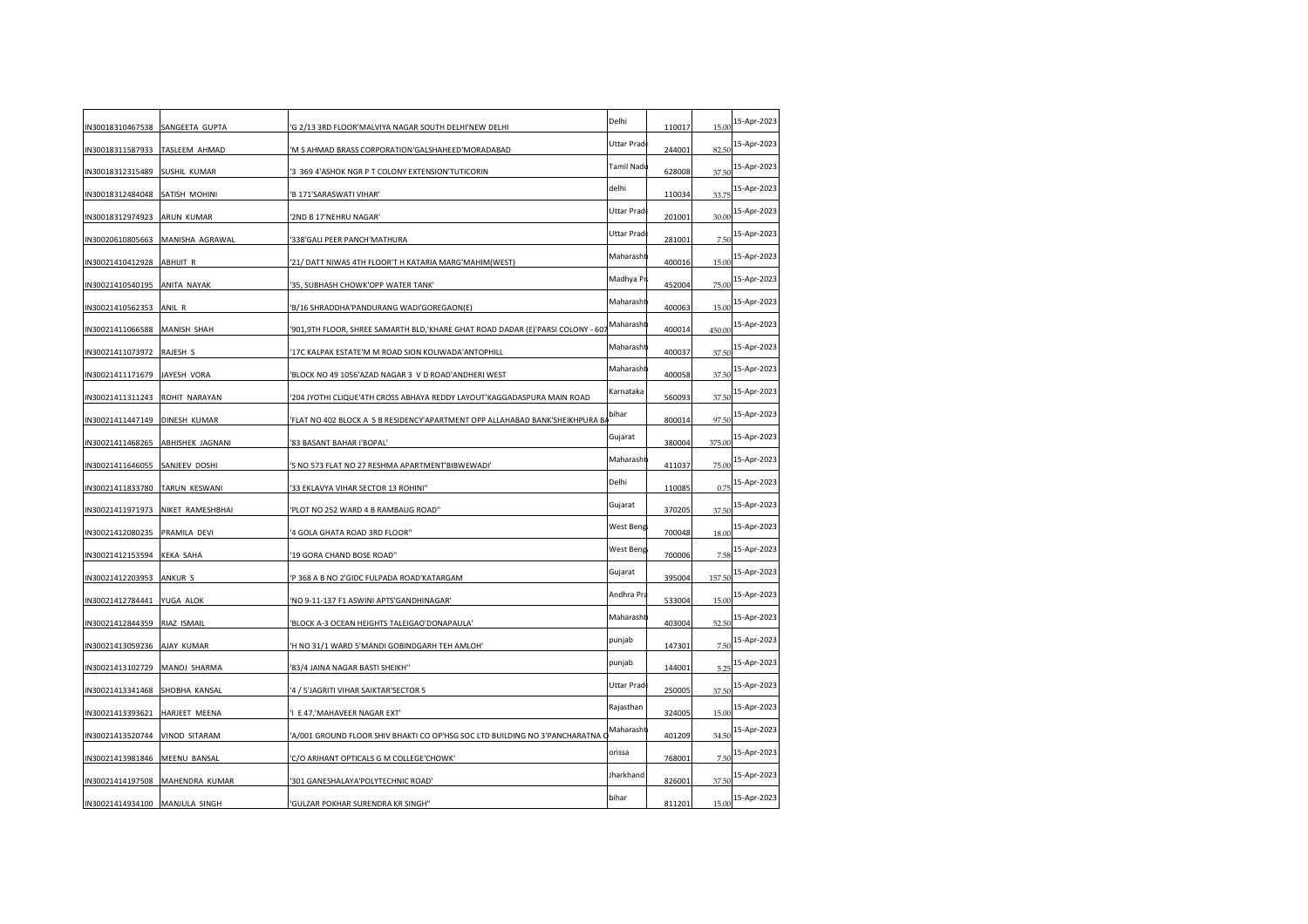| IN30018310467538               | SANGEETA GUPTA          | G 2/13 3RD FLOOR'MALVIYA NAGAR SOUTH DELHI'NEW DELHI                            | Delhi      | 110017 |        | 15-Apr-2023 |
|--------------------------------|-------------------------|---------------------------------------------------------------------------------|------------|--------|--------|-------------|
|                                |                         |                                                                                 | Uttar Prad |        | 15.00  | 15-Apr-2023 |
| IN30018311587933               | TASLEEM AHMAD           | M S AHMAD BRASS CORPORATION'GALSHAHEED'MORADABAD                                | Tamil Nadu | 244001 | 82.50  | 15-Apr-2023 |
| IN30018312315489               | <b>SUSHIL KUMAR</b>     | 3 369 4'ASHOK NGR P T COLONY EXTENSION'TUTICORIN                                | delhi      | 628008 | 37.50  | 15-Apr-2023 |
| IN30018312484048               | SATISH MOHINI           | 'B 171'SARASWATI VIHAR'                                                         | Uttar Prad | 110034 | 33.75  | 15-Apr-2023 |
| IN30018312974923               | ARUN KUMAR              | '2ND B 17'NEHRU NAGAR'                                                          |            | 201001 | 30.00  |             |
| IN30020610805663               | MANISHA AGRAWAL         | 338'GALI PEER PANCH'MATHURA                                                     | Uttar Prad | 281001 | 7.50   | 15-Apr-2023 |
| IN30021410412928               | <b>ABHIJIT R</b>        | 21/ DATT NIWAS 4TH FLOOR'T H KATARIA MARG'MAHIM(WEST)                           | Maharasht  | 400016 | 15.00  | 15-Apr-2023 |
| IN30021410540195               | ANITA NAYAK             | 35, SUBHASH CHOWK'OPP WATER TANK'                                               | Madhya Pr  | 452004 | 75.00  | 15-Apr-2023 |
| IN30021410562353               | ANIL R                  | B/16 SHRADDHA'PANDURANG WADI'GOREGAON(E)                                        | Maharasht  | 400063 | 15.00  | 15-Apr-2023 |
| IN30021411066588               | <b>MANISH SHAH</b>      | '901,9TH FLOOR, SHREE SAMARTH BLD,'KHARE GHAT ROAD DADAR (E)'PARSI COLONY - 607 | Maharasht  | 400014 | 450.00 | 15-Apr-2023 |
| IN30021411073972 RAJESH S      |                         | 17C KALPAK ESTATE'M M ROAD SION KOLIWADA'ANTOPHILL                              | Maharasht  | 400037 | 37.50  | 15-Apr-2023 |
| IN30021411171679               | JAYESH VORA             | BLOCK NO 49 1056'AZAD NAGAR 3 V D ROAD'ANDHERI WEST                             | Maharasht  | 400058 | 37.50  | 15-Apr-2023 |
| IN30021411311243               | ROHIT NARAYAN           | 204 JYOTHI CLIQUE'4TH CROSS ABHAYA REDDY LAYOUT'KAGGADASPURA MAIN ROAD'         | Karnataka  | 560093 | 37.50  | 15-Apr-2023 |
| IN30021411447149               | DINESH KUMAR            | FLAT NO 402 BLOCK A S B RESIDENCY'APARTMENT OPP ALLAHABAD BANK'SHEIKHPURA B'    | bihar      | 800014 | 97.50  | 15-Apr-2023 |
| IN30021411468265               | <b>ABHISHEK JAGNANI</b> | 83 BASANT BAHAR I'BOPAL'                                                        | Gujarat    | 380004 | 375.00 | 15-Apr-2023 |
| IN30021411646055               | SANJEEV DOSHI           | 'S NO 573 FLAT NO 27 RESHMA APARTMENT'BIBWEWADI'                                | Maharasht  | 411037 | 75.00  | 15-Apr-2023 |
| IN30021411833780               | TARUN KESWANI           | 33 EKLAVYA VIHAR SECTOR 13 ROHINI"                                              | Delhi      | 110085 | 0.75   | 15-Apr-2023 |
| IN30021411971973               | NIKET RAMESHBHAI        | PLOT NO 252 WARD 4 B RAMBAUG ROAD"                                              | Gujarat    | 370205 | 37.50  | 15-Apr-2023 |
| IN30021412080235               | PRAMILA DEVI            | 4 GOLA GHATA ROAD 3RD FLOOR"                                                    | West Beng  | 700048 | 18.00  | 15-Apr-2023 |
| IN30021412153594               | <b>KEKA SAHA</b>        | '19 GORA CHAND BOSE ROAD"                                                       | West Beng  | 700006 | 7.58   | 15-Apr-2023 |
| IN30021412203953               | ANKUR S                 | P 368 A B NO 2'GIDC FULPADA ROAD'KATARGAM                                       | Gujarat    | 395004 | 157.50 | 15-Apr-2023 |
| IN30021412784441               | YUGA ALOK               | NO 9-11-137 F1 ASWINI APTS'GANDHINAGAR'                                         | Andhra Pra | 533004 | 15.00  | 15-Apr-2023 |
| IN30021412844359               | RIAZ ISMAIL             | BLOCK A-3 OCEAN HEIGHTS TALEIGAO'DONAPAULA'                                     | Maharasht  | 403004 | 52.50  | 15-Apr-2023 |
| IN30021413059236               | AJAY KUMAR              | 'H NO 31/1 WARD 5'MANDI GOBINDGARH TEH AMLOH'                                   | punjab     | 147301 | 7.50   | 15-Apr-2023 |
| IN30021413102729               | MANOJ SHARMA            | '83/4 JAINA NAGAR BASTI SHEIKH"                                                 | punjab     | 144001 | 5.25   | 15-Apr-2023 |
| IN30021413341468               | SHOBHA KANSAL           | '4 / 5'JAGRITI VIHAR SAIKTAR'SECTOR 5                                           | Uttar Prad | 250005 | 37.50  | 15-Apr-2023 |
| IN30021413393621               | HARJEET MEENA           | I E 47, MAHAVEER NAGAR EXT'                                                     | Rajasthan  | 324005 |        | 15-Apr-2023 |
|                                |                         |                                                                                 | Maharasht  |        | 15.00  | 15-Apr-2023 |
| IN30021413520744               | <b>VINOD SITARAM</b>    | 'A/001 GROUND FLOOR SHIV BHAKTI CO OP'HSG SOC LTD BUILDING NO 3'PANCHARATNA (   |            | 401209 | 34.50  |             |
| IN30021413981846               | <b>MEENU BANSAL</b>     | 'C/O ARIHANT OPTICALS G M COLLEGE'CHOWK'                                        | orissa     | 768001 | 7.5(   | 15-Apr-2023 |
| IN30021414197508               | MAHENDRA KUMAR          | '301 GANESHALAYA'POLYTECHNIC ROAD'                                              | Jharkhand  | 826001 | 37.50  | 15-Apr-2023 |
| IN30021414934100 MANJULA SINGH |                         | 'GULZAR POKHAR SURENDRA KR SINGH"                                               | bihar      | 811201 | 15.00  | 15-Apr-2023 |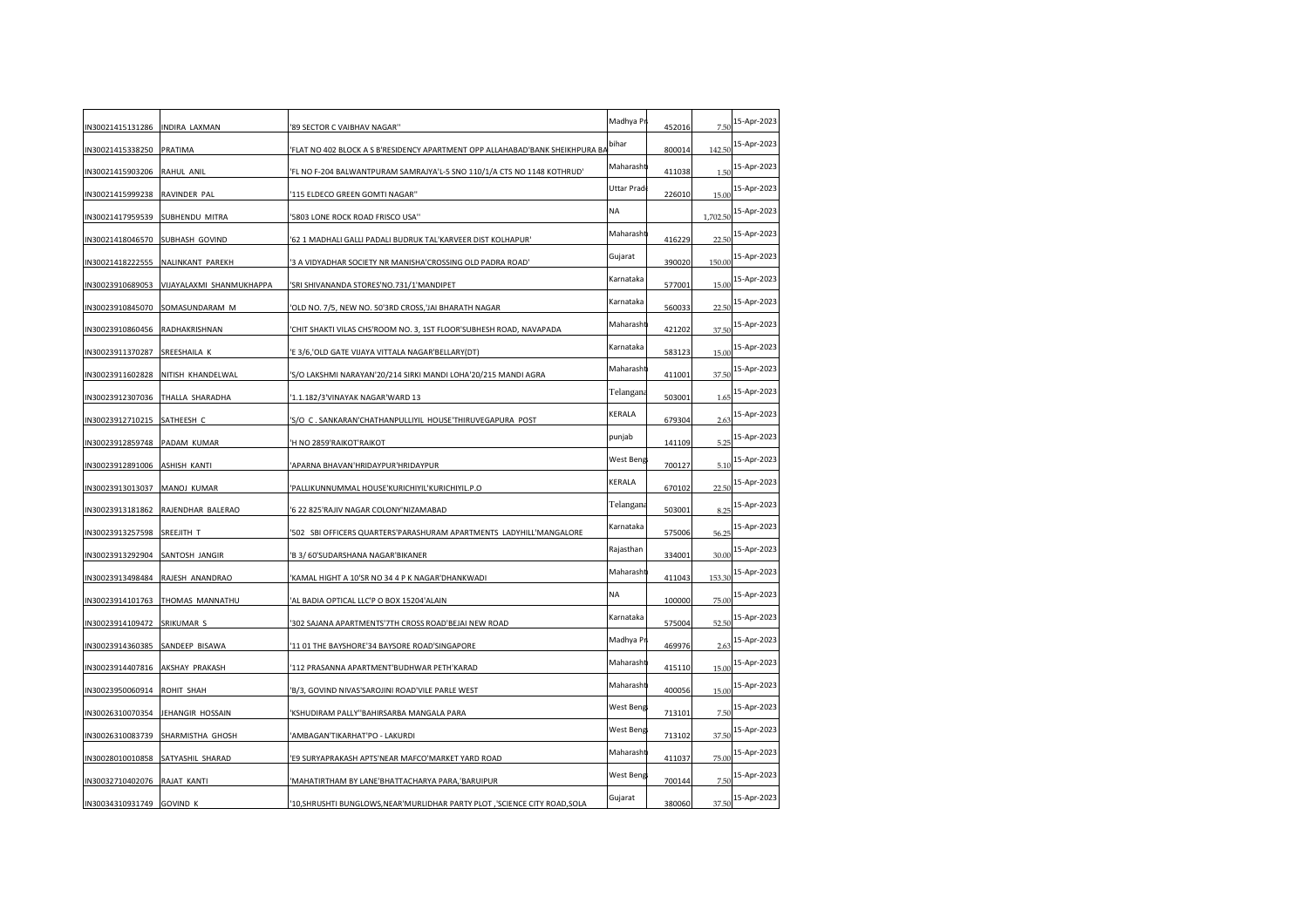| N30021415131286 INDIRA LAXMAN  |                                 | '89 SECTOR C VAIBHAV NAGAR"                                                   | Madhya Pr  | 452016 | 7.50     | 15-Apr-2023 |
|--------------------------------|---------------------------------|-------------------------------------------------------------------------------|------------|--------|----------|-------------|
| N30021415338250                | PRATIMA                         | FLAT NO 402 BLOCK A S B'RESIDENCY APARTMENT OPP ALLAHABAD'BANK SHEIKHPURA BA' | bihar      | 800014 | 142.50   | 15-Apr-2023 |
| N30021415903206 RAHUL ANIL     |                                 | FL NO F-204 BALWANTPURAM SAMRAJYA'L-5 SNO 110/1/A CTS NO 1148 KOTHRUD         | Maharasht  | 411038 | 1.5(     | 15-Apr-2023 |
| N30021415999238                | RAVINDER PAL                    | 115 ELDECO GREEN GOMTI NAGAR"                                                 | Uttar Prad | 226010 | 15.00    | 15-Apr-2023 |
| N30021417959539                | SUBHENDU MITRA                  | '5803 LONE ROCK ROAD FRISCO USA"                                              | NA         |        | 1,702.50 | 15-Apr-2023 |
| N30021418046570 SUBHASH GOVIND |                                 | '62 1 MADHALI GALLI PADALI BUDRUK TAL'KARVEER DIST KOLHAPUR'                  | Maharasht  | 416229 | 22.50    | 15-Apr-2023 |
| N30021418222555                | NALINKANT PAREKH                | 3 A VIDYADHAR SOCIETY NR MANISHA'CROSSING OLD PADRA ROAD'                     | Gujarat    | 390020 | 150.00   | 15-Apr-2023 |
| N30023910689053                | VIJAYALAXMI SHANMUKHAPPA        | SRI SHIVANANDA STORES'NO.731/1'MANDIPET                                       | Karnataka  | 577001 | 15.00    | 15-Apr-2023 |
| N30023910845070                | SOMASUNDARAM M                  | OLD NO. 7/5, NEW NO. 50'3RD CROSS, JAI BHARATH NAGAR                          | Karnataka  | 560033 | 22.5(    | 15-Apr-2023 |
| N30023910860456 RADHAKRISHNAN  |                                 | CHIT SHAKTI VILAS CHS'ROOM NO. 3, 1ST FLOOR'SUBHESH ROAD, NAVAPADA            | Maharasht  | 421202 | 37.50    | 15-Apr-2023 |
| N30023911370287 SREESHAILA K   |                                 | 'E 3/6,'OLD GATE VIJAYA VITTALA NAGAR'BELLARY(DT)                             | Karnataka  | 583123 | 15.00    | 15-Apr-2023 |
| N30023911602828                | NITISH KHANDELWAL               | S/O LAKSHMI NARAYAN'20/214 SIRKI MANDI LOHA'20/215 MANDI AGRA                 | Maharasht  | 411001 | 37.50    | 15-Apr-2023 |
| N30023912307036                | THALLA SHARADHA                 | '1.1.182/3'VINAYAK NAGAR'WARD 13                                              | Telangana  | 503001 | 1.65     | 15-Apr-2023 |
| N30023912710215 SATHEESH C     |                                 | 'S/O C. SANKARAN'CHATHANPULLIYIL HOUSE'THIRUVEGAPURA POST                     | KERALA     | 679304 | 2.63     | 15-Apr-2023 |
| N30023912859748 PADAM KUMAR    |                                 | H NO 2859'RAIKOT'RAIKOT                                                       | punjab     | 141109 | 5.25     | 15-Apr-2023 |
| N30023912891006 ASHISH KANTI   |                                 | APARNA BHAVAN'HRIDAYPUR'HRIDAYPUR                                             | West Beng  | 700127 | 5.10     | 15-Apr-2023 |
| N30023913013037                | MANOJ KUMAR                     | PALLIKUNNUMMAL HOUSE'KURICHIYIL'KURICHIYIL.P.O                                | KERALA     | 670102 | 22.50    | 15-Apr-2023 |
| N30023913181862                | RAJENDHAR BALERAO               | 6 22 825'RAJIV NAGAR COLONY'NIZAMABAD                                         | Telangana  | 503001 | 8.25     | 15-Apr-2023 |
| N30023913257598                | SREEJITH T                      | 502 SBI OFFICERS QUARTERS'PARASHURAM APARTMENTS LADYHILL'MANGALORE            | Karnataka  | 575006 | 56.25    | 15-Apr-2023 |
| N30023913292904                | SANTOSH JANGIR                  | 'B 3/ 60'SUDARSHANA NAGAR'BIKANER                                             | Rajasthan  | 334001 | 30.00    | 15-Apr-2023 |
|                                | N30023913498484 RAJESH ANANDRAO | KAMAL HIGHT A 10'SR NO 34 4 P K NAGAR'DHANKWADI                               | Maharasht  | 411043 | 153.30   | 15-Apr-2023 |
| N30023914101763                | THOMAS MANNATHU                 | AL BADIA OPTICAL LLC'P O BOX 15204'ALAIN                                      | <b>NA</b>  | 100000 | 75.00    | 15-Apr-2023 |
| N30023914109472                | SRIKUMAR S                      | 302 SAJANA APARTMENTS'7TH CROSS ROAD'BEJAI NEW ROAD                           | Karnataka  | 575004 | 52.50    | 15-Apr-2023 |
| N30023914360385                | SANDEEP BISAWA                  | 11 01 THE BAYSHORE'34 BAYSORE ROAD'SINGAPORE                                  | Madhya Pr  | 469976 | 2.63     | 15-Apr-2023 |
| N30023914407816 AKSHAY PRAKASH |                                 | 112 PRASANNA APARTMENT'BUDHWAR PETH'KARAD                                     | Maharasht  | 415110 | 15.00    | 15-Apr-2023 |
| N30023950060914 ROHIT SHAH     |                                 | 'B/3, GOVIND NIVAS'SAROJINI ROAD'VILE PARLE WEST                              | Maharasht  | 400056 | 15.00    | 15-Apr-2023 |
| N30026310070354                | JEHANGIR HOSSAIN                | KSHUDIRAM PALLY"BAHIRSARBA MANGALA PARA                                       | West Beng  | 713101 | 7.50     | 15-Apr-2023 |
| N30026310083739                | SHARMISTHA GHOSH                | AMBAGAN'TIKARHAT'PO - LAKURDI                                                 | West Beng  | 713102 | 37.50    | 15-Apr-2023 |
| N30028010010858                | SATYASHIL SHARAD                | E9 SURYAPRAKASH APTS'NEAR MAFCO'MARKET YARD ROAD                              | Maharasht  | 411037 | 75.00    | 15-Apr-2023 |
| N30032710402076 RAJAT KANTI    |                                 | 'MAHATIRTHAM BY LANE'BHATTACHARYA PARA,'BARUIPUR                              | West Beng  | 700144 | 7.50     | 15-Apr-2023 |
| IN30034310931749               | <b>GOVIND K</b>                 | 10, SHRUSHTI BUNGLOWS, NEAR' MURLIDHAR PARTY PLOT, 'SCIENCE CITY ROAD, SOLA   | Gujarat    | 380060 | 37.50    | 15-Apr-2023 |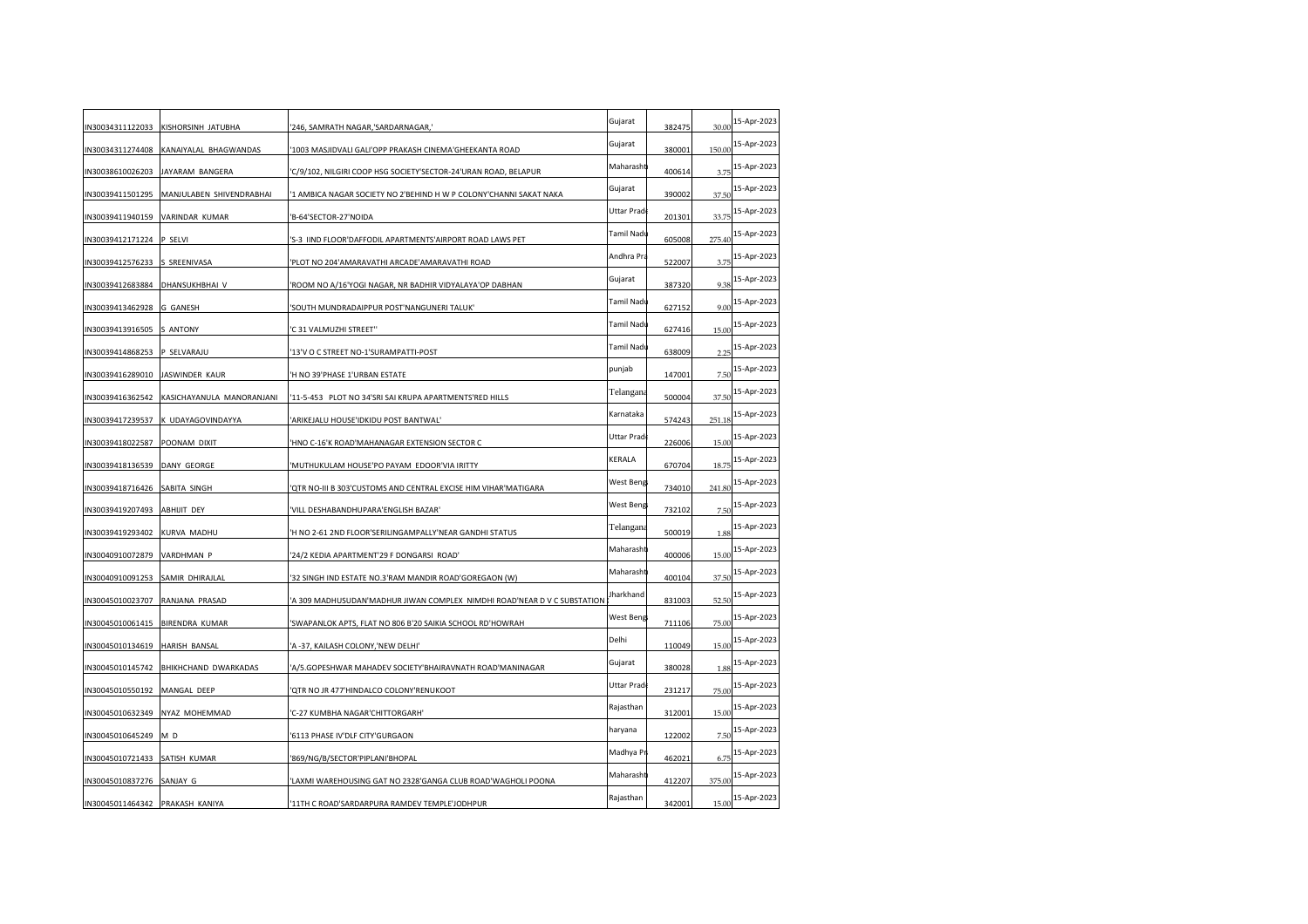| IN30034311122033                | KISHORSINH JATUBHA        | '246, SAMRATH NAGAR,'SARDARNAGAR,'                                      | Gujarat    | 382475 | 30.00  | 15-Apr-2023 |
|---------------------------------|---------------------------|-------------------------------------------------------------------------|------------|--------|--------|-------------|
| IN30034311274408                | KANAIYALAL BHAGWANDAS     | '1003 MASJIDVALI GALI'OPP PRAKASH CINEMA'GHEEKANTA ROAD                 | Gujarat    | 380001 | 150.00 | 15-Apr-2023 |
| IN30038610026203                | JAYARAM BANGERA           | 'C/9/102, NILGIRI COOP HSG SOCIETY'SECTOR-24'URAN ROAD, BELAPUR         | Maharasht  | 400614 | 3.75   | 15-Apr-2023 |
| IN30039411501295                | MANJULABEN SHIVENDRABHAI  | '1 AMBICA NAGAR SOCIETY NO 2'BEHIND H W P COLONY'CHANNI SAKAT NAKA      | Gujarat    | 390002 | 37.50  | 15-Apr-2023 |
| IN30039411940159                | VARINDAR KUMAR            | 'B-64'SECTOR-27'NOIDA                                                   | Uttar Prad | 201301 | 33.75  | 15-Apr-2023 |
| IN30039412171224                | P SELVI                   | 'S-3 IIND FLOOR'DAFFODIL APARTMENTS'AIRPORT ROAD LAWS PET               | Tamil Nadı | 605008 | 275.40 | 15-Apr-2023 |
| IN30039412576233                | S SREENIVASA              | 'PLOT NO 204'AMARAVATHI ARCADE'AMARAVATHI ROAD                          | Andhra Pra | 522007 | 3.75   | 15-Apr-2023 |
| IN30039412683884                | DHANSUKHBHAI V            | 'ROOM NO A/16'YOGI NAGAR, NR BADHIR VIDYALAYA'OP DABHAN                 | Gujarat    | 387320 | 9.38   | 15-Apr-2023 |
| IN30039413462928                | G GANESH                  | 'SOUTH MUNDRADAIPPUR POST'NANGUNERI TALUK'                              | Tamil Nadı | 627152 | 9.00   | 15-Apr-2023 |
| IN30039413916505                | S ANTONY                  | 'C 31 VALMUZHI STREET"                                                  | Tamil Nadı | 627416 | 15.00  | 15-Apr-2023 |
| IN30039414868253                | P SELVARAJU               | '13'V O C STREET NO-1'SURAMPATTI-POST                                   | Tamil Nadı | 638009 | 2.25   | 15-Apr-2023 |
| IN30039416289010                | JASWINDER KAUR            | 'H NO 39'PHASE 1'URBAN ESTATE                                           | punjab     | 147001 | 7.50   | 15-Apr-2023 |
| IN30039416362542                | KASICHAYANULA MANORANJANI | '11-5-453 PLOT NO 34'SRI SAI KRUPA APARTMENTS'RED HILLS                 | Telangana  | 500004 | 37.50  | 15-Apr-2023 |
| IN30039417239537                | K UDAYAGOVINDAYYA         | ARIKEJALU HOUSE'IDKIDU POST BANTWAL'                                    | Karnataka  | 574243 | 251.18 | 15-Apr-2023 |
| IN30039418022587                | POONAM DIXIT              | 'HNO C-16'K ROAD'MAHANAGAR EXTENSION SECTOR C                           | Uttar Prad | 226006 | 15.00  | 15-Apr-2023 |
| IN30039418136539                | DANY GEORGE               | 'MUTHUKULAM HOUSE'PO PAYAM EDOOR'VIA IRITTY                             | KERALA     | 670704 | 18.75  | 15-Apr-2023 |
| IN30039418716426                | SABITA SINGH              | QTR NO-III B 303'CUSTOMS AND CENTRAL EXCISE HIM VIHAR'MATIGARA          | West Beng  | 734010 | 241.80 | 15-Apr-2023 |
| IN30039419207493                | ABHIJIT DEY               | 'VILL DESHABANDHUPARA'ENGLISH BAZAR'                                    | West Beng  | 732102 | 7.5(   | 15-Apr-2023 |
| IN30039419293402                | KURVA MADHU               | 'H NO 2-61 2ND FLOOR'SERILINGAMPALLY'NEAR GANDHI STATUS                 | Telangana  | 500019 | 1.88   | 15-Apr-2023 |
| IN30040910072879                | VARDHMAN P                | '24/2 KEDIA APARTMENT'29 F DONGARSI ROAD'                               | Maharasht  | 400006 | 15.00  | 15-Apr-2023 |
| IN30040910091253                | SAMIR DHIRAJLAL           | '32 SINGH IND ESTATE NO.3'RAM MANDIR ROAD'GOREGAON (W)                  | Maharasht  | 400104 | 37.50  | 15-Apr-2023 |
| IN30045010023707                | RANJANA PRASAD            | A 309 MADHUSUDAN'MADHUR JIWAN COMPLEX NIMDHI ROAD'NEAR D V C SUBSTATION | Jharkhand  | 831003 | 52.50  | 15-Apr-2023 |
| IN30045010061415                | <b>BIRENDRA KUMAR</b>     | 'SWAPANLOK APTS, FLAT NO 806 B'20 SAIKIA SCHOOL RD'HOWRAH               | West Beng  | 711106 | 75.00  | 15-Apr-2023 |
| IN30045010134619                | HARISH BANSAL             | 'A -37, KAILASH COLONY,'NEW DELHI'                                      | Delhi      | 110049 | 15.00  | 15-Apr-2023 |
| IN30045010145742                | BHIKHCHAND DWARKADAS      | 'A/5.GOPESHWAR MAHADEV SOCIETY'BHAIRAVNATH ROAD'MANINAGAR               | Gujarat    | 380028 | 1.88   | 15-Apr-2023 |
| IN30045010550192                | MANGAL DEEP               | 'QTR NO JR 477'HINDALCO COLONY'RENUKOOT                                 | Uttar Prad | 231217 | 75.00  | 15-Apr-2023 |
| IN30045010632349                | NYAZ MOHEMMAD             | 'C-27 KUMBHA NAGAR'CHITTORGARH'                                         | Rajasthan  | 312001 | 15.00  | 15-Apr-2023 |
| IN30045010645249                | M D                       | '6113 PHASE IV'DLF CITY'GURGAON                                         | haryana    | 122002 | 7.50   | 15-Apr-2023 |
| IN30045010721433                | SATISH KUMAR              | '869/NG/B/SECTOR'PIPLANI'BHOPAL                                         | Madhya Pr  | 462021 | 6.75   | 15-Apr-2023 |
| IN30045010837276                | SANJAY G                  | 'LAXMI WAREHOUSING GAT NO 2328'GANGA CLUB ROAD'WAGHOLI POONA            | Maharasht  | 412207 | 375.00 | 15-Apr-2023 |
| IN30045011464342 PRAKASH KANIYA |                           | '11TH C ROAD'SARDARPURA RAMDEV TEMPLE'JODHPUR                           | Rajasthan  | 342001 | 15.00  | 15-Apr-2023 |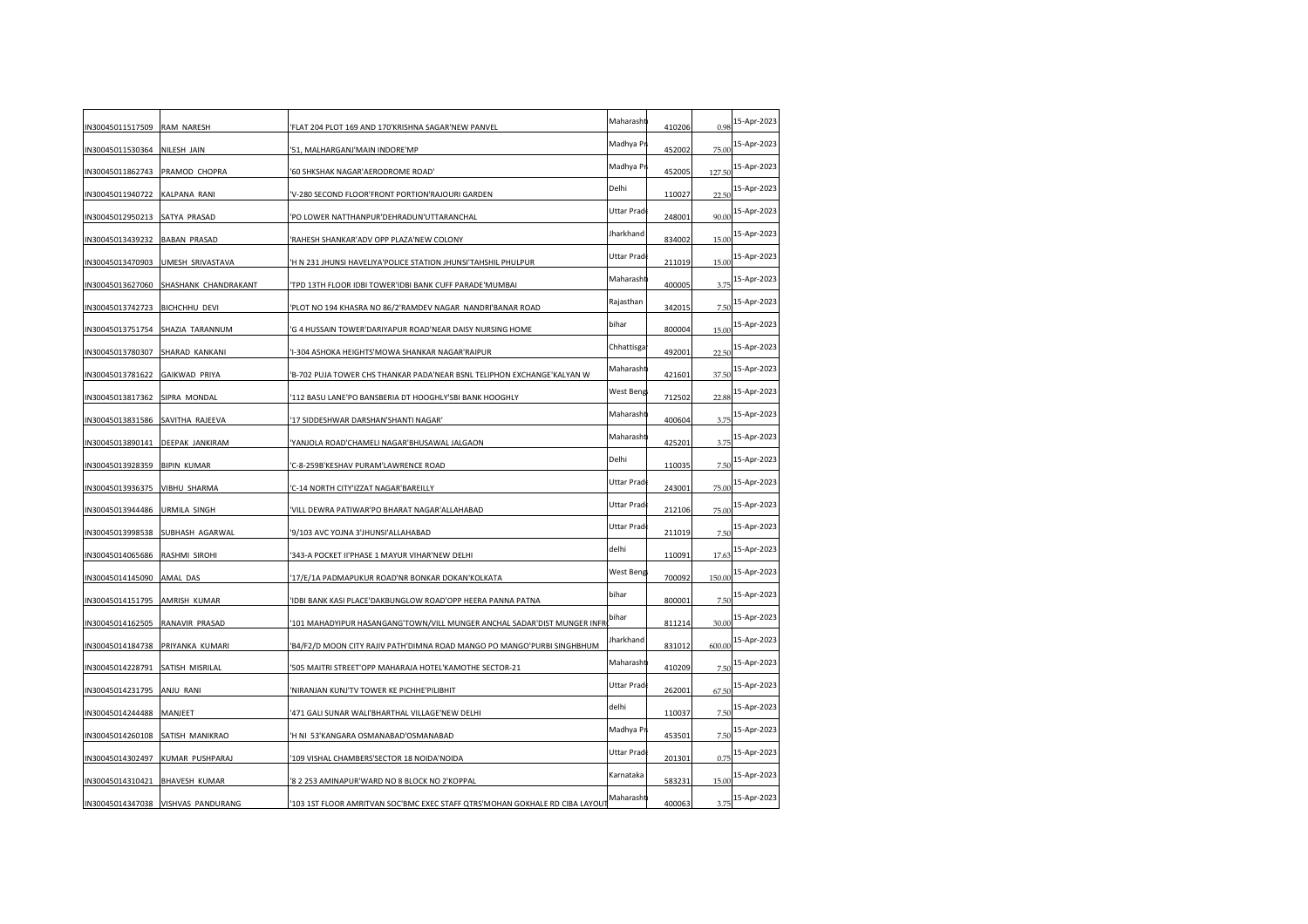| N30045011517509 RAM NARESH     |                                    | FLAT 204 PLOT 169 AND 170'KRISHNA SAGAR'NEW PANVEL                           | Maharasht   | 410206 | 0.98   | 15-Apr-2023 |
|--------------------------------|------------------------------------|------------------------------------------------------------------------------|-------------|--------|--------|-------------|
| N30045011530364                | NILESH JAIN                        | 51, MALHARGANJ'MAIN INDORE'MP                                                | Madhya Pr   | 452002 | 75.00  | 15-Apr-2023 |
| N30045011862743                | PRAMOD CHOPRA                      | '60 SHKSHAK NAGAR'AERODROME ROAD'                                            | Madhya Pr   | 452005 | 127.5  | 15-Apr-2023 |
| N30045011940722                | KALPANA RANI                       | V-280 SECOND FLOOR'FRONT PORTION'RAJOURI GARDEN                              | Delhi       | 110027 | 22.50  | 15-Apr-2023 |
| N30045012950213                | SATYA PRASAD                       | 'PO LOWER NATTHANPUR'DEHRADUN'UTTARANCHAL                                    | Uttar Prad  | 248001 | 90.00  | 15-Apr-2023 |
| N30045013439232 BABAN PRASAD   |                                    | 'RAHESH SHANKAR'ADV OPP PLAZA'NEW COLONY                                     | Jharkhand   | 834002 | 15.00  | 15-Apr-2023 |
| N30045013470903                | UMESH SRIVASTAVA                   | 'H N 231 JHUNSI HAVELIYA'POLICE STATION JHUNSI'TAHSHIL PHULPUR               | Uttar Prad  | 211019 | 15.00  | 15-Apr-2023 |
| N30045013627060                | SHASHANK CHANDRAKANT               | 'TPD 13TH FLOOR IDBI TOWER'IDBI BANK CUFF PARADE'MUMBAI                      | Maharasht   | 400005 | 3.75   | 15-Apr-2023 |
| N30045013742723                | <b>BICHCHHU DEVI</b>               | 'PLOT NO 194 KHASRA NO 86/2'RAMDEV NAGAR NANDRI'BANAR ROAD                   | Rajasthan   | 342015 | 7.5(   | 15-Apr-2023 |
|                                | N30045013751754 SHAZIA TARANNUM    | 'G 4 HUSSAIN TOWER'DARIYAPUR ROAD'NEAR DAISY NURSING HOME                    | bihar       | 800004 | 15.00  | 15-Apr-2023 |
| N30045013780307 SHARAD KANKANI |                                    | 'I-304 ASHOKA HEIGHTS'MOWA SHANKAR NAGAR'RAIPUR                              | Chhattisga  | 492001 | 22.50  | 15-Apr-2023 |
| N30045013781622                | <b>GAIKWAD PRIYA</b>               | B-702 PUJA TOWER CHS THANKAR PADA'NEAR BSNL TELIPHON EXCHANGE'KALYAN W       | Maharasht   | 421601 | 37.50  | 15-Apr-2023 |
| N30045013817362                | SIPRA MONDAL                       | 112 BASU LANE'PO BANSBERIA DT HOOGHLY'SBI BANK HOOGHLY                       | West Beng   | 712502 | 22.88  | 15-Apr-2023 |
| N30045013831586                | SAVITHA RAJEEVA                    | '17 SIDDESHWAR DARSHAN'SHANTI NAGAR'                                         | Maharasht   | 400604 | 3.75   | 15-Apr-2023 |
| N30045013890141                | DEEPAK JANKIRAM                    | YANJOLA ROAD'CHAMELI NAGAR'BHUSAWAL JALGAON                                  | Maharasht   | 425201 | 3.75   | 15-Apr-2023 |
| N30045013928359 BIPIN KUMAR    |                                    | 'C-8-259B'KESHAV PURAM'LAWRENCE ROAD                                         | Delhi       | 110035 | 7.50   | 15-Apr-2023 |
| N30045013936375                | VIBHU SHARMA                       | 'C-14 NORTH CITY'IZZAT NAGAR'BAREILLY                                        | Uttar Prad  | 243001 | 75.00  | 15-Apr-2023 |
| N30045013944486                | URMILA SINGH                       | 'VILL DEWRA PATIWAR'PO BHARAT NAGAR'ALLAHABAD                                | Uttar Pradı | 212106 | 75.00  | 15-Apr-2023 |
| N30045013998538                | SUBHASH AGARWAL                    | '9/103 AVC YOJNA 3'JHUNSI'ALLAHABAD                                          | Uttar Prad  | 211019 | 7.5(   | 15-Apr-2023 |
| N30045014065686 RASHMI SIROHI  |                                    | '343-A POCKET II'PHASE 1 MAYUR VIHAR'NEW DELHI                               | delhi       | 110091 | 17.63  | 15-Apr-2023 |
| IN30045014145090 AMAL DAS      |                                    | '17/E/1A PADMAPUKUR ROAD'NR BONKAR DOKAN'KOLKATA                             | West Beng   | 700092 | 150.00 | 15-Apr-2023 |
| N30045014151795                | AMRISH KUMAR                       | IDBI BANK KASI PLACE'DAKBUNGLOW ROAD'OPP HEERA PANNA PATNA                   | bihar       | 800001 | 7.50   | 15-Apr-2023 |
| N30045014162505                | RANAVIR PRASAD                     | 101 MAHADYIPUR HASANGANG'TOWN/VILL MUNGER ANCHAL SADAR'DIST MUNGER INFR      | bihar       | 811214 | 30.00  | 15-Apr-2023 |
| N30045014184738                | PRIYANKA KUMARI                    | 'B4/F2/D MOON CITY RAJIV PATH'DIMNA ROAD MANGO PO MANGO'PURBI SINGHBHUM      | Jharkhand   | 831012 | 600.00 | 15-Apr-2023 |
| N30045014228791                | SATISH MISRILAL                    | 505 MAITRI STREET'OPP MAHARAJA HOTEL'KAMOTHE SECTOR-21                       | Maharasht   | 410209 | 7.5(   | 15-Apr-2023 |
| N30045014231795 ANJU RANI      |                                    | 'NIRANJAN KUNJ'TV TOWER KE PICHHE'PILIBHIT                                   | Uttar Prad  | 262001 | 67.50  | 15-Apr-2023 |
| N30045014244488                | MANJEET                            | 471 GALI SUNAR WALI'BHARTHAL VILLAGE'NEW DELHI                               | delhi       | 110037 | 7.50   | 15-Apr-2023 |
| N30045014260108                | SATISH MANIKRAO                    | 'H NI 53'KANGARA OSMANABAD'OSMANABAD                                         | Madhya Pr   | 453501 | 7.5(   | 15-Apr-2023 |
| N30045014302497                | KUMAR PUSHPARAJ                    | 109 VISHAL CHAMBERS'SECTOR 18 NOIDA'NOIDA                                    | Uttar Prad  | 201301 | 0.75   | 15-Apr-2023 |
| N30045014310421                | <b>BHAVESH KUMAR</b>               | '8 2 253 AMINAPUR'WARD NO 8 BLOCK NO 2'KOPPAL                                | Karnataka   | 583231 | 15.00  | 15-Apr-2023 |
|                                | IN30045014347038 VISHVAS PANDURANG | '103 1ST FLOOR AMRITVAN SOC'BMC EXEC STAFF QTRS'MOHAN GOKHALE RD CIBA LAYOU' | Maharasht   | 400063 | 3.75   | 15-Apr-2023 |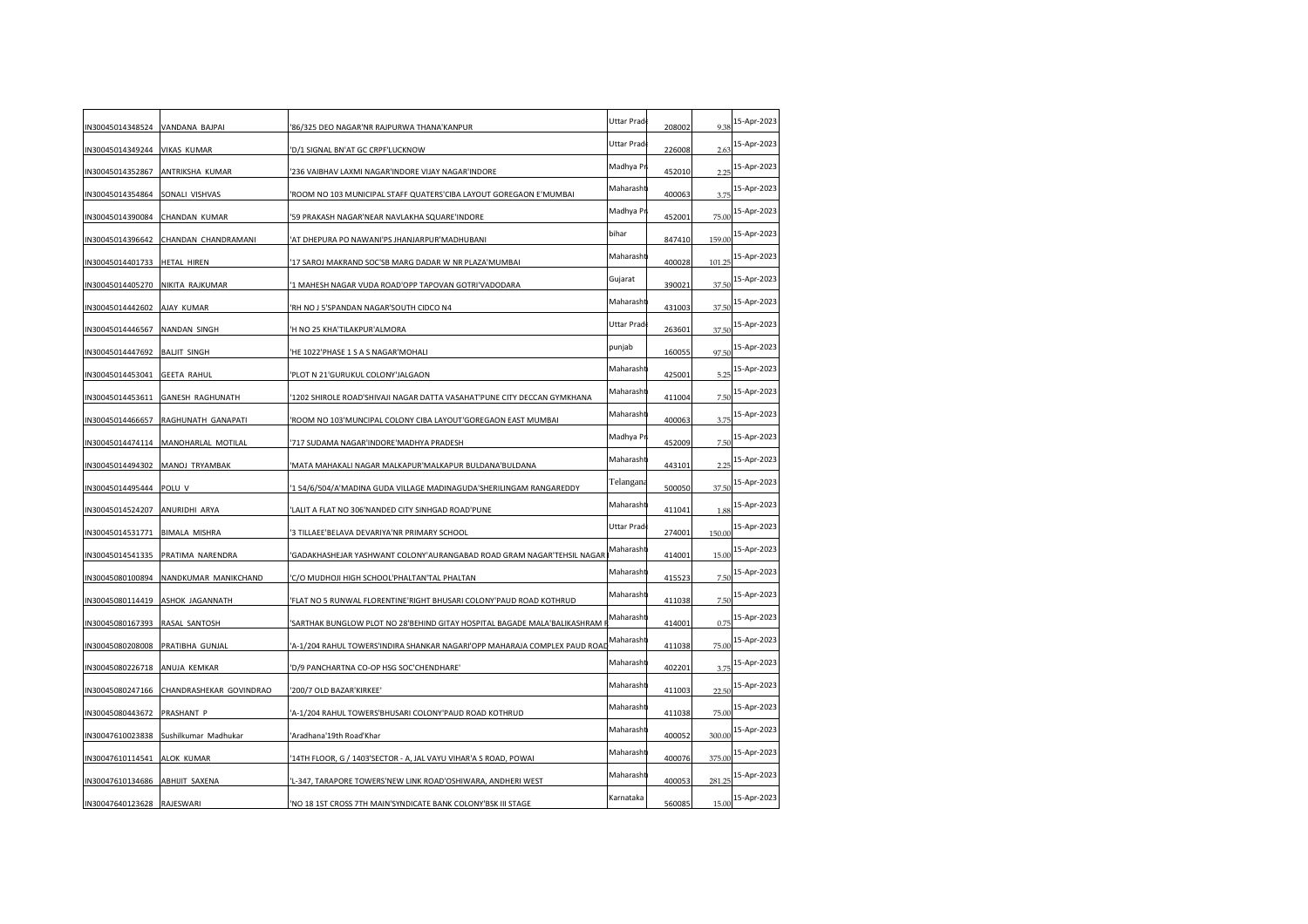| IN30045014348524              | VANDANA BAJPAI          | 86/325 DEO NAGAR'NR RAJPURWA THANA'KANPUR                                  | Uttar Prad | 208002 | 9.38   | 15-Apr-2023 |
|-------------------------------|-------------------------|----------------------------------------------------------------------------|------------|--------|--------|-------------|
| IN30045014349244              | <b>VIKAS KUMAR</b>      | D/1 SIGNAL BN'AT GC CRPF'LUCKNOW                                           | Uttar Prad | 226008 | 2.63   | 15-Apr-2023 |
| IN30045014352867              | ANTRIKSHA KUMAR         | 236 VAIBHAV LAXMI NAGAR'INDORE VIJAY NAGAR'INDORE                          | Madhya Pi  | 452010 | 2.25   | 15-Apr-2023 |
| IN30045014354864              | SONALI VISHVAS          | ROOM NO 103 MUNICIPAL STAFF QUATERS'CIBA LAYOUT GOREGAON E'MUMBAI          | Maharasht  | 400063 | 3.75   | 15-Apr-2023 |
| IN30045014390084              | <b>CHANDAN KUMAR</b>    | 59 PRAKASH NAGAR'NEAR NAVLAKHA SQUARE'INDORE                               | Madhya P   | 452001 | 75.00  | 15-Apr-2023 |
| IN30045014396642              | CHANDAN CHANDRAMANI     | AT DHEPURA PO NAWANI'PS JHANJARPUR'MADHUBANI                               | bihar      | 847410 | 159.00 | 15-Apr-2023 |
| IN30045014401733              | HETAL HIREN             | 17 SAROJ MAKRAND SOC'SB MARG DADAR W NR PLAZA'MUMBAI                       | Maharasht  | 400028 | 101.25 | 15-Apr-2023 |
| IN30045014405270              | NIKITA RAJKUMAR         | 1 MAHESH NAGAR VUDA ROAD'OPP TAPOVAN GOTRI'VADODARA                        | Gujarat    | 390021 | 37.50  | 15-Apr-2023 |
| IN30045014442602              | AJAY KUMAR              | RH NO J 5'SPANDAN NAGAR'SOUTH CIDCO N4                                     | Maharasht  | 431003 | 37.50  | 15-Apr-2023 |
| IN30045014446567              | NANDAN SINGH            | 'H NO 25 KHA'TILAKPUR'ALMORA                                               | Uttar Prad | 263601 | 37.50  | 15-Apr-2023 |
| IN30045014447692 BALJIT SINGH |                         | HE 1022'PHASE 1 S A S NAGAR'MOHALI                                         | punjab     | 160055 | 97.50  | 15-Apr-2023 |
| IN30045014453041              | <b>GEETA RAHUL</b>      | PLOT N 21'GURUKUL COLONY'JALGAON                                           | Maharasht  | 425001 | 5.25   | 15-Apr-2023 |
| IN30045014453611              | <b>GANESH RAGHUNATH</b> | 1202 SHIROLE ROAD'SHIVAJI NAGAR DATTA VASAHAT'PUNE CITY DECCAN GYMKHANA    | Maharasht  | 411004 | 7.5(   | 15-Apr-2023 |
| IN30045014466657              | RAGHUNATH GANAPATI      | ROOM NO 103'MUNCIPAL COLONY CIBA LAYOUT'GOREGAON EAST MUMBAI               | Maharasht  | 400063 | 3.75   | 15-Apr-2023 |
| IN30045014474114              | MANOHARLAL MOTILAL      | '717 SUDAMA NAGAR'INDORE'MADHYA PRADESH                                    | Madhya P   | 452009 | 7.50   | 15-Apr-2023 |
| IN30045014494302              | MANOJ TRYAMBAK          | MATA MAHAKALI NAGAR MALKAPUR'MALKAPUR BULDANA'BULDANA                      | Maharasht  | 443101 | 2.25   | 15-Apr-2023 |
| IN30045014495444              | POLU V                  | '1 54/6/504/A'MADINA GUDA VILLAGE MADINAGUDA'SHERILINGAM RANGAREDDY        | Telangana  | 500050 | 37.50  | 15-Apr-2023 |
| IN30045014524207              | ANURIDHI ARYA           | LALIT A FLAT NO 306'NANDED CITY SINHGAD ROAD'PUNE                          | Maharasht  | 411041 | 1.88   | 15-Apr-2023 |
| IN30045014531771              | <b>BIMALA MISHRA</b>    | 3 TILLAEE'BELAVA DEVARIYA'NR PRIMARY SCHOOL                                | Uttar Prad | 274001 | 150.00 | 15-Apr-2023 |
| IN30045014541335              | PRATIMA NARENDRA        | GADAKHASHEJAR YASHWANT COLONY'AURANGABAD ROAD GRAM NAGAR'TEHSIL NAGAR      | Maharasht  | 414001 | 15.00  | 15-Apr-2023 |
| IN30045080100894              | NANDKUMAR MANIKCHAND    | C/O MUDHOJI HIGH SCHOOL'PHALTAN'TAL PHALTAN                                | Maharashi  | 415523 | 7.50   | 15-Apr-2023 |
| IN30045080114419              | ASHOK JAGANNATH         | FLAT NO 5 RUNWAL FLORENTINE'RIGHT BHUSARI COLONY'PAUD ROAD KOTHRUD         | Maharasht  | 411038 | 7.50   | 15-Apr-2023 |
| IN30045080167393              | RASAL SANTOSH           | 'SARTHAK BUNGLOW PLOT NO 28'BEHIND GITAY HOSPITAL BAGADE MALA'BALIKASHRAM  | Maharasht  | 414001 | 0.75   | 15-Apr-2023 |
| IN30045080208008              | PRATIBHA GUNJAL         | 'A-1/204 RAHUL TOWERS'INDIRA SHANKAR NAGARI'OPP MAHARAJA COMPLEX PAUD ROAD | Maharasht  | 411038 | 75.00  | 15-Apr-2023 |
| IN30045080226718              | ANUJA KEMKAR            | 'D/9 PANCHARTNA CO-OP HSG SOC'CHENDHARE'                                   | Maharasht  | 402201 | 3.75   | 15-Apr-2023 |
| IN30045080247166              | CHANDRASHEKAR GOVINDRAO | '200/7 OLD BAZAR'KIRKEE'                                                   | Maharasht  | 411003 | 22.50  | 15-Apr-2023 |
| IN30045080443672              | PRASHANT P              | A-1/204 RAHUL TOWERS'BHUSARI COLONY'PAUD ROAD KOTHRUD                      | Maharasht  | 411038 | 75.00  | 15-Apr-2023 |
| IN30047610023838              | Sushilkumar Madhukar    | 'Aradhana'19th Road'Khar                                                   | Maharasht  | 400052 | 300.00 | 15-Apr-2023 |
| IN30047610114541              | ALOK KUMAR              | 14TH FLOOR, G / 1403'SECTOR - A, JAL VAYU VIHAR'A S ROAD, POWAI            | Maharasht  | 400076 | 375.00 | 15-Apr-2023 |
| IN30047610134686              | <b>ABHIJIT SAXENA</b>   | 'L-347, TARAPORE TOWERS'NEW LINK ROAD'OSHIWARA, ANDHERI WEST               | Maharasht  | 400053 | 281.25 | 15-Apr-2023 |
| IN30047640123628              | RAJESWARI               | NO 18 1ST CROSS 7TH MAIN'SYNDICATE BANK COLONY'BSK III STAGE               | Karnataka  | 560085 | 15.00  | 15-Apr-2023 |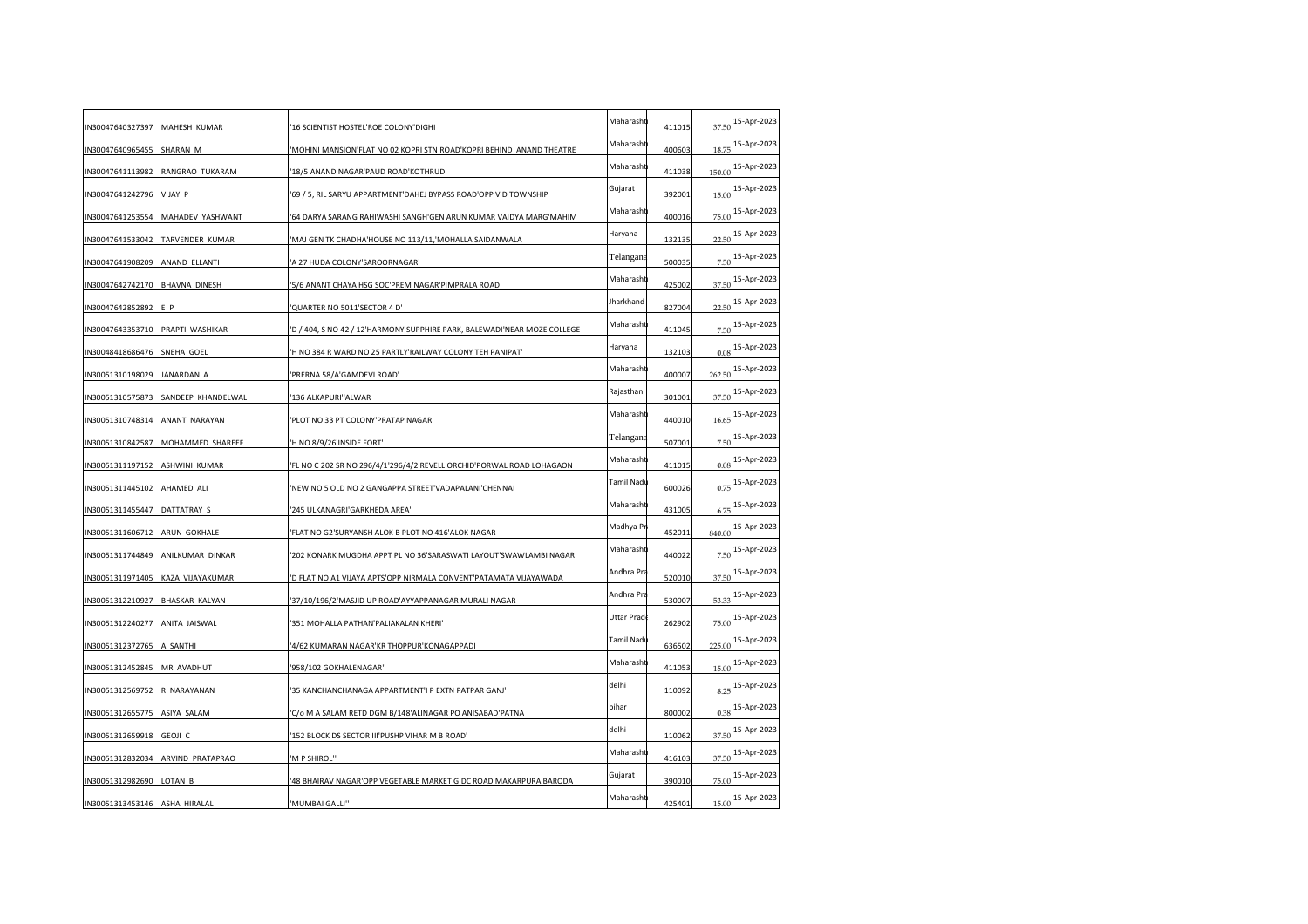| N30047640327397 MAHESH KUMAR   |                                    | 16 SCIENTIST HOSTEL'ROE COLONY'DIGHI                                     | Maharasht  | 411015 | 37.50  | 15-Apr-2023 |
|--------------------------------|------------------------------------|--------------------------------------------------------------------------|------------|--------|--------|-------------|
| N30047640965455                | SHARAN M                           | 'MOHINI MANSION'FLAT NO 02 KOPRI STN ROAD'KOPRI BEHIND ANAND THEATRE     | Maharasht  | 400603 | 18.75  | 15-Apr-2023 |
| N30047641113982                | RANGRAO TUKARAM                    | 18/5 ANAND NAGAR'PAUD ROAD'KOTHRUD                                       | Maharasht  | 411038 | 150.00 | 15-Apr-2023 |
| N30047641242796                | VIJAY P                            | 69 / 5, RIL SARYU APPARTMENT'DAHEJ BYPASS ROAD'OPP V D TOWNSHIP          | Gujarat    | 392001 | 15.00  | 15-Apr-2023 |
| N30047641253554                | MAHADEV YASHWANT                   | '64 DARYA SARANG RAHIWASHI SANGH'GEN ARUN KUMAR VAIDYA MARG'MAHIM        | Maharasht  | 400016 | 75.00  | 15-Apr-2023 |
|                                | N30047641533042 TARVENDER KUMAR    | 'MAJ GEN TK CHADHA'HOUSE NO 113/11,'MOHALLA SAIDANWALA                   | Haryana    | 132135 | 22.50  | 15-Apr-2023 |
| N30047641908209 ANAND ELLANTI  |                                    | A 27 HUDA COLONY'SAROORNAGAR'                                            | Telangana  | 500035 | 7.50   | 15-Apr-2023 |
| N30047642742170                | <b>BHAVNA DINESH</b>               | 5/6 ANANT CHAYA HSG SOC'PREM NAGAR'PIMPRALA ROAD                         | Maharasht  | 425002 | 37.50  | 15-Apr-2023 |
| N30047642852892                | E P                                | QUARTER NO 5011'SECTOR 4 D'                                              | Jharkhand  | 827004 | 22.5(  | 15-Apr-2023 |
| N30047643353710                | PRAPTI WASHIKAR                    | 'D / 404, S NO 42 / 12'HARMONY SUPPHIRE PARK, BALEWADI'NEAR MOZE COLLEGE | Maharasht  | 411045 | 7.50   | 15-Apr-2023 |
| N30048418686476 SNEHA GOEL     |                                    | 'H NO 384 R WARD NO 25 PARTLY'RAILWAY COLONY TEH PANIPAT'                | Haryana    | 132103 | 0.08   | 15-Apr-2023 |
| N30051310198029                | JANARDAN A                         | 'PRERNA 58/A'GAMDEVI ROAD'                                               | Maharasht  | 400007 | 262.50 | 15-Apr-2023 |
| N30051310575873                | SANDEEP KHANDELWAL                 | '136 ALKAPURI''ALWAR                                                     | Rajasthan  | 301001 | 37.50  | 15-Apr-2023 |
| N30051310748314                | ANANT NARAYAN                      | PLOT NO 33 PT COLONY'PRATAP NAGAR'                                       | Maharasht  | 440010 | 16.65  | 15-Apr-2023 |
| N30051310842587                | MOHAMMED SHAREEF                   | 'H NO 8/9/26'INSIDE FORT'                                                | Telangana  | 507001 | 7.50   | 15-Apr-2023 |
| N30051311197152 ASHWINI KUMAR  |                                    | 'FL NO C 202 SR NO 296/4/1'296/4/2 REVELL ORCHID'PORWAL ROAD LOHAGAON    | Maharasht  | 411015 | 0.08   | 15-Apr-2023 |
| N30051311445102                | AHAMED ALI                         | 'NEW NO 5 OLD NO 2 GANGAPPA STREET'VADAPALANI'CHENNAI                    | Tamil Nadı | 600026 | 0.75   | 15-Apr-2023 |
| N30051311455447                | <b>DATTATRAY S</b>                 | 245 ULKANAGRI'GARKHEDA AREA'                                             | Maharasht  | 431005 | 6.75   | 15-Apr-2023 |
| IN30051311606712               | ARUN GOKHALE                       | 'FLAT NO G2'SURYANSH ALOK B PLOT NO 416'ALOK NAGAR                       | Madhya Pr  | 452011 | 840.00 | 15-Apr-2023 |
| N30051311744849                | ANILKUMAR DINKAR                   | 202 KONARK MUGDHA APPT PL NO 36'SARASWATI LAYOUT'SWAWLAMBI NAGAR         | Maharasht  | 440022 | 7.50   | 15-Apr-2023 |
|                                | IN30051311971405 KAZA VIJAYAKUMARI | 'D FLAT NO A1 VIJAYA APTS'OPP NIRMALA CONVENT'PATAMATA VIJAYAWADA        | Andhra Pra | 520010 | 37.50  | 15-Apr-2023 |
| N30051312210927 BHASKAR KALYAN |                                    | '37/10/196/2'MASJID UP ROAD'AYYAPPANAGAR MURALI NAGAR                    | Andhra Pra | 530007 | 53.33  | 15-Apr-2023 |
| N30051312240277                | ANITA JAISWAL                      | 351 MOHALLA PATHAN'PALIAKALAN KHERI'                                     | Uttar Prad | 262902 | 75.00  | 15-Apr-2023 |
| N30051312372765                | A SANTHI                           | 4/62 KUMARAN NAGAR'KR THOPPUR'KONAGAPPADI                                | Tamil Nadı | 636502 | 225.00 | 15-Apr-2023 |
| N30051312452845 MR AVADHUT     |                                    | '958/102 GOKHALENAGAR"                                                   | Maharasht  | 411053 | 15.00  | 15-Apr-2023 |
| N30051312569752 R NARAYANAN    |                                    | 35 KANCHANCHANAGA APPARTMENT'I P EXTN PATPAR GANJ'                       | delhi      | 110092 | 8.25   | 15-Apr-2023 |
| N30051312655775 ASIYA SALAM    |                                    | C/o M A SALAM RETD DGM B/148'ALINAGAR PO ANISABAD'PATNA                  | bihar      | 800002 | 0.38   | 15-Apr-2023 |
| IN30051312659918               | <b>GEOJI C</b>                     | '152 BLOCK DS SECTOR III'PUSHP VIHAR M B ROAD'                           | delhi      | 110062 | 37.50  | 15-Apr-2023 |
| N30051312832034                | ARVIND PRATAPRAO                   | 'M P SHIROL''                                                            | Maharasht  | 416103 | 37.50  | 15-Apr-2023 |
| N30051312982690                | <b>LOTAN B</b>                     | '48 BHAIRAV NAGAR'OPP VEGETABLE MARKET GIDC ROAD'MAKARPURA BARODA        | Gujarat    | 390010 | 75.00  | 15-Apr-2023 |
| IN30051313453146 ASHA HIRALAL  |                                    | 'MUMBAI GALLI"                                                           | Maharasht  | 425401 | 15.00  | 15-Apr-2023 |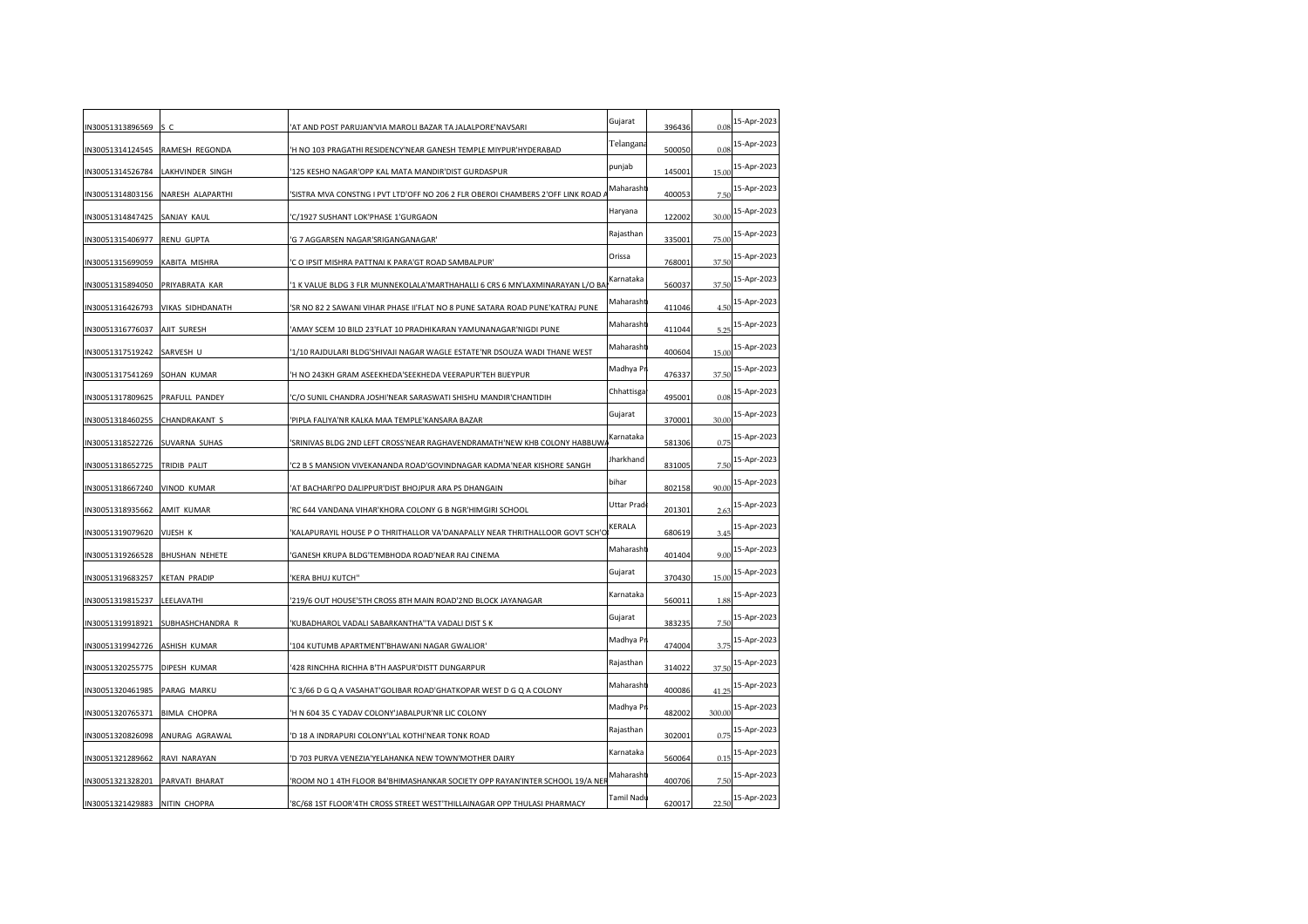| IN30051313896569 | s c                   | AT AND POST PARUJAN'VIA MAROLI BAZAR TA JALALPORE'NAVSARI                      | Gujarat    | 396436 | 0.08   | 15-Apr-2023 |
|------------------|-----------------------|--------------------------------------------------------------------------------|------------|--------|--------|-------------|
| IN30051314124545 | RAMESH REGONDA        | 'H NO 103 PRAGATHI RESIDENCY'NEAR GANESH TEMPLE MIYPUR'HYDERABAD               | Telangana  | 500050 | 0.08   | 15-Apr-2023 |
| N30051314526784  | LAKHVINDER SINGH      | 125 KESHO NAGAR'OPP KAL MATA MANDIR'DIST GURDASPUR                             | punjab     | 145001 | 15.00  | 15-Apr-2023 |
| IN30051314803156 | NARESH ALAPARTHI      | 'SISTRA MVA CONSTNG I PVT LTD'OFF NO 206 2 FLR OBEROI CHAMBERS 2'OFF LINK ROAD | Maharasht  | 400053 | 7.50   | 15-Apr-2023 |
| IN30051314847425 | SANJAY KAUL           | 'C/1927 SUSHANT LOK'PHASE 1'GURGAON                                            | Haryana    | 122002 | 30.00  | 15-Apr-2023 |
| IN30051315406977 | RENU GUPTA            | 'G 7 AGGARSEN NAGAR'SRIGANGANAGAR'                                             | Rajasthan  | 335001 | 75.00  | 15-Apr-2023 |
| IN30051315699059 | KABITA MISHRA         | 'C O IPSIT MISHRA PATTNAI K PARA'GT ROAD SAMBALPUR'                            | Orissa     | 768001 | 37.50  | 15-Apr-2023 |
| IN30051315894050 | PRIYABRATA KAR        | '1 K VALUE BLDG 3 FLR MUNNEKOLALA'MARTHAHALLI 6 CRS 6 MN'LAXMINARAYAN L/O B/   | Karnataka  | 560037 | 37.5   | 15-Apr-2023 |
| IN30051316426793 | VIKAS SIDHDANATH      | 'SR NO 82 2 SAWANI VIHAR PHASE II'FLAT NO 8 PUNE SATARA ROAD PUNE'KATRAJ PUNE  | Maharasht  | 411046 | 4.50   | 15-Apr-2023 |
| IN30051316776037 | AJIT SURESH           | 'AMAY SCEM 10 BILD 23'FLAT 10 PRADHIKARAN YAMUNANAGAR'NIGDI PUNE               | Maharasht  | 411044 | 5.25   | 15-Apr-2023 |
| IN30051317519242 | SARVESH U             | '1/10 RAJDULARI BLDG'SHIVAJI NAGAR WAGLE ESTATE'NR DSOUZA WADI THANE WEST      | Maharasht  | 400604 | 15.00  | 15-Apr-2023 |
| IN30051317541269 | SOHAN KUMAR           | 'H NO 243KH GRAM ASEEKHEDA'SEEKHEDA VEERAPUR'TEH BIJEYPUR                      | Madhya Pr  | 476337 | 37.50  | 15-Apr-2023 |
| IN30051317809625 | PRAFULL PANDEY        | 'C/O SUNIL CHANDRA JOSHI'NEAR SARASWATI SHISHU MANDIR'CHANTIDIH                | Chhattisga | 495001 | 0.08   | 15-Apr-2023 |
| IN30051318460255 | CHANDRAKANT S         | 'PIPLA FALIYA'NR KALKA MAA TEMPLE'KANSARA BAZAR                                | Gujarat    | 370001 | 30.00  | 15-Apr-2023 |
| IN30051318522726 | SUVARNA SUHAS         | 'SRINIVAS BLDG 2ND LEFT CROSS'NEAR RAGHAVENDRAMATH'NEW KHB COLONY HABBUW       | Karnataka  | 581306 | 0.75   | 15-Apr-2023 |
| IN30051318652725 | TRIDIB PALIT          | 'C2 B S MANSION VIVEKANANDA ROAD'GOVINDNAGAR KADMA'NEAR KISHORE SANGH          | Jharkhand  | 831005 | 7.50   | 15-Apr-2023 |
| IN30051318667240 | <b>VINOD KUMAR</b>    | 'AT BACHARI'PO DALIPPUR'DIST BHOJPUR ARA PS DHANGAIN                           | bihar      | 802158 | 90.00  | 15-Apr-2023 |
| IN30051318935662 | AMIT KUMAR            | 'RC 644 VANDANA VIHAR'KHORA COLONY G B NGR'HIMGIRI SCHOOL                      | Uttar Prad | 201301 | 2.63   | 15-Apr-2023 |
| IN30051319079620 | VIJESH K              | 'KALAPURAYIL HOUSE P O THRITHALLOR VA'DANAPALLY NEAR THRITHALLOOR GOVT SCH'C   | KERALA     | 680619 | 3.45   | 15-Apr-2023 |
| IN30051319266528 | <b>BHUSHAN NEHETE</b> | 'GANESH KRUPA BLDG'TEMBHODA ROAD'NEAR RAJ CINEMA                               | Maharasht  | 401404 | 9.00   | 15-Apr-2023 |
| IN30051319683257 | <b>KETAN PRADIP</b>   | 'KERA BHUJ KUTCH"                                                              | Gujarat    | 370430 | 15.00  | 15-Apr-2023 |
| IN30051319815237 | LEELAVATHI            | '219/6 OUT HOUSE'STH CROSS 8TH MAIN ROAD'2ND BLOCK JAYANAGAR                   | Karnataka  | 560011 | 1.88   | 15-Apr-2023 |
| IN30051319918921 | SUBHASHCHANDRA R      | 'KUBADHAROL VADALI SABARKANTHA''TA VADALI DIST S K                             | Gujarat    | 383235 | 7.50   | 15-Apr-2023 |
| IN30051319942726 | ASHISH KUMAR          | '104 KUTUMB APARTMENT'BHAWANI NAGAR GWALIOR'                                   | Madhya P   | 474004 | 3.75   | 15-Apr-2023 |
| IN30051320255775 | DIPESH KUMAR          | '428 RINCHHA RICHHA B'TH AASPUR'DISTT DUNGARPUR                                | Rajasthan  | 314022 | 37.50  | 15-Apr-2023 |
| IN30051320461985 | PARAG MARKU           | C 3/66 D G Q A VASAHAT'GOLIBAR ROAD'GHATKOPAR WEST D G Q A COLONY              | Maharasht  | 400086 | 41.25  | 15-Apr-2023 |
| IN30051320765371 | <b>BIMLA CHOPRA</b>   | 'H N 604 35 C YADAV COLONY'JABALPUR'NR LIC COLONY                              | Madhya Pr  | 482002 | 300.00 | 15-Apr-2023 |
| IN30051320826098 | ANURAG AGRAWAL        | 'D 18 A INDRAPURI COLONY'LAL KOTHI'NEAR TONK ROAD                              | Rajasthan  | 302001 | 0.75   | 15-Apr-2023 |
| IN30051321289662 | RAVI NARAYAN          | 'D 703 PURVA VENEZIA'YELAHANKA NEW TOWN'MOTHER DAIRY                           | Karnataka  | 560064 | 0.15   | 15-Apr-2023 |
| IN30051321328201 | PARVATI BHARAT        | 'ROOM NO 1 4TH FLOOR B4'BHIMASHANKAR SOCIETY OPP RAYAN'INTER SCHOOL 19/A NEI   | Maharasht  | 400706 | 7.50   | 15-Apr-2023 |
| IN30051321429883 | <b>NITIN CHOPRA</b>   | '8C/68 1ST FLOOR'4TH CROSS STREET WEST'THILLAINAGAR OPP THULASI PHARMACY       | Tamil Nadı | 620017 | 22.50  | 15-Apr-2023 |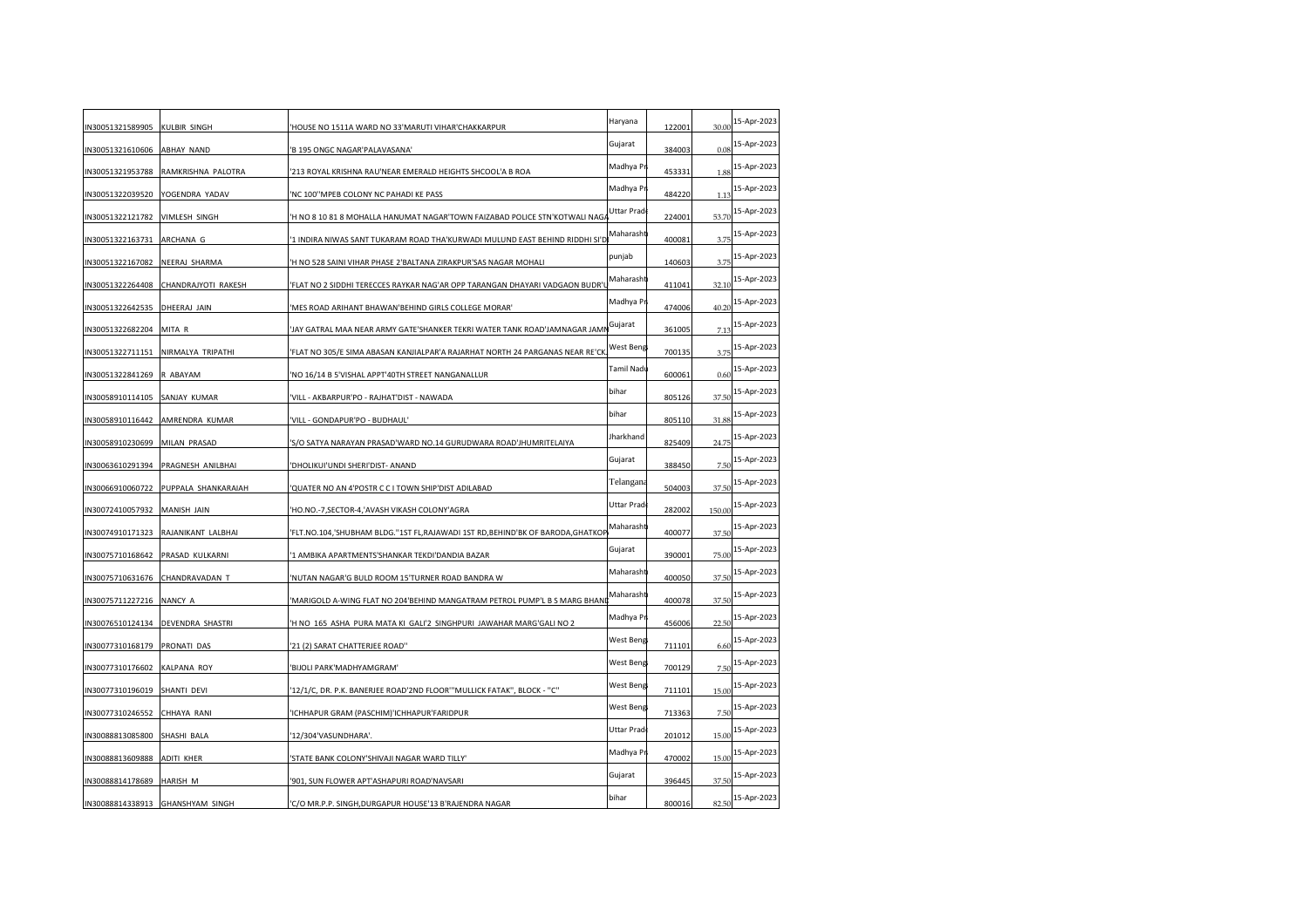| IN30051321589905                | <b>KULBIR SINGH</b>    | 'HOUSE NO 1511A WARD NO 33'MARUTI VIHAR'CHAKKARPUR                             | Haryana    | 122001 | 30.00  | 15-Apr-2023 |
|---------------------------------|------------------------|--------------------------------------------------------------------------------|------------|--------|--------|-------------|
| IN30051321610606                | ABHAY NAND             | 'B 195 ONGC NAGAR'PALAVASANA'                                                  | Gujarat    | 384003 | 0.08   | 15-Apr-2023 |
| IN30051321953788                | RAMKRISHNA PALOTRA     | 213 ROYAL KRISHNA RAU'NEAR EMERALD HEIGHTS SHCOOL'A B ROA                      | Madhya Pr  | 453331 | 1.88   | 15-Apr-2023 |
| IN30051322039520                | YOGENDRA YADAV         | 'NC 100"MPEB COLONY NC PAHADI KE PASS                                          | Madhya Pr  | 484220 | 1.13   | 15-Apr-2023 |
| IN30051322121782                | VIMLESH SINGH          | 'H NO 8 10 81 8 MOHALLA HANUMAT NAGAR'TOWN FAIZABAD POLICE STN'KOTWALI NAG.    | Uttar Prad | 224001 | 53.70  | 15-Apr-2023 |
| IN30051322163731                | ARCHANA G              | '1 INDIRA NIWAS SANT TUKARAM ROAD THA'KURWADI MULUND EAST BEHIND RIDDHI SI'D   | Maharasht  | 400081 | 3.75   | 15-Apr-2023 |
| IN30051322167082                | NEERAJ SHARMA          | 'H NO 528 SAINI VIHAR PHASE 2'BALTANA ZIRAKPUR'SAS NAGAR MOHALI                | punjab     | 140603 | 3.75   | 15-Apr-2023 |
| IN30051322264408                | CHANDRAJYOTI RAKESH    | 'FLAT NO 2 SIDDHI TERECCES RAYKAR NAG'AR OPP TARANGAN DHAYARI VADGAON BUDR'    | Maharasht  | 411041 | 32.10  | 15-Apr-2023 |
| IN30051322642535                | DHEERAJ JAIN           | 'MES ROAD ARIHANT BHAWAN'BEHIND GIRLS COLLEGE MORAR'                           | Madhya Pr  | 474006 | 40.20  | 15-Apr-2023 |
| IN30051322682204                | MITA R                 | 'JAY GATRAL MAA NEAR ARMY GATE'SHANKER TEKRI WATER TANK ROAD'JAMNAGAR JAMI     | Gujarat    | 361005 | 7.13   | 15-Apr-2023 |
| IN30051322711151                | NIRMALYA TRIPATHI      | 'FLAT NO 305/E SIMA ABASAN KANJIALPAR'A RAJARHAT NORTH 24 PARGANAS NEAR RE'CK  | West Beng  | 700135 | 3.75   | 15-Apr-2023 |
| IN30051322841269                | R ABAYAM               | 'NO 16/14 B 5'VISHAL APPT'40TH STREET NANGANALLUR                              | Tamil Nadı | 600061 | 0.60   | 15-Apr-2023 |
| IN30058910114105                | SANJAY KUMAR           | 'VILL - AKBARPUR'PO - RAJHAT'DIST - NAWADA                                     | bihar      | 805126 | 37.50  | 15-Apr-2023 |
| IN30058910116442                | AMRENDRA KUMAR         | 'VILL - GONDAPUR'PO - BUDHAUL'                                                 | bihar      | 805110 | 31.88  | 15-Apr-2023 |
| IN30058910230699                | MILAN PRASAD           | 'S/O SATYA NARAYAN PRASAD'WARD NO.14 GURUDWARA ROAD'JHUMRITELAIYA              | Jharkhand  | 825409 | 24.75  | 15-Apr-2023 |
| IN30063610291394                | PRAGNESH ANILBHAI      | 'DHOLIKUI'UNDI SHERI'DIST- ANAND                                               | Gujarat    | 388450 | 7.50   | 15-Apr-2023 |
| IN30066910060722                | PUPPALA SHANKARAIAH    | 'QUATER NO AN 4'POSTR C C I TOWN SHIP'DIST ADILABAD                            | Telangana  | 504003 | 37.50  | 15-Apr-2023 |
| IN30072410057932                | MANISH JAIN            | 'HO.NO.-7,SECTOR-4,'AVASH VIKASH COLONY'AGRA                                   | Uttar Prad | 282002 | 150.00 | 15-Apr-2023 |
| IN30074910171323                | RAJANIKANT LALBHAI     | 'FLT.NO.104,'SHUBHAM BLDG.''1ST FL,RAJAWADI 1ST RD,BEHIND'BK OF BARODA,GHATKOF | Maharasht  | 400077 | 37.50  | 15-Apr-2023 |
| IN30075710168642                | PRASAD KULKARNI        | '1 AMBIKA APARTMENTS'SHANKAR TEKDI'DANDIA BAZAR                                | Gujarat    | 390001 | 75.00  | 15-Apr-2023 |
| IN30075710631676 CHANDRAVADAN T |                        | 'NUTAN NAGAR'G BULD ROOM 15'TURNER ROAD BANDRA W                               | Maharasht  | 400050 | 37.50  | 15-Apr-2023 |
| IN30075711227216                | NANCY A                | 'MARIGOLD A-WING FLAT NO 204'BEHIND MANGATRAM PETROL PUMP'L B S MARG BHAN      | Maharasht  | 400078 | 37.50  | 15-Apr-2023 |
| IN30076510124134                | DEVENDRA SHASTRI       | 'H NO 165 ASHA PURA MATA KI GALI'2 SINGHPURI JAWAHAR MARG'GALI NO 2            | Madhya Pr  | 456006 | 22.5(  | 15-Apr-2023 |
| IN30077310168179                | PRONATI DAS            | '21 (2) SARAT CHATTERJEE ROAD"                                                 | West Beng  | 711101 | 6.60   | 15-Apr-2023 |
| IN30077310176602                | <b>KALPANA ROY</b>     | 'BIJOLI PARK'MADHYAMGRAM'                                                      | West Beng  | 700129 | 7.5(   | 15-Apr-2023 |
| IN30077310196019                | SHANTI DEVI            | '12/1/C, DR. P.K. BANERJEE ROAD'2ND FLOOR"'MULLICK FATAK", BLOCK - "C"         | West Beng  | 711101 | 15.00  | 15-Apr-2023 |
| IN30077310246552                | CHHAYA RANI            | 'ICHHAPUR GRAM (PASCHIM)'ICHHAPUR'FARIDPUR                                     | West Beng  | 713363 | 7.50   | 15-Apr-2023 |
| IN30088813085800                | SHASHI BALA            | '12/304'VASUNDHARA'.                                                           | Uttar Prad | 201012 | 15.00  | 15-Apr-2023 |
| IN30088813609888                | ADITI KHER             | STATE BANK COLONY'SHIVAJI NAGAR WARD TILLY'                                    | Madhya Pr  | 470002 | 15.00  | 15-Apr-2023 |
| IN30088814178689                | HARISH M               | '901, SUN FLOWER APT'ASHAPURI ROAD'NAVSARI                                     | Gujarat    | 396445 | 37.50  | 15-Apr-2023 |
| IN30088814338913                | <b>GHANSHYAM SINGH</b> | 'C/O MR.P.P. SINGH, DURGAPUR HOUSE'13 B'RAJENDRA NAGAR                         | bihar      | 800016 | 82.50  | 15-Apr-2023 |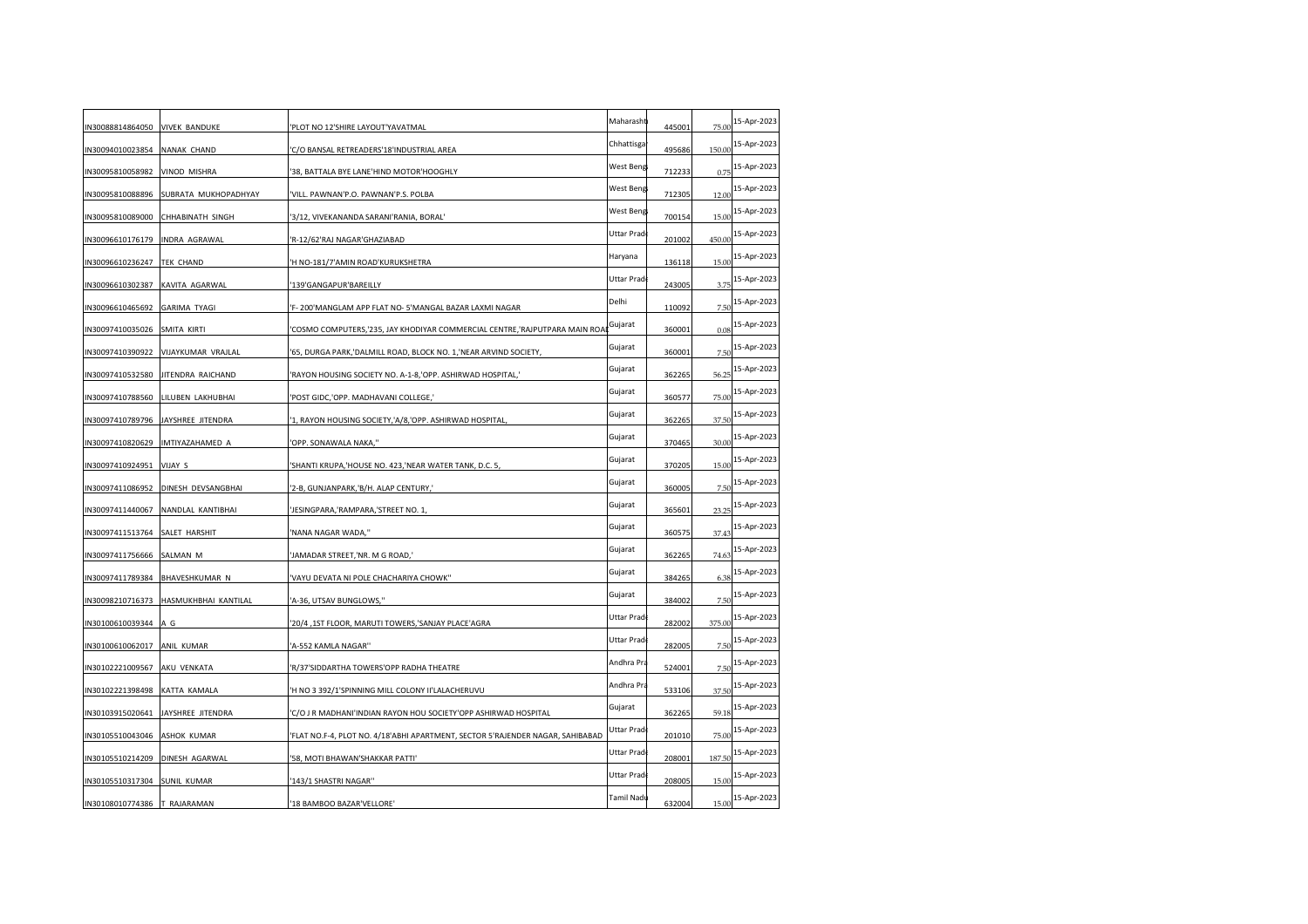| IN30088814864050                | <b>VIVEK BANDUKE</b> | 'PLOT NO 12'SHIRE LAYOUT'YAVATMAL                                              | Maharasht  | 445001 | 75.00  | 15-Apr-2023 |
|---------------------------------|----------------------|--------------------------------------------------------------------------------|------------|--------|--------|-------------|
| IN30094010023854                | NANAK CHAND          | C/O BANSAL RETREADERS'18'INDUSTRIAL AREA                                       | Chhattisga | 495686 | 150.00 | 15-Apr-2023 |
| IN30095810058982                | VINOD MISHRA         | '38, BATTALA BYE LANE'HIND MOTOR'HOOGHLY                                       | West Beng  | 712233 | 0.75   | 15-Apr-2023 |
| IN30095810088896                | SUBRATA MUKHOPADHYAY | 'VILL. PAWNAN'P.O. PAWNAN'P.S. POLBA                                           | West Beng  | 712305 | 12.00  | 15-Apr-2023 |
| IN30095810089000                | CHHABINATH SINGH     | '3/12, VIVEKANANDA SARANI'RANIA, BORAL'                                        | West Beng  | 700154 | 15.00  | 15-Apr-2023 |
| IN30096610176179                | INDRA AGRAWAL        | 'R-12/62'RAJ NAGAR'GHAZIABAD                                                   | Uttar Prad | 201002 | 450.00 | 15-Apr-2023 |
| IN30096610236247                | TEK CHAND            | 'H NO-181/7'AMIN ROAD'KURUKSHETRA                                              | Haryana    | 136118 | 15.00  | 15-Apr-2023 |
| IN30096610302387                | KAVITA AGARWAL       | 139'GANGAPUR'BAREILLY                                                          | Uttar Prad | 243005 | 3.75   | 15-Apr-2023 |
| IN30096610465692                | <b>GARIMA TYAGI</b>  | 'F-200'MANGLAM APP FLAT NO-5'MANGAL BAZAR LAXMI NAGAR                          | Delhi      | 110092 | 7.50   | 15-Apr-2023 |
| IN30097410035026                | SMITA KIRTI          | 'COSMO COMPUTERS,'235, JAY KHODIYAR COMMERCIAL CENTRE,'RAJPUTPARA MAIN ROA     | Gujarat    | 360001 | 0.08   | 15-Apr-2023 |
| IN30097410390922                | VIJAYKUMAR VRAJLAL   | '65, DURGA PARK,'DALMILL ROAD, BLOCK NO. 1,'NEAR ARVIND SOCIETY,               | Gujarat    | 360001 | 7.5(   | 15-Apr-2023 |
| IN30097410532580                | JITENDRA RAICHAND    | 'RAYON HOUSING SOCIETY NO. A-1-8,'OPP. ASHIRWAD HOSPITAL,'                     | Gujarat    | 362265 | 56.25  | 15-Apr-2023 |
| IN30097410788560                | LILUBEN LAKHUBHAI    | 'POST GIDC,'OPP. MADHAVANI COLLEGE,'                                           | Gujarat    | 360577 | 75.00  | 15-Apr-2023 |
| IN30097410789796                | JAYSHREE JITENDRA    | '1, RAYON HOUSING SOCIETY,'A/8,'OPP. ASHIRWAD HOSPITAL                         | Gujarat    | 362265 | 37.50  | 15-Apr-2023 |
| IN30097410820629                | IMTIYAZAHAMED A      | 'OPP. SONAWALA NAKA,"                                                          | Gujarat    | 370465 | 30.00  | 15-Apr-2023 |
| IN30097410924951                | VIJAY S              | 'SHANTI KRUPA,'HOUSE NO. 423,'NEAR WATER TANK, D.C. 5,                         | Gujarat    | 370205 | 15.00  | 15-Apr-2023 |
| IN30097411086952                | DINESH DEVSANGBHAI   | '2-B, GUNJANPARK,'B/H. ALAP CENTURY,'                                          | Gujarat    | 360005 | 7.5(   | 15-Apr-2023 |
| IN30097411440067                | NANDLAL KANTIBHAI    | JESINGPARA, 'RAMPARA, 'STREET NO. 1                                            | Gujarat    | 365601 | 23.2   | 15-Apr-2023 |
| IN30097411513764                | SALET HARSHIT        | 'NANA NAGAR WADA,"                                                             | Gujarat    | 360575 | 37.43  | 15-Apr-2023 |
| IN30097411756666                | SALMAN M             | 'JAMADAR STREET,'NR. M G ROAD,'                                                | Gujarat    | 362265 | 74.63  | 15-Apr-2023 |
| IN30097411789384 BHAVESHKUMAR N |                      | 'VAYU DEVATA NI POLE CHACHARIYA CHOWK"                                         | Gujarat    | 384265 | 6.38   | 15-Apr-2023 |
| IN30098210716373                | HASMUKHBHAI KANTILAL | 'A-36, UTSAV BUNGLOWS,"                                                        | Gujarat    | 384002 | 7.50   | 15-Apr-2023 |
| IN30100610039344                | A G                  | '20/4,1ST FLOOR, MARUTI TOWERS,'SANJAY PLACE'AGRA                              | Uttar Prad | 282002 | 375.00 | 15-Apr-2023 |
| IN30100610062017                | ANIL KUMAR           | 'A-552 KAMLA NAGAR''                                                           | Uttar Prad | 282005 | 7.50   | 15-Apr-2023 |
| IN30102221009567                | AKU VENKATA          | 'R/37'SIDDARTHA TOWERS'OPP RADHA THEATRE                                       | Andhra Pra | 524001 | 7.50   | 15-Apr-2023 |
| IN30102221398498                | KATTA KAMALA         | 'H NO 3 392/1'SPINNING MILL COLONY II'LALACHERUVU                              | Andhra Pra | 533106 | 37.50  | 15-Apr-2023 |
| IN30103915020641                | JAYSHREE JITENDRA    | 'C/O J R MADHANI'INDIAN RAYON HOU SOCIETY'OPP ASHIRWAD HOSPITAL                | Gujarat    | 362265 | 59.18  | 15-Apr-2023 |
| IN30105510043046                | ASHOK KUMAR          | 'FLAT NO.F-4, PLOT NO. 4/18'ABHI APARTMENT, SECTOR 5'RAJENDER NAGAR, SAHIBABAD | Uttar Prad | 201010 | 75.00  | 15-Apr-2023 |
| IN30105510214209                | DINESH AGARWAL       | '58, MOTI BHAWAN'SHAKKAR PATTI'                                                | Uttar Prad | 208001 | 187.50 | 15-Apr-2023 |
| IN30105510317304                | <b>SUNIL KUMAR</b>   | '143/1 SHASTRI NAGAR"                                                          | Uttar Prad | 208005 | 15.00  | 15-Apr-2023 |
| IN30108010774386 T RAJARAMAN    |                      | '18 BAMBOO BAZAR'VELLORE'                                                      | Tamil Nadı | 632004 | 15.00  | 15-Apr-2023 |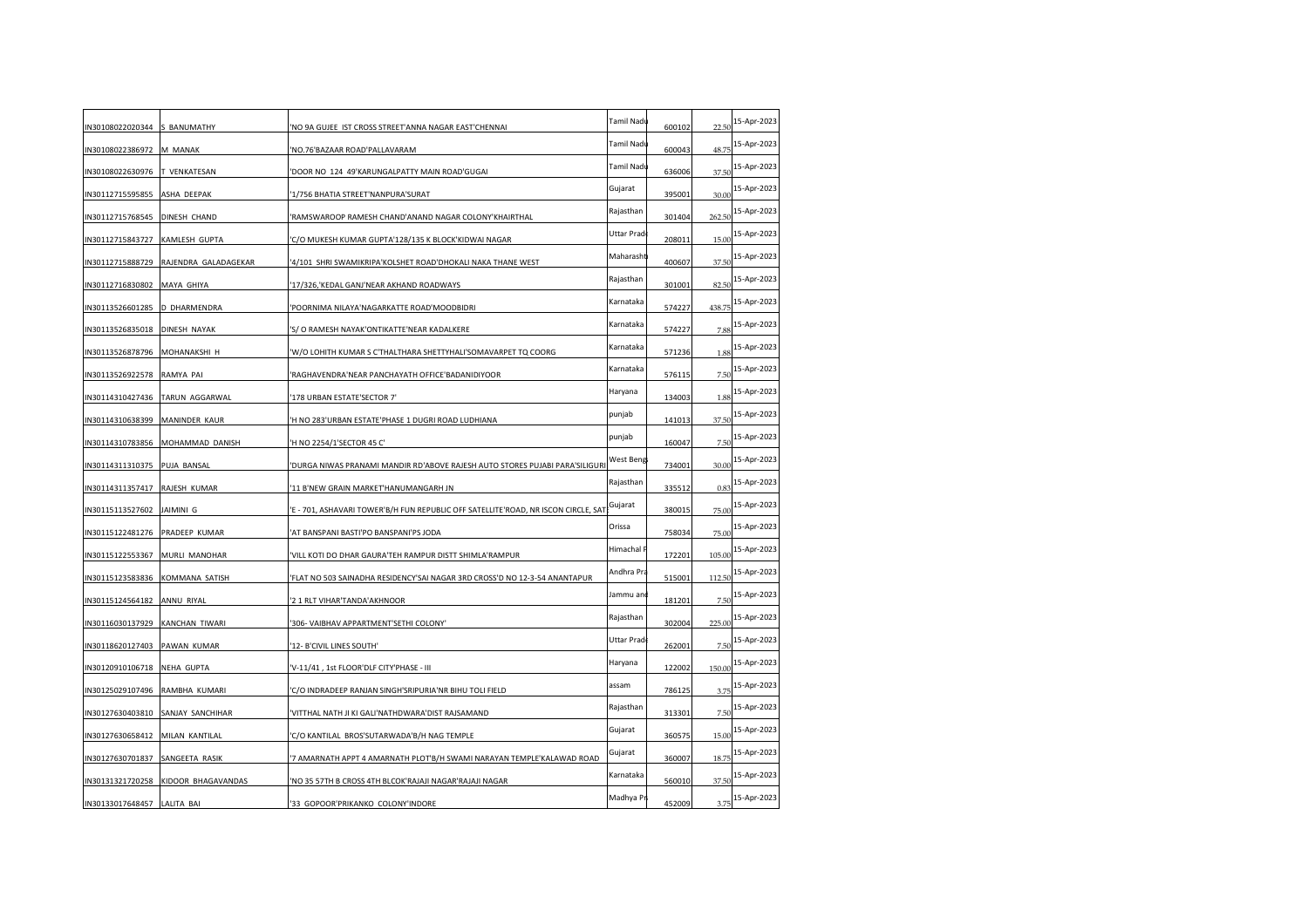| IN30108022020344              | S BANUMATHY          | 'NO 9A GUJEE IST CROSS STREET'ANNA NAGAR EAST'CHENNAI                              | Tamil Nadı | 600102 | 22.50  | 15-Apr-2023 |
|-------------------------------|----------------------|------------------------------------------------------------------------------------|------------|--------|--------|-------------|
| IN30108022386972              | M MANAK              | NO.76'BAZAAR ROAD'PALLAVARAM                                                       | Tamil Nadu | 600043 | 48.75  | 15-Apr-2023 |
|                               |                      |                                                                                    | Tamil Nadu |        | 37.50  | 15-Apr-2023 |
| IN30108022630976              | <b>T VENKATESAN</b>  | DOOR NO 124 49'KARUNGALPATTY MAIN ROAD'GUGAI                                       | Gujarat    | 636006 |        | 15-Apr-2023 |
| IN30112715595855              | ASHA DEEPAK          | 1/756 BHATIA STREET'NANPURA'SURAT                                                  | Rajasthan  | 395001 | 30.00  | 15-Apr-2023 |
| IN30112715768545              | DINESH CHAND         | RAMSWAROOP RAMESH CHAND'ANAND NAGAR COLONY'KHAIRTHAL                               | Uttar Prad | 301404 | 262.50 | 15-Apr-2023 |
| IN30112715843727              | <b>KAMLESH GUPTA</b> | 'C/O MUKESH KUMAR GUPTA'128/135 K BLOCK'KIDWAI NAGAR                               | Maharasht  | 208011 | 15.00  | 15-Apr-2023 |
| IN30112715888729              | RAJENDRA GALADAGEKAR | 4/101 SHRI SWAMIKRIPA'KOLSHET ROAD'DHOKALI NAKA THANE WEST                         |            | 400607 | 37.50  |             |
| IN30112716830802              | MAYA GHIYA           | 17/326, KEDAL GANJ'NEAR AKHAND ROADWAYS                                            | Rajasthan  | 301001 | 82.50  | 15-Apr-2023 |
| IN30113526601285              | D DHARMENDRA         | POORNIMA NILAYA'NAGARKATTE ROAD'MOODBIDRI                                          | Karnataka  | 574227 | 438.75 | 15-Apr-2023 |
| IN30113526835018 DINESH NAYAK |                      | 'S/O RAMESH NAYAK'ONTIKATTE'NEAR KADALKERE                                         | Karnataka  | 574227 | 7.88   | 15-Apr-2023 |
| IN30113526878796              | MOHANAKSHI H         | 'W/O LOHITH KUMAR S C'THALTHARA SHETTYHALI'SOMAVARPET TQ COORG                     | Karnataka  | 571236 | 1.88   | 15-Apr-2023 |
| IN30113526922578              | RAMYA PAI            | RAGHAVENDRA'NEAR PANCHAYATH OFFICE'BADANIDIYOOR                                    | Karnataka  | 576115 | 7.50   | 15-Apr-2023 |
| IN30114310427436              | TARUN AGGARWAL       | 178 URBAN ESTATE'SECTOR 7'                                                         | Haryana    | 134003 | 1.88   | 15-Apr-2023 |
| IN30114310638399              | MANINDER KAUR        | H NO 283'URBAN ESTATE'PHASE 1 DUGRI ROAD LUDHIANA                                  | punjab     | 141013 | 37.50  | 15-Apr-2023 |
| IN30114310783856              | MOHAMMAD DANISH      | 'H NO 2254/1'SECTOR 45 C'                                                          | punjab     | 160047 | 7.50   | 15-Apr-2023 |
| IN30114311310375              | PUJA BANSAL          | DURGA NIWAS PRANAMI MANDIR RD'ABOVE RAJESH AUTO STORES PUJABI PARA'SILIGUR         | West Beng  | 734001 | 30.00  | 15-Apr-2023 |
| IN30114311357417              | RAJESH KUMAR         | 11 B'NEW GRAIN MARKET'HANUMANGARH JN                                               | Rajasthan  | 335512 | 0.83   | 15-Apr-2023 |
| IN30115113527602              | JAIMINI G            | 'E - 701, ASHAVARI TOWER'B/H FUN REPUBLIC OFF SATELLITE'ROAD, NR ISCON CIRCLE, SAT | Gujarat    | 380015 | 75.00  | 15-Apr-2023 |
| IN30115122481276              | PRADEEP KUMAR        | AT BANSPANI BASTI'PO BANSPANI'PS JODA                                              | Orissa     | 758034 | 75.00  | 15-Apr-2023 |
| IN30115122553367              | MURLI MANOHAR        | 'VILL KOTI DO DHAR GAURA'TEH RAMPUR DISTT SHIMLA'RAMPUR                            | Himachal I | 172201 | 105.00 | 15-Apr-2023 |
| IN30115123583836              | KOMMANA SATISH       | 'FLAT NO 503 SAINADHA RESIDENCY'SAI NAGAR 3RD CROSS'D NO 12-3-54 ANANTAPUR         | Andhra Pra | 515001 | 112.50 | 15-Apr-2023 |
| IN30115124564182              | ANNU RIYAL           | 2 1 RLT VIHAR'TANDA'AKHNOOR                                                        | Jammu an   | 181201 | 7.50   | 15-Apr-2023 |
| IN30116030137929              | KANCHAN TIWARI       | 306- VAIBHAV APPARTMENT'SETHI COLONY'                                              | Rajasthan  | 302004 | 225.00 | 15-Apr-2023 |
| IN30118620127403              | PAWAN KUMAR          | '12- B'CIVIL LINES SOUTH'                                                          | Uttar Prad | 262001 | 7.50   | 15-Apr-2023 |
| IN30120910106718              | <b>NEHA GUPTA</b>    | V-11/41, 1st FLOOR'DLF CITY'PHASE - III                                            | Haryana    | 122002 | 150.00 | 15-Apr-2023 |
|                               |                      |                                                                                    | assam      |        |        | 15-Apr-2023 |
| IN30125029107496              | RAMBHA KUMARI        | C/O INDRADEEP RANJAN SINGH'SRIPURIA'NR BIHU TOLI FIELD                             | Rajasthan  | 786125 | 3.75   | 15-Apr-2023 |
| IN30127630403810              | SANJAY SANCHIHAR     | VITTHAL NATH JI KI GALI'NATHDWARA'DIST RAJSAMAND                                   |            | 313301 | 7.50   | 15-Apr-2023 |
| IN30127630658412              | MILAN KANTILAL       | 'C/O KANTILAL BROS'SUTARWADA'B/H NAG TEMPLE                                        | Gujarat    | 360575 | 15.00  |             |
| IN30127630701837              | SANGEETA RASIK       | '7 AMARNATH APPT 4 AMARNATH PLOT'B/H SWAMI NARAYAN TEMPLE'KALAWAD ROAD             | Gujarat    | 360007 | 18.75  | 15-Apr-2023 |
| IN30131321720258              | KIDOOR BHAGAVANDAS   | 'NO 35 57TH B CROSS 4TH BLCOK'RAJAJI NAGAR'RAJAJI NAGAR                            | Karnataka  | 560010 | 37.50  | 15-Apr-2023 |
| IN30133017648457 LALITA BAI   |                      | 33 GOPOOR'PRIKANKO COLONY'INDORE                                                   | Madhya Pr  | 452009 | 3.75   | 15-Apr-2023 |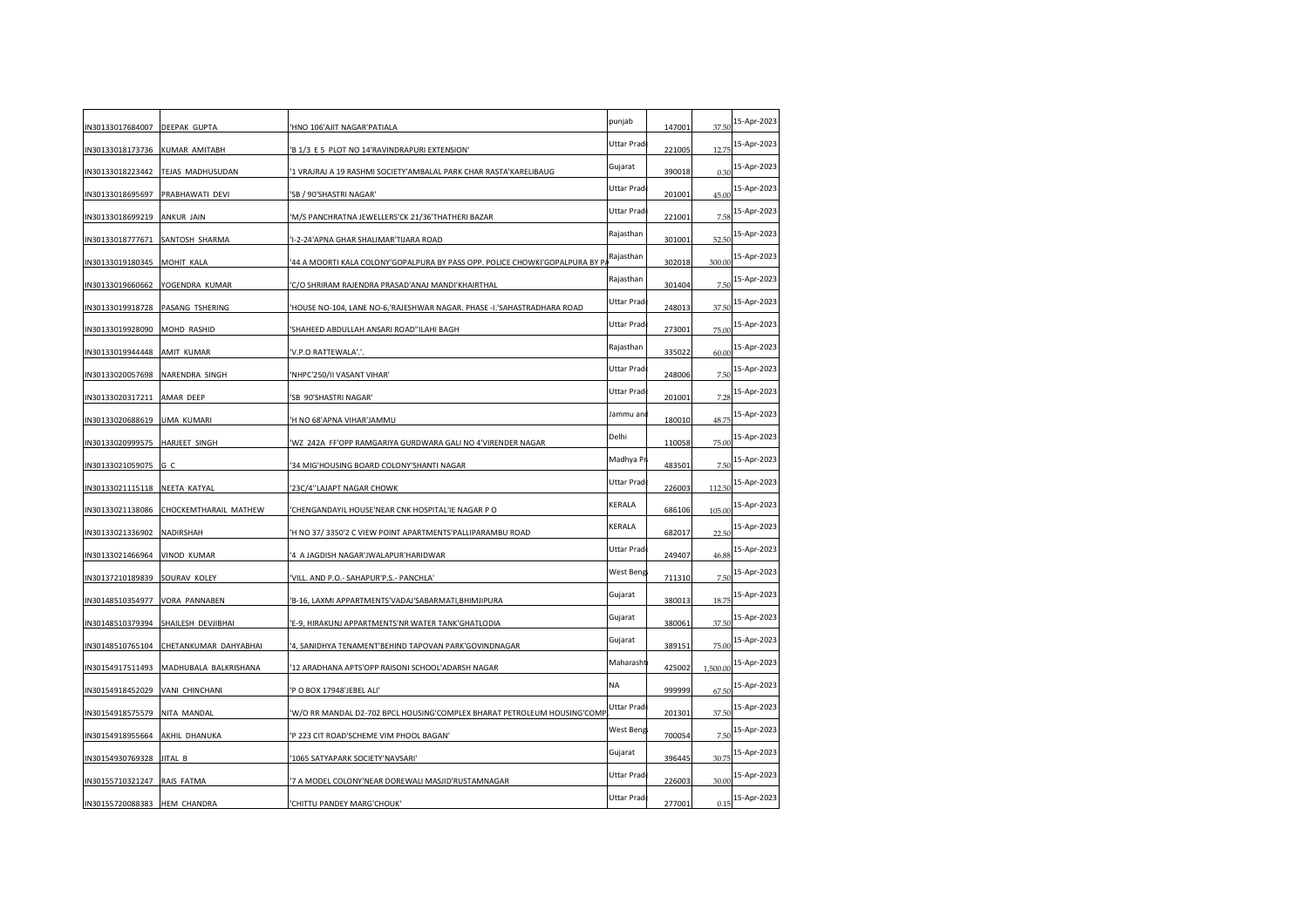| N30133017684007 DEEPAK GUPTA   |                       | HNO 106'AJIT NAGAR'PATIALA                                                  | punjab      | 147001 | 37.50    | 15-Apr-2023 |
|--------------------------------|-----------------------|-----------------------------------------------------------------------------|-------------|--------|----------|-------------|
| N30133018173736                | <b>KUMAR AMITABH</b>  | 'B 1/3 E 5 PLOT NO 14'RAVINDRAPURI EXTENSION'                               | Uttar Prad  | 221005 | 12.75    | 15-Apr-2023 |
| N30133018223442                | TEJAS MADHUSUDAN      | 1 VRAJRAJ A 19 RASHMI SOCIETY'AMBALAL PARK CHAR RASTA'KARELIBAUG            | Gujarat     | 390018 | 0.30     | 15-Apr-2023 |
| N30133018695697                | PRABHAWATI DEVI       | SB / 90'SHASTRI NAGAR'                                                      | Uttar Prad  | 201001 | 45.00    | 15-Apr-2023 |
| N30133018699219                | <b>ANKUR JAIN</b>     | 'M/S PANCHRATNA JEWELLERS'CK 21/36'THATHERI BAZAR                           | Uttar Prad  | 221001 | 7.58     | 15-Apr-2023 |
| N30133018777671 SANTOSH SHARMA |                       | I-2-24'APNA GHAR SHALIMAR'TIJARA ROAD                                       | Rajasthan   | 301001 | 52.50    | 15-Apr-2023 |
| N30133019180345 MOHIT KALA     |                       | 44 A MOORTI KALA COLONY'GOPALPURA BY PASS OPP. POLICE CHOWKI'GOPALPURA BY F | Rajasthan   | 302018 | 300.00   | 15-Apr-2023 |
| N30133019660662                | YOGENDRA KUMAR        | C/O SHRIRAM RAJENDRA PRASAD'ANAJ MANDI'KHAIRTHAL                            | Rajasthan   | 301404 | 7.5(     | 15-Apr-2023 |
| N30133019918728                | PASANG TSHERING       | 'HOUSE NO-104, LANE NO-6,'RAJESHWAR NAGAR. PHASE -I.'SAHASTRADHARA ROAD     | Uttar Pradı | 248013 | 37.50    | 15-Apr-2023 |
| N30133019928090                | MOHD RASHID           | SHAHEED ABDULLAH ANSARI ROAD"ILAHI BAGH                                     | Uttar Prad  | 273001 | 75.00    | 15-Apr-2023 |
| IN30133019944448 AMIT KUMAR    |                       | 'V.P.O RATTEWALA'.'.                                                        | Rajasthan   | 335022 | 60.00    | 15-Apr-2023 |
| N30133020057698                | NARENDRA SINGH        | 'NHPC'250/II VASANT VIHAR'                                                  | Uttar Prad  | 248006 | 7.50     | 15-Apr-2023 |
| N30133020317211                | AMAR DEEP             | SB 90'SHASTRI NAGAR'                                                        | Uttar Prad  | 201001 | 7.28     | 15-Apr-2023 |
| N30133020688619                | <b>UMA KUMARI</b>     | H NO 68'APNA VIHAR'JAMMU                                                    | Jammu an    | 180010 | 48.75    | 15-Apr-2023 |
| N30133020999575                | <b>HARJEET SINGH</b>  | WZ 242A FF'OPP RAMGARIYA GURDWARA GALI NO 4'VIRENDER NAGAR                  | Delhi       | 110058 | 75.00    | 15-Apr-2023 |
| N30133021059075 G C            |                       | 34 MIG'HOUSING BOARD COLONY'SHANTI NAGAR                                    | Madhya P    | 483501 | 7.50     | 15-Apr-2023 |
| N30133021115118 NEETA KATYAL   |                       | 23C/4"LAJAPT NAGAR CHOWK                                                    | Uttar Prad  | 226003 | 112.50   | 15-Apr-2023 |
| N30133021138086                | CHOCKEMTHARAIL MATHEW | 'CHENGANDAYIL HOUSE'NEAR CNK HOSPITAL'IE NAGAR P O                          | KERALA      | 686106 | 105.00   | 15-Apr-2023 |
| N30133021336902                | NADIRSHAH             | 'H NO 37/3350'2 C VIEW POINT APARTMENTS'PALLIPARAMBU ROAD                   | KERALA      | 682017 | 22.5(    | 15-Apr-2023 |
| N30133021466964 VINOD KUMAR    |                       | '4 A JAGDISH NAGAR'JWALAPUR'HARIDWAR                                        | Uttar Prad  | 249407 | 46.88    | 15-Apr-2023 |
| IN30137210189839 SOURAV KOLEY  |                       | VILL. AND P.O.- SAHAPUR'P.S.- PANCHLA'                                      | West Beng   | 711310 | 7.50     | 15-Apr-2023 |
| N30148510354977                | <b>VORA PANNABEN</b>  | B-16, LAXMI APPARTMENTS'VADAJ'SABARMATI, BHIMJIPURA                         | Gujarat     | 380013 | 18.75    | 15-Apr-2023 |
| N30148510379394                | SHAILESH DEVJIBHAI    | E-9, HIRAKUNJ APPARTMENTS'NR WATER TANK'GHATLODIA                           | Gujarat     | 380061 | 37.50    | 15-Apr-2023 |
| N30148510765104                | CHETANKUMAR DAHYABHAI | 4, SANIDHYA TENAMENT'BEHIND TAPOVAN PARK'GOVINDNAGAR                        | Gujarat     | 389151 | 75.00    | 15-Apr-2023 |
| N30154917511493                | MADHUBALA BALKRISHANA | 12 ARADHANA APTS'OPP RAISONI SCHOOL'ADARSH NAGAR                            | Maharasht   | 425002 | 1,500.00 | 15-Apr-2023 |
| N30154918452029 VANI CHINCHANI |                       | P O BOX 17948'JEBEL ALI'                                                    | NA          | 999999 | 67.50    | 15-Apr-2023 |
| N30154918575579                | NITA MANDAL           | W/O RR MANDAL D2-702 BPCL HOUSING'COMPLEX BHARAT PETROLEUM HOUSING'COMP     | Uttar Prad  | 201301 | 37.50    | 15-Apr-2023 |
| N30154918955664                | AKHIL DHANUKA         | P 223 CIT ROAD'SCHEME VIM PHOOL BAGAN'                                      | West Beng   | 700054 | 7.50     | 15-Apr-2023 |
| N30154930769328                | JITAL B               | 1065 SATYAPARK SOCIETY'NAVSARI'                                             | Gujarat     | 396445 | 30.75    | 15-Apr-2023 |
| N30155710321247                | RAIS FATMA            | 7 A MODEL COLONY'NEAR DOREWALI MASJID'RUSTAMNAGAR                           | Uttar Prad  | 226003 | 30.00    | 15-Apr-2023 |
| IN30155720088383 HEM CHANDRA   |                       | CHITTU PANDEY MARG'CHOUK'                                                   | Uttar Prad  | 277001 | 0.15     | 15-Apr-2023 |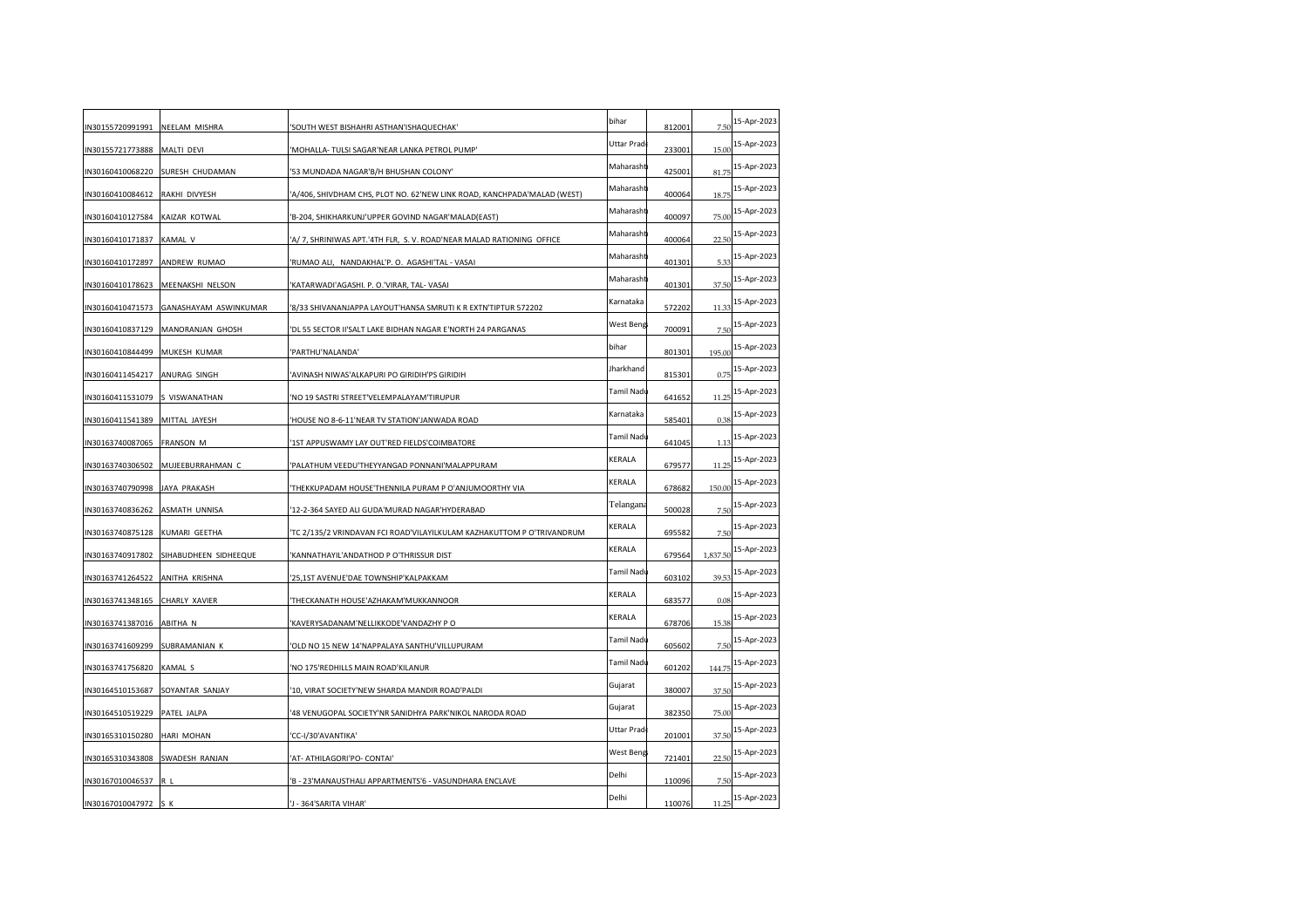| IN30155720991991                | NEELAM MISHRA         | 'SOUTH WEST BISHAHRI ASTHAN'ISHAQUECHAK'                                | bihar      | 812001 | 7.50     | 15-Apr-2023 |
|---------------------------------|-----------------------|-------------------------------------------------------------------------|------------|--------|----------|-------------|
| IN30155721773888                | MALTI DEVI            | 'MOHALLA- TULSI SAGAR'NEAR LANKA PETROL PUMP'                           | Uttar Prad | 233001 | 15.00    | 15-Apr-2023 |
| IN30160410068220                | SURESH CHUDAMAN       | '53 MUNDADA NAGAR'B/H BHUSHAN COLONY'                                   | Maharasht  | 425001 | 81.75    | 15-Apr-2023 |
| IN30160410084612                | RAKHI DIVYESH         | 'A/406, SHIVDHAM CHS, PLOT NO. 62'NEW LINK ROAD, KANCHPADA'MALAD (WEST) | Maharasht  | 400064 | 18.75    | 15-Apr-2023 |
| IN30160410127584                | KAIZAR KOTWAL         | 'B-204, SHIKHARKUNJ'UPPER GOVIND NAGAR'MALAD(EAST)                      | Maharasht  | 400097 | 75.00    | 15-Apr-2023 |
| IN30160410171837                | <b>KAMAL V</b>        | 'A/ 7, SHRINIWAS APT.'4TH FLR, S.V. ROAD'NEAR MALAD RATIONING OFFICE    | Maharasht  | 400064 | 22.5(    | 15-Apr-2023 |
| IN30160410172897                | ANDREW RUMAO          | 'RUMAO ALI, NANDAKHAL'P.O. AGASHI'TAL - VASAI                           | Maharasht  | 401301 | 5.33     | 15-Apr-2023 |
| IN30160410178623                | MEENAKSHI NELSON      | 'KATARWADI'AGASHI. P. O.'VIRAR, TAL- VASAI                              | Maharasht  | 401301 | 37.50    | 15-Apr-2023 |
| IN30160410471573                | GANASHAYAM ASWINKUMAR | '8/33 SHIVANANJAPPA LAYOUT'HANSA SMRUTI K R EXTN'TIPTUR 572202          | Karnataka  | 572202 | 11.33    | 15-Apr-2023 |
| IN30160410837129                | MANORANJAN GHOSH      | 'DL 55 SECTOR II'SALT LAKE BIDHAN NAGAR E'NORTH 24 PARGANAS             | West Beng  | 700091 | 7.5(     | 15-Apr-2023 |
| IN30160410844499                | MUKESH KUMAR          | 'PARTHU'NALANDA'                                                        | bihar      | 801301 | 195.00   | 15-Apr-2023 |
| IN30160411454217                | ANURAG SINGH          | 'AVINASH NIWAS'ALKAPURI PO GIRIDIH'PS GIRIDIH                           | Jharkhand  | 815301 | 0.75     | 15-Apr-2023 |
| IN30160411531079                | S VISWANATHAN         | 'NO 19 SASTRI STREET'VELEMPALAYAM'TIRUPUR                               | Tamil Nadı | 641652 | 11.25    | 15-Apr-2023 |
| IN30160411541389                | MITTAL JAYESH         | 'HOUSE NO 8-6-11'NEAR TV STATION'JANWADA ROAD                           | Karnataka  | 585401 | 0.38     | 15-Apr-2023 |
| IN30163740087065                | FRANSON M             | '1ST APPUSWAMY LAY OUT'RED FIELDS'COIMBATORE                            | Tamil Nadı | 641045 | 1.13     | 15-Apr-2023 |
| IN30163740306502                | MUJEEBURRAHMAN C      | 'PALATHUM VEEDU'THEYYANGAD PONNANI'MALAPPURAM                           | KERALA     | 679577 | 11.25    | 15-Apr-2023 |
| IN30163740790998                | JAYA PRAKASH          | 'THEKKUPADAM HOUSE'THENNILA PURAM P O'ANJUMOORTHY VIA                   | KERALA     | 678682 | 150.00   | 15-Apr-2023 |
| IN30163740836262                | ASMATH UNNISA         | '12-2-364 SAYED ALI GUDA'MURAD NAGAR'HYDERABAD                          | Telangana  | 500028 | 7.5(     | 15-Apr-2023 |
| IN30163740875128                | KUMARI GEETHA         | 'TC 2/135/2 VRINDAVAN FCI ROAD'VILAYILKULAM KAZHAKUTTOM P O'TRIVANDRUM  | KERALA     | 695582 | 7.5(     | 15-Apr-2023 |
| IN30163740917802                | SIHABUDHEEN SIDHEEQUE | 'KANNATHAYIL'ANDATHOD P O'THRISSUR DIST                                 | KERALA     | 679564 | 1,837.50 | 15-Apr-2023 |
| IN30163741264522 ANITHA KRISHNA |                       | '25,1ST AVENUE'DAE TOWNSHIP'KALPAKKAM                                   | Tamil Nad  | 603102 | 39.53    | 15-Apr-2023 |
| IN30163741348165                | CHARLY XAVIER         | 'THECKANATH HOUSE'AZHAKAM'MUKKANNOOR                                    | KERALA     | 683577 | 0.08     | 15-Apr-2023 |
| IN30163741387016                | ABITHA N              | 'KAVERYSADANAM'NELLIKKODE'VANDAZHY P O                                  | KERALA     | 678706 | 15.38    | 15-Apr-2023 |
| IN30163741609299                | SUBRAMANIAN K         | 'OLD NO 15 NEW 14'NAPPALAYA SANTHU'VILLUPURAM                           | Tamil Nadı | 605602 | 7.50     | 15-Apr-2023 |
| IN30163741756820                | <b>KAMAL S</b>        | 'NO 175'REDHILLS MAIN ROAD'KILANUR                                      | Tamil Nadı | 601202 | 144.75   | 15-Apr-2023 |
| IN30164510153687                | SOYANTAR SANJAY       | '10, VIRAT SOCIETY'NEW SHARDA MANDIR ROAD'PALDI                         | Gujarat    | 380007 | 37.50    | 15-Apr-2023 |
| IN30164510519229                | PATEL JALPA           | '48 VENUGOPAL SOCIETY'NR SANIDHYA PARK'NIKOL NARODA ROAD                | Gujarat    | 382350 | 75.00    | 15-Apr-2023 |
| IN30165310150280                | HARI MOHAN            | 'CC-I/30'AVANTIKA'                                                      | Uttar Prad | 201001 | 37.50    | 15-Apr-2023 |
| IN30165310343808                | SWADESH RANJAN        | 'AT- ATHILAGORI'PO- CONTAI'                                             | West Beng  | 721401 | 22.5(    | 15-Apr-2023 |
| IN30167010046537                | R L                   | 'B - 23'MANAUSTHALI APPARTMENTS'6 - VASUNDHARA ENCLAVE                  | Delhi      | 110096 | 7.5(     | 15-Apr-2023 |
| IN30167010047972                | S K                   | 'J - 364'SARITA VIHAR'                                                  | Delhi      | 110076 | 11.25    | 15-Apr-2023 |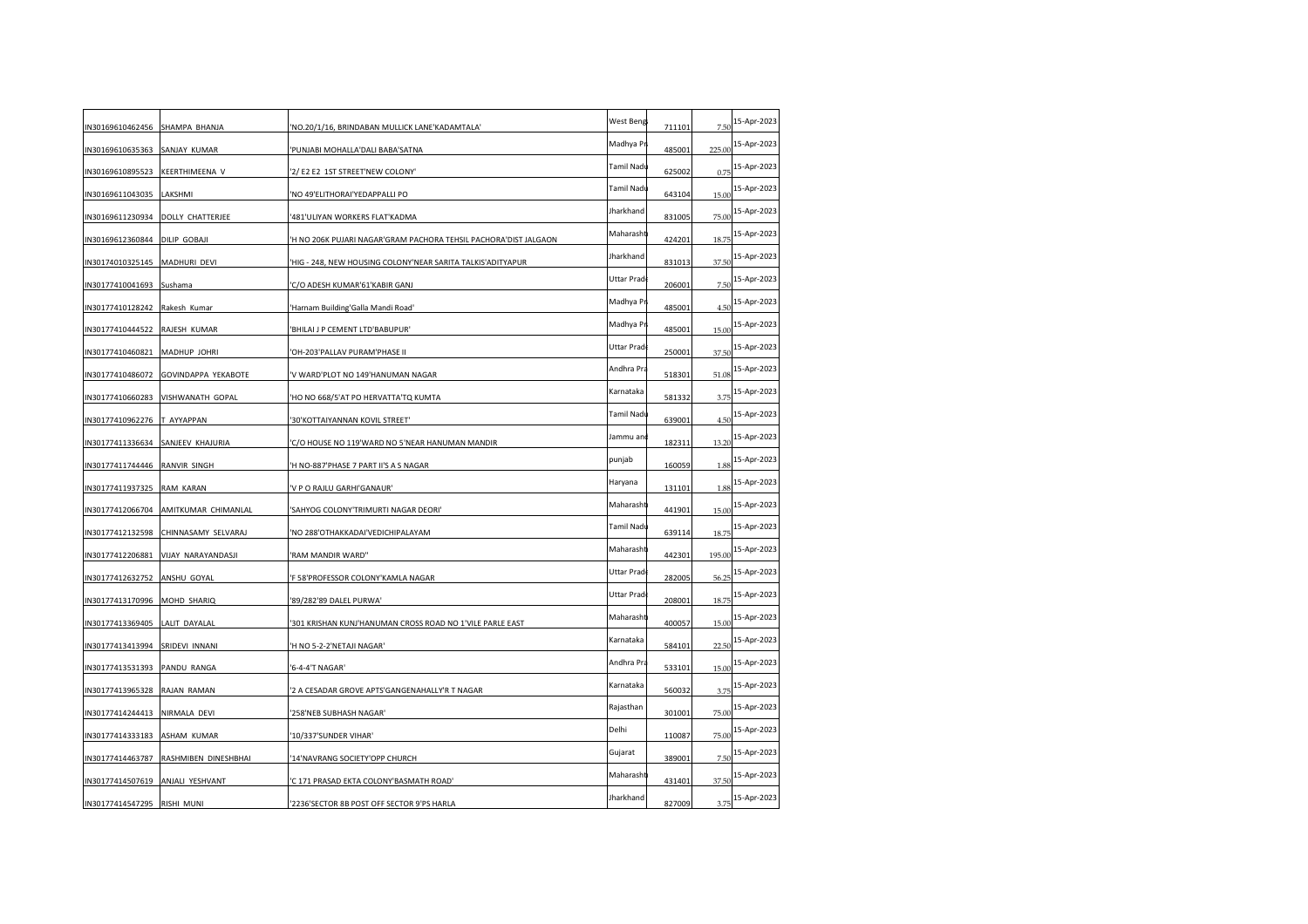| N30169610462456 SHAMPA BHANJA |                      | 'NO.20/1/16, BRINDABAN MULLICK LANE'KADAMTALA'                   | West Beng  | 711101 | 7.50   | 15-Apr-2023 |
|-------------------------------|----------------------|------------------------------------------------------------------|------------|--------|--------|-------------|
| N30169610635363               | SANJAY KUMAR         | 'PUNJABI MOHALLA'DALI BABA'SATNA                                 | Madhya Pr  | 485001 | 225.00 | 15-Apr-2023 |
| N30169610895523               | KEERTHIMEENA V       | '2/ E2 E2 1ST STREET'NEW COLONY'                                 | Tamil Nadı | 625002 | 0.75   | 15-Apr-2023 |
| N30169611043035 LAKSHMI       |                      | 'NO 49'ELITHORAI'YEDAPPALLI PO                                   | Tamil Nadı | 643104 | 15.00  | 15-Apr-2023 |
| N30169611230934               | DOLLY CHATTERJEE     | '481'ULIYAN WORKERS FLAT'KADMA                                   | Jharkhand  | 831005 | 75.00  | 15-Apr-2023 |
| N30169612360844 DILIP GOBAJI  |                      | 'H NO 206K PUJARI NAGAR'GRAM PACHORA TEHSIL PACHORA'DIST JALGAON | Maharasht  | 424201 | 18.75  | 15-Apr-2023 |
| N30174010325145               | MADHURI DEVI         | HIG - 248, NEW HOUSING COLONY'NEAR SARITA TALKIS'ADITYAPUR       | Jharkhand  | 831013 | 37.50  | 15-Apr-2023 |
| IN30177410041693              | Sushama              | 'C/O ADESH KUMAR'61'KABIR GANJ                                   | Uttar Prad | 206001 | 7.50   | 15-Apr-2023 |
| N30177410128242               | Rakesh Kumar         | 'Harnam Building'Galla Mandi Road'                               | Madhya Pr  | 485001 | 4.5(   | 15-Apr-2023 |
| N30177410444522               | RAJESH KUMAR         | 'BHILAI J P CEMENT LTD'BABUPUR'                                  | Madhya Pi  | 485001 | 15.00  | 15-Apr-2023 |
| IN30177410460821 MADHUP JOHRI |                      | 'OH-203'PALLAV PURAM'PHASE II                                    | Uttar Prad | 250001 | 37.50  | 15-Apr-2023 |
| N30177410486072               | GOVINDAPPA YEKABOTE  | 'V WARD'PLOT NO 149'HANUMAN NAGAR                                | Andhra Pra | 518301 | 51.08  | 15-Apr-2023 |
| N30177410660283               | VISHWANATH GOPAL     | 'HO NO 668/5'AT PO HERVATTA'TQ KUMTA                             | Karnataka  | 581332 | 3.75   | 15-Apr-2023 |
| N30177410962276               | T AYYAPPAN           | '30'KOTTAIYANNAN KOVIL STREET'                                   | Tamil Nadı | 639001 | 4.5(   | 15-Apr-2023 |
| N30177411336634               | SANJEEV KHAJURIA     | 'C/O HOUSE NO 119'WARD NO 5'NEAR HANUMAN MANDIR                  | Jammu an   | 182311 | 13.20  | 15-Apr-2023 |
| N30177411744446 RANVIR SINGH  |                      | 'H NO-887'PHASE 7 PART II'S A S NAGAR                            | punjab     | 160059 | 1.88   | 15-Apr-2023 |
| N30177411937325               | RAM KARAN            | 'V P O RAJLU GARHI'GANAUR'                                       | Haryana    | 131101 | 1.88   | 15-Apr-2023 |
| N30177412066704               | AMITKUMAR CHIMANLAL  | 'SAHYOG COLONY'TRIMURTI NAGAR DEORI'                             | Maharasht  | 441901 | 15.00  | 15-Apr-2023 |
| N30177412132598               | CHINNASAMY SELVARAJ  | 'NO 288' OTHAKKADAI' VEDICHIPALAYAM                              | Tamil Nadı | 639114 | 18.75  | 15-Apr-2023 |
| N30177412206881               | VIJAY NARAYANDASJI   | 'RAM MANDIR WARD"                                                | Maharasht  | 442301 | 195.00 | 15-Apr-2023 |
| IN30177412632752 ANSHU GOYAL  |                      | 'F 58'PROFESSOR COLONY'KAMLA NAGAR                               | Uttar Prad | 282005 | 56.25  | 15-Apr-2023 |
| N30177413170996 MOHD SHARIQ   |                      | '89/282'89 DALEL PURWA'                                          | Uttar Prad | 208001 | 18.75  | 15-Apr-2023 |
| N30177413369405               | LALIT DAYALAL        | 301 KRISHAN KUNJ'HANUMAN CROSS ROAD NO 1'VILE PARLE EAST         | Maharasht  | 400057 | 15.00  | 15-Apr-2023 |
| N30177413413994               | SRIDEVI INNANI       | 'H NO 5-2-2'NETAJI NAGAR'                                        | Karnataka  | 584101 | 22.50  | 15-Apr-2023 |
| N30177413531393               | PANDU RANGA          | '6-4-4'T NAGAR'                                                  | Andhra Pra | 533101 | 15.00  | 15-Apr-2023 |
| N30177413965328 RAJAN RAMAN   |                      | '2 A CESADAR GROVE APTS'GANGENAHALLY'R T NAGAR                   | Karnataka  | 560032 | 3.75   | 15-Apr-2023 |
| N30177414244413               | NIRMALA DEVI         | '258'NEB SUBHASH NAGAR'                                          | Rajasthan  | 301001 | 75.00  | 15-Apr-2023 |
| N30177414333183               | ASHAM KUMAR          | '10/337'SUNDER VIHAR'                                            | Delhi      | 110087 | 75.00  | 15-Apr-2023 |
| N30177414463787               | RASHMIBEN DINESHBHAI | 14'NAVRANG SOCIETY'OPP CHURCH                                    | Gujarat    | 389001 | 7.5(   | 15-Apr-2023 |
| N30177414507619               | ANJALI YESHVANT      | 'C 171 PRASAD EKTA COLONY'BASMATH ROAD'                          | Maharasht  | 431401 | 37.50  | 15-Apr-2023 |
| IN30177414547295 RISHI MUNI   |                      | '2236'SECTOR 8B POST OFF SECTOR 9'PS HARLA                       | Jharkhand  | 827009 | 3.75   | 15-Apr-2023 |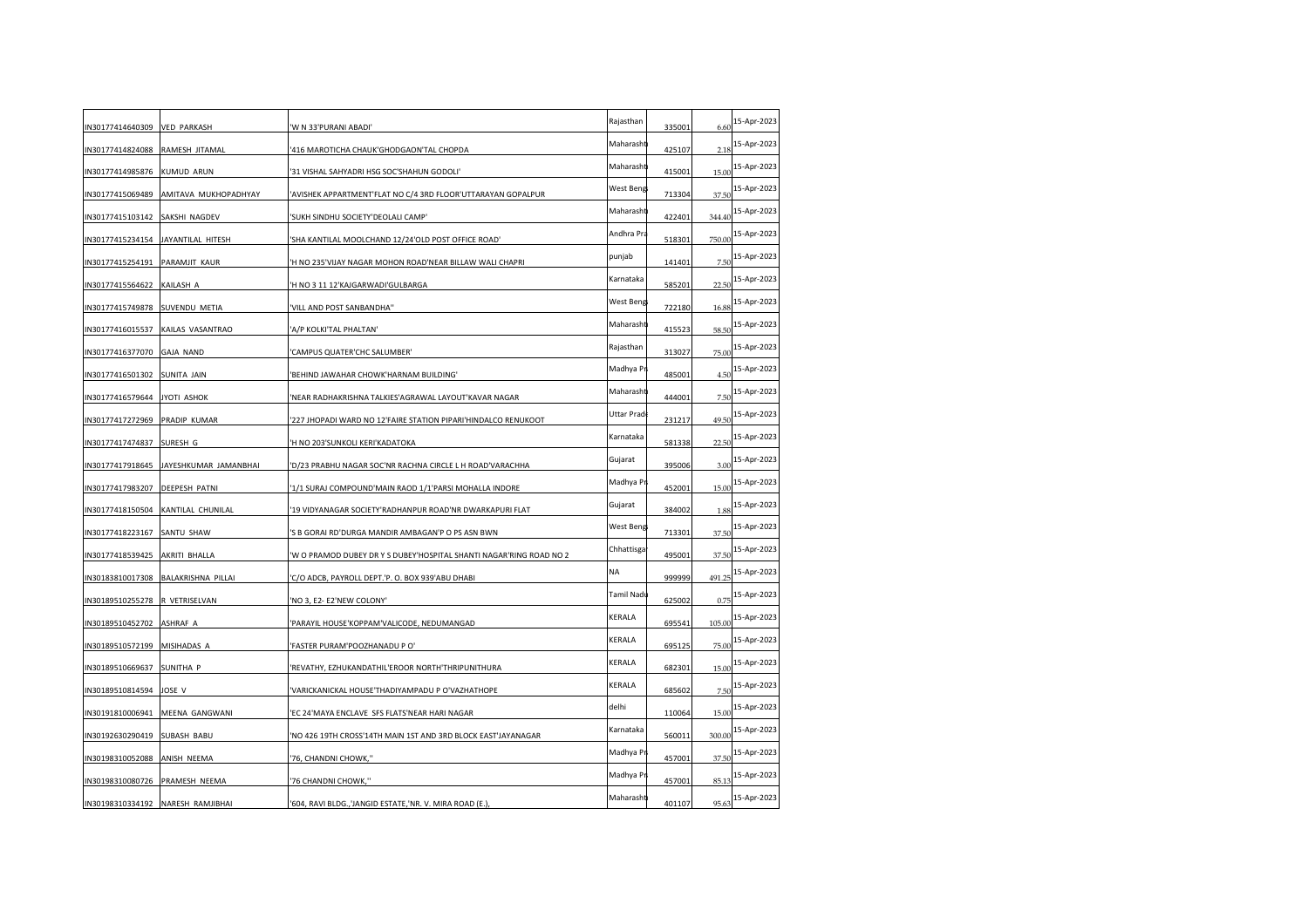| <b>VED PARKASH</b>                     | 'W N 33'PURANI ABADI'                                               | Rajasthan  | 335001                              | 6.60      | 15-Apr-2023 |
|----------------------------------------|---------------------------------------------------------------------|------------|-------------------------------------|-----------|-------------|
| RAMESH JITAMAL                         | '416 MAROTICHA CHAUK'GHODGAON'TAL CHOPDA                            | Maharasht  | 425107                              | 2.18      | 15-Apr-2023 |
| KUMUD ARUN                             | '31 VISHAL SAHYADRI HSG SOC'SHAHUN GODOLI'                          |            | 415001                              | 15.00     | 15-Apr-2023 |
| AMITAVA MUKHOPADHYAY                   | 'AVISHEK APPARTMENT'FLAT NO C/4 3RD FLOOR'UTTARAYAN GOPALPUR        |            | 713304                              | 37.50     | 15-Apr-2023 |
| SAKSHI NAGDEV                          | 'SUKH SINDHU SOCIETY'DEOLALI CAMP'                                  | Maharasht  | 422401                              | 344.40    | 15-Apr-2023 |
| JAYANTILAL HITESH                      | 'SHA KANTILAL MOOLCHAND 12/24'OLD POST OFFICE ROAD'                 | Andhra Pra | 518301                              | 750.00    | 15-Apr-2023 |
| PARAMJIT KAUR                          | 'H NO 235'VIJAY NAGAR MOHON ROAD'NEAR BILLAW WALI CHAPRI            | punjab     | 141401                              | 7.5(      | 15-Apr-2023 |
| KAILASH A                              | 'H NO 3 11 12'KAJGARWADI'GULBARGA                                   | Karnataka  | 585201                              | 22.5(     | 15-Apr-2023 |
| SUVENDU METIA                          | 'VILL AND POST SANBANDHA"                                           |            | 722180                              | 16.88     | 15-Apr-2023 |
| KAILAS VASANTRAO                       | 'A/P KOLKI'TAL PHALTAN'                                             | Maharasht  | 415523                              | 58.50     | 15-Apr-2023 |
| IN30177416377070 GAJA NAND             | 'CAMPUS QUATER'CHC SALUMBER'                                        | Rajasthan  | 313027                              | 75.00     | 15-Apr-2023 |
| SUNITA JAIN                            | 'BEHIND JAWAHAR CHOWK'HARNAM BUILDING'                              | Madhya Pr  | 485001                              | 4.50      | 15-Apr-2023 |
| JYOTI ASHOK                            | 'NEAR RADHAKRISHNA TALKIES'AGRAWAL LAYOUT'KAVAR NAGAR               | Maharasht  | 444001                              | 7.5(      | 15-Apr-2023 |
| PRADIP KUMAR                           | '227 JHOPADI WARD NO 12'FAIRE STATION PIPARI'HINDALCO RENUKOOT      | Uttar Prad | 231217                              | 49.50     | 15-Apr-2023 |
| SURESH G                               | 'H NO 203'SUNKOLI KERI'KADATOKA                                     | Karnataka  | 581338                              | 22.50     | 15-Apr-2023 |
| IN30177417918645 JAYESHKUMAR JAMANBHAI | 'D/23 PRABHU NAGAR SOC'NR RACHNA CIRCLE L H ROAD'VARACHHA           | Gujarat    | 395006                              | 3.00      | 15-Apr-2023 |
| DEEPESH PATNI                          | '1/1 SURAJ COMPOUND'MAIN RAOD 1/1'PARSI MOHALLA INDORE              | Madhya Pr  | 452001                              | 15.00     | 15-Apr-2023 |
| KANTILAL CHUNILAL                      | 19 VIDYANAGAR SOCIETY'RADHANPUR ROAD'NR DWARKAPURI FLAT             | Gujarat    | 384002                              | 1.88      | 15-Apr-2023 |
| SANTU SHAW                             | 'S B GORAI RD'DURGA MANDIR AMBAGAN'P O PS ASN BWN                   |            | 713301                              | 37.50     | 15-Apr-2023 |
| AKRITI BHALLA                          | 'W O PRAMOD DUBEY DR Y S DUBEY'HOSPITAL SHANTI NAGAR'RING ROAD NO 2 | Chhattisga | 495001                              | 37.50     | 15-Apr-2023 |
| IN30183810017308 BALAKRISHNA PILLAI    | 'C/O ADCB, PAYROLL DEPT.'P. O. BOX 939'ABU DHABI                    | NA         | 999999                              | 491.25    | 15-Apr-2023 |
| R VETRISELVAN                          | 'NO 3, E2- E2'NEW COLONY'                                           | Tamil Nadı | 625002                              | 0.75      | 15-Apr-2023 |
| ASHRAF A                               | 'PARAYIL HOUSE'KOPPAM'VALICODE, NEDUMANGAD                          | KERALA     | 695541                              | 105.00    | 15-Apr-2023 |
| MISIHADAS A                            | 'FASTER PURAM'POOZHANADU P O'                                       | KERALA     | 695125                              | 75.00     | 15-Apr-2023 |
| SUNITHA P                              | 'REVATHY, EZHUKANDATHIL'EROOR NORTH'THRIPUNITHURA                   | KERALA     | 682301                              | 15.00     | 15-Apr-2023 |
| JOSE V                                 | 'VARICKANICKAL HOUSE'THADIYAMPADU P O'VAZHATHOPE                    | KERALA     | 685602                              | 7.50      | 15-Apr-2023 |
| MEENA GANGWANI                         | 'EC 24' MAYA ENCLAVE SFS FLATS'NEAR HARI NAGAR                      | delhi      | 110064                              | 15.00     | 15-Apr-2023 |
| SUBASH BABU                            | 'NO 426 19TH CROSS'14TH MAIN 1ST AND 3RD BLOCK EAST'JAYANAGAR       | Karnataka  | 560011                              | 300.00    | 15-Apr-2023 |
| ANISH NEEMA                            | '76, CHANDNI CHOWK,''                                               | Madhya Pr  | 457001                              | 37.50     | 15-Apr-2023 |
| PRAMESH NEEMA                          | '76 CHANDNI CHOWK,"                                                 | Madhya Pr  | 457001                              | 85.13     | 15-Apr-2023 |
| IN30198310334192 NARESH RAMJIBHAI      | '604, RAVI BLDG.,'JANGID ESTATE,'NR. V. MIRA ROAD (E.),             | Maharasht  | 401107                              | 95.63     | 15-Apr-2023 |
|                                        |                                                                     |            | Maharasht<br>West Beng<br>West Beng | West Beng |             |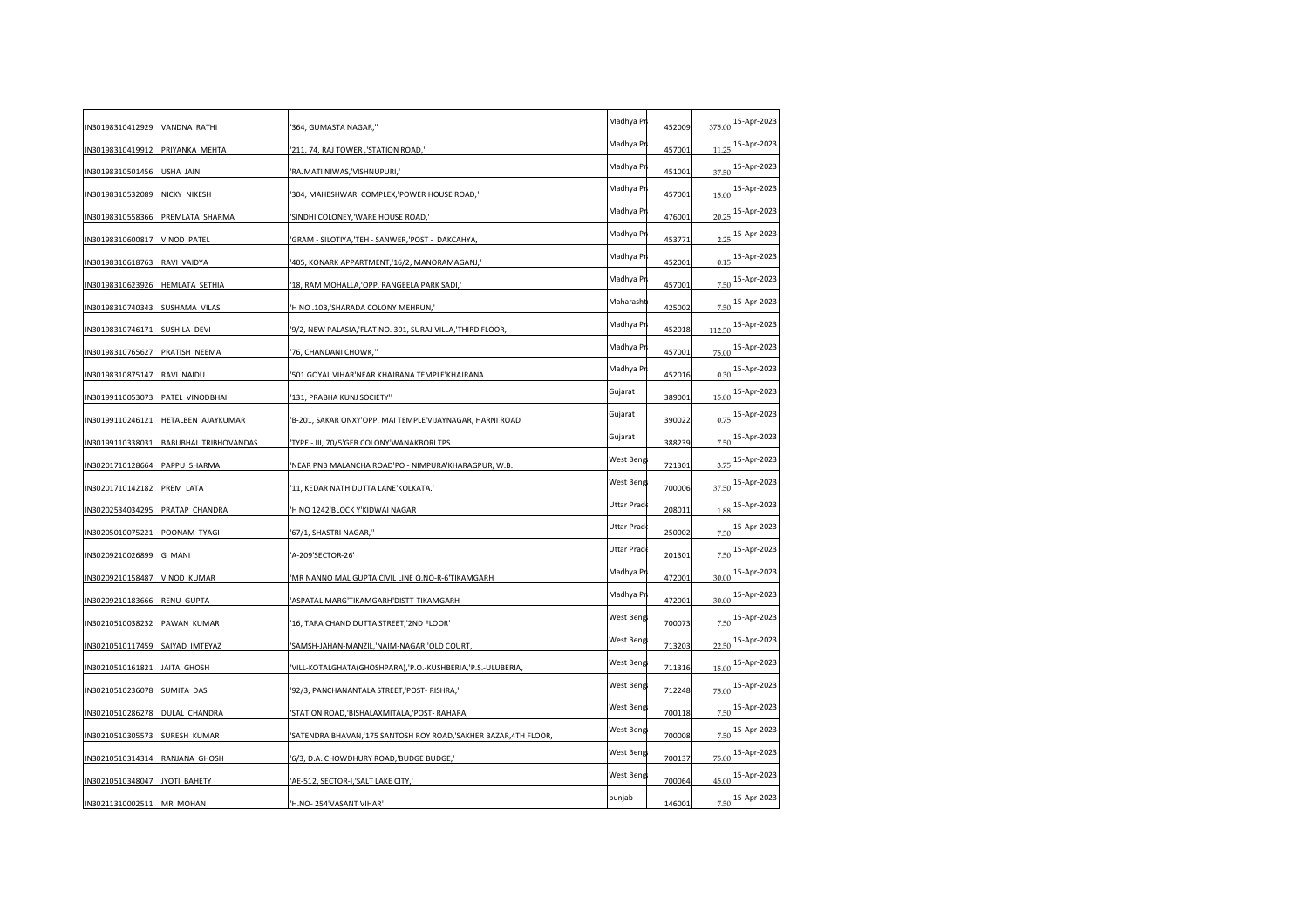| N30198310412929 VANDNA RATHI   |                              | '364, GUMASTA NAGAR,''                                          | Madhya Pr   | 452009 | 375.00 | 15-Apr-2023 |
|--------------------------------|------------------------------|-----------------------------------------------------------------|-------------|--------|--------|-------------|
| N30198310419912                | PRIYANKA MEHTA               | '211, 74, RAJ TOWER, 'STATION ROAD,'                            | Madhya Pr   | 457001 | 11.25  | 15-Apr-2023 |
| N30198310501456                | <b>USHA JAIN</b>             | RAJMATI NIWAS, VISHNUPURI,'                                     | Madhya Pr   | 451001 | 37.50  | 15-Apr-2023 |
| N30198310532089                | NICKY NIKESH                 | 304, MAHESHWARI COMPLEX, POWER HOUSE ROAD,                      | Madhya Pr   | 457001 | 15.00  | 15-Apr-2023 |
| N30198310558366                | PREMLATA SHARMA              | SINDHI COLONEY, 'WARE HOUSE ROAD,'                              | Madhya Pr   | 476001 | 20.25  | 15-Apr-2023 |
| N30198310600817 VINOD PATEL    |                              | GRAM - SILOTIYA, 'TEH - SANWER, 'POST - DAKCAHYA,               | Madhya Pr   | 453771 | 2.25   | 15-Apr-2023 |
| N30198310618763                | RAVI VAIDYA                  | 405, KONARK APPARTMENT, 16/2, MANORAMAGANJ,                     | Madhya Pr   | 452001 | 0.15   | 15-Apr-2023 |
| N30198310623926                | <b>HEMLATA SETHIA</b>        | 18, RAM MOHALLA, OPP. RANGEELA PARK SADI,'                      | Madhya Pr   | 457001 | 7.50   | 15-Apr-2023 |
| N30198310740343                | SUSHAMA VILAS                | 'H NO .10B,'SHARADA COLONY MEHRUN,'                             | Maharasht   | 425002 | 7.5(   | 15-Apr-2023 |
| N30198310746171                | SUSHILA DEVI                 | '9/2, NEW PALASIA,'FLAT NO. 301, SURAJ VILLA,'THIRD FLOOR,      | Madhya Pr   | 452018 | 112.50 | 15-Apr-2023 |
| IN30198310765627 PRATISH NEEMA |                              | '76, CHANDANI CHOWK,"                                           | Madhya Pi   | 457001 | 75.00  | 15-Apr-2023 |
| N30198310875147                | RAVI NAIDU                   | 501 GOYAL VIHAR'NEAR KHAJRANA TEMPLE'KHAJRANA                   | Madhya Pr   | 452016 | 0.30   | 15-Apr-2023 |
| N30199110053073                | PATEL VINODBHAI              | 131, PRABHA KUNJ SOCIETY"                                       | Gujarat     | 389001 | 15.00  | 15-Apr-2023 |
| N30199110246121                | HETALBEN AJAYKUMAR           | B-201, SAKAR ONXY'OPP. MAI TEMPLE'VIJAYNAGAR, HARNI ROAD        | Gujarat     | 390022 | 0.75   | 15-Apr-2023 |
| N30199110338031                | <b>BABUBHAI TRIBHOVANDAS</b> | TYPE - III, 70/5'GEB COLONY'WANAKBORI TPS                       | Gujarat     | 388239 | 7.50   | 15-Apr-2023 |
| N30201710128664 PAPPU SHARMA   |                              | 'NEAR PNB MALANCHA ROAD'PO - NIMPURA'KHARAGPUR, W.B.            | West Beng   | 721301 | 3.75   | 15-Apr-2023 |
| N30201710142182                | PREM LATA                    | '11, KEDAR NATH DUTTA LANE'KOLKATA.'                            | West Beng   | 700006 | 37.50  | 15-Apr-2023 |
| N30202534034295                | PRATAP CHANDRA               | 'H NO 1242'BLOCK Y'KIDWAI NAGAR                                 | Uttar Pradı | 208011 | 1.88   | 15-Apr-2023 |
| N30205010075221                | POONAM TYAGI                 | '67/1, SHASTRI NAGAR,"                                          | Uttar Pradı | 250002 | 7.5(   | 15-Apr-2023 |
| N30209210026899                | <b>G MANI</b>                | 'A-209'SECTOR-26'                                               | Uttar Prad  | 201301 | 7.5(   | 15-Apr-2023 |
| IN30209210158487 VINOD KUMAR   |                              | MR NANNO MAL GUPTA'CIVIL LINE Q.NO-R-6'TIKAMGARH                | Madhya P    | 472001 | 30.00  | 15-Apr-2023 |
| N30209210183666 RENU GUPTA     |                              | ASPATAL MARG'TIKAMGARH'DISTT-TIKAMGARH                          | Madhya Pr   | 472001 | 30.00  | 15-Apr-2023 |
| N30210510038232                | PAWAN KUMAR                  | 16, TARA CHAND DUTTA STREET, '2ND FLOOR'                        | West Beng   | 700073 | 7.5(   | 15-Apr-2023 |
| N30210510117459                | SAIYAD IMTEYAZ               | SAMSH-JAHAN-MANZIL, 'NAIM-NAGAR, 'OLD COURT,                    | West Beng   | 713203 | 22.5(  | 15-Apr-2023 |
| N30210510161821                | JAITA GHOSH                  | VILL-KOTALGHATA(GHOSHPARA), 'P.O.-KUSHBERIA, 'P.S.-ULUBERIA,    | West Beng   | 711316 | 15.00  | 15-Apr-2023 |
| N30210510236078 SUMITA DAS     |                              | '92/3, PANCHANANTALA STREET,'POST-RISHRA,'                      | West Beng   | 712248 | 75.00  | 15-Apr-2023 |
| N30210510286278                | DULAL CHANDRA                | STATION ROAD, 'BISHALAXMITALA, 'POST- RAHARA,                   | West Beng   | 700118 | 7.50   | 15-Apr-2023 |
| N30210510305573                | SURESH KUMAR                 | 'SATENDRA BHAVAN,'175 SANTOSH ROY ROAD,'SAKHER BAZAR,4TH FLOOR, | West Beng   | 700008 | 7.50   | 15-Apr-2023 |
| N30210510314314                | RANJANA GHOSH                | '6/3, D.A. CHOWDHURY ROAD,'BUDGE BUDGE,'                        | West Beng   | 700137 | 75.00  | 15-Apr-2023 |
| N30210510348047                | JYOTI BAHETY                 | 'AE-512, SECTOR-I,'SALT LAKE CITY,'                             | West Beng   | 700064 | 45.00  | 15-Apr-2023 |
| IN30211310002511 MR MOHAN      |                              | 'H.NO-254'VASANT VIHAR'                                         | punjab      | 146001 | 7.50   | 15-Apr-2023 |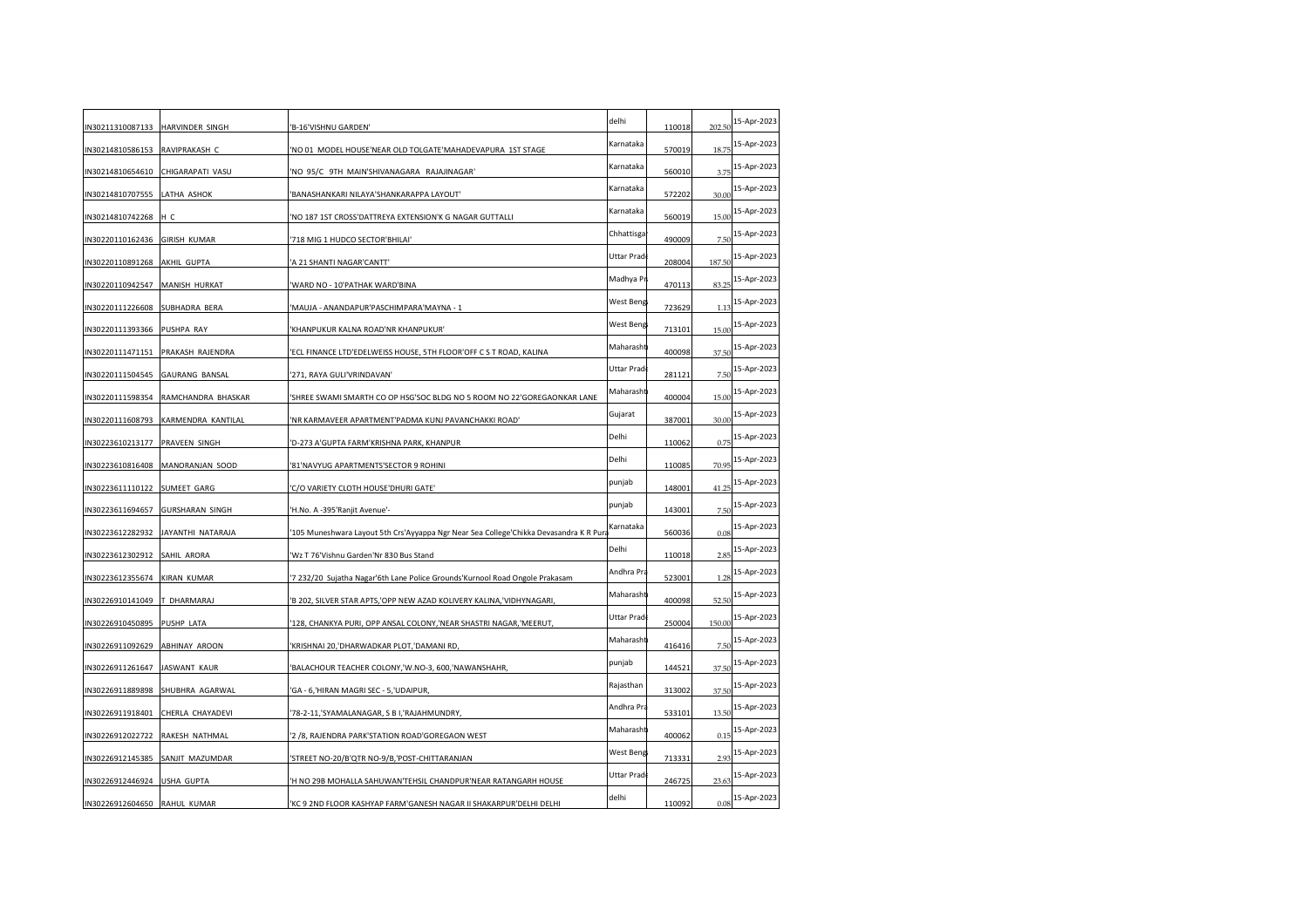| IN30211310087133 HARVINDER SINGH    | 'B-16'VISHNU GARDEN'                                                                  | delhi      | 110018                                                                                                              | 202.50                 | 15-Apr-2023 |
|-------------------------------------|---------------------------------------------------------------------------------------|------------|---------------------------------------------------------------------------------------------------------------------|------------------------|-------------|
| RAVIPRAKASH C                       | NO 01 MODEL HOUSE'NEAR OLD TOLGATE'MAHADEVAPURA 1ST STAGE                             | Karnataka  | 570019                                                                                                              | 18.75                  | 15-Apr-2023 |
| CHIGARAPATI VASU                    | 'NO 95/C 9TH MAIN'SHIVANAGARA RAJAJINAGAR'                                            | Karnataka  | 560010                                                                                                              | 3.75                   | 15-Apr-2023 |
| LATHA ASHOK                         | 'BANASHANKARI NILAYA'SHANKARAPPA LAYOUT'                                              | Karnataka  | 572202                                                                                                              | 30.00                  | 15-Apr-2023 |
| нс                                  | 'NO 187 1ST CROSS'DATTREYA EXTENSION'K G NAGAR GUTTALLI                               | Karnataka  | 560019                                                                                                              | 15.00                  | 15-Apr-2023 |
| IN30220110162436 GIRISH KUMAR       | 718 MIG 1 HUDCO SECTOR'BHILAI'                                                        | Chhattisga | 490009                                                                                                              | 7.5(                   | 15-Apr-2023 |
| AKHIL GUPTA                         | A 21 SHANTI NAGAR'CANTT'                                                              | Uttar Prad | 208004                                                                                                              | 187.50                 | 15-Apr-2023 |
| MANISH HURKAT                       | WARD NO - 10'PATHAK WARD'BINA                                                         |            | 470113                                                                                                              | 83.25                  | 15-Apr-2023 |
| IN30220111226608 SUBHADRA BERA      | 'MAUJA - ANANDAPUR'PASCHIMPARA'MAYNA - 1                                              |            | 723629                                                                                                              | 1.13                   | 15-Apr-2023 |
| IN30220111393366 PUSHPA RAY         | 'KHANPUKUR KALNA ROAD'NR KHANPUKUR'                                                   |            | 713101                                                                                                              | 15.00                  | 15-Apr-2023 |
| PRAKASH RAJENDRA                    | 'ECL FINANCE LTD'EDELWEISS HOUSE, 5TH FLOOR'OFF C S T ROAD, KALINA                    |            | 400098                                                                                                              | 37.50                  | 15-Apr-2023 |
| <b>GAURANG BANSAL</b>               | '271, RAYA GULI'VRINDAVAN'                                                            | Uttar Prad | 281121                                                                                                              | 7.5(                   | 15-Apr-2023 |
| RAMCHANDRA BHASKAR                  | 'SHREE SWAMI SMARTH CO OP HSG'SOC BLDG NO 5 ROOM NO 22'GOREGAONKAR LANE               |            | 400004                                                                                                              | 15.00                  | 15-Apr-2023 |
| KARMENDRA KANTILAL                  | 'NR KARMAVEER APARTMENT'PADMA KUNJ PAVANCHAKKI ROAD'                                  | Gujarat    | 387001                                                                                                              | 30.00                  | 15-Apr-2023 |
| PRAVEEN SINGH                       | 'D-273 A'GUPTA FARM'KRISHNA PARK, KHANPUR                                             | Delhi      | 110062                                                                                                              | 0.75                   | 15-Apr-2023 |
| IN30223610816408<br>MANORANJAN SOOD | '81'NAVYUG APARTMENTS'SECTOR 9 ROHINI                                                 | Delhi      | 110085                                                                                                              | 70.95                  | 15-Apr-2023 |
| SUMEET GARG                         | 'C/O VARIETY CLOTH HOUSE'DHURI GATE'                                                  | punjab     | 148001                                                                                                              | 41.25                  | 15-Apr-2023 |
| <b>GURSHARAN SINGH</b>              | 'H.No. A -395'Ranjit Avenue'-                                                         | punjab     | 143001                                                                                                              | 7.5(                   | 15-Apr-2023 |
| JAYANTHI NATARAJA                   | '105 Muneshwara Layout 5th Crs'Ayyappa Ngr Near Sea College'Chikka Devasandra K R Pur | Karnataka  | 560036                                                                                                              | 0.08                   | 15-Apr-2023 |
| SAHIL ARORA                         | 'Wz T 76'Vishnu Garden'Nr 830 Bus Stand                                               | Delhi      | 110018                                                                                                              | 2.85                   | 15-Apr-2023 |
| <b>KIRAN KUMAR</b>                  | 7 232/20 Sujatha Nagar'6th Lane Police Grounds'Kurnool Road Ongole Prakasam           |            | 523001                                                                                                              | 1.28                   | 15-Apr-2023 |
| T DHARMARAJ                         | 'B 202, SILVER STAR APTS,'OPP NEW AZAD KOLIVERY KALINA,'VIDHYNAGARI,                  |            | 400098                                                                                                              | 52.50                  | 15-Apr-2023 |
| PUSHP LATA                          | '128, CHANKYA PURI, OPP ANSAL COLONY, 'NEAR SHASTRI NAGAR, 'MEERUT,                   |            | 250004                                                                                                              | 150.00                 | 15-Apr-2023 |
| ABHINAY AROON                       | 'KRISHNAI 20,'DHARWADKAR PLOT,'DAMANI RD,                                             |            | 416416                                                                                                              | 7.5(                   | 15-Apr-2023 |
| JASWANT KAUR                        | BALACHOUR TEACHER COLONY, 'W.NO-3, 600, 'NAWANSHAHR,                                  | punjab     | 144521                                                                                                              | 37.50                  | 15-Apr-2023 |
| IN30226911889898<br>SHUBHRA AGARWAL | 'GA - 6,'HIRAN MAGRI SEC - 5,'UDAIPUR,                                                | Rajasthan  | 313002                                                                                                              | 37.50                  | 15-Apr-2023 |
| CHERLA CHAYADEVI                    | 78-2-11,'SYAMALANAGAR, S B I,'RAJAHMUNDRY,                                            | Andhra Pra | 533101                                                                                                              | 13.50                  | 15-Apr-2023 |
| RAKESH NATHMAL                      | '2 /8, RAJENDRA PARK'STATION ROAD'GOREGAON WEST                                       |            | 400062                                                                                                              | 0.15                   | 15-Apr-2023 |
| SANJIT MAZUMDAR                     | 'STREET NO-20/B'QTR NO-9/B,'POST-CHITTARANJAN                                         |            | 713331                                                                                                              | 2.93                   | 15-Apr-2023 |
| USHA GUPTA                          | 'H NO 29B MOHALLA SAHUWAN'TEHSIL CHANDPUR'NEAR RATANGARH HOUSE                        | Uttar Prad | 246725                                                                                                              | 23.63                  | 15-Apr-2023 |
| RAHUL KUMAR                         | KC9 2ND FLOOR KASHYAP FARM'GANESH NAGAR II SHAKARPUR'DELHI DELHI                      | delhi      | 110092                                                                                                              | 0.08                   | 15-Apr-2023 |
|                                     |                                                                                       |            | Madhya Pr<br>West Beng<br>Maharasht<br>Maharasht<br>Andhra Pra<br>Maharasht<br>Uttar Prad<br>Maharasht<br>Maharasht | West Beng<br>West Beng |             |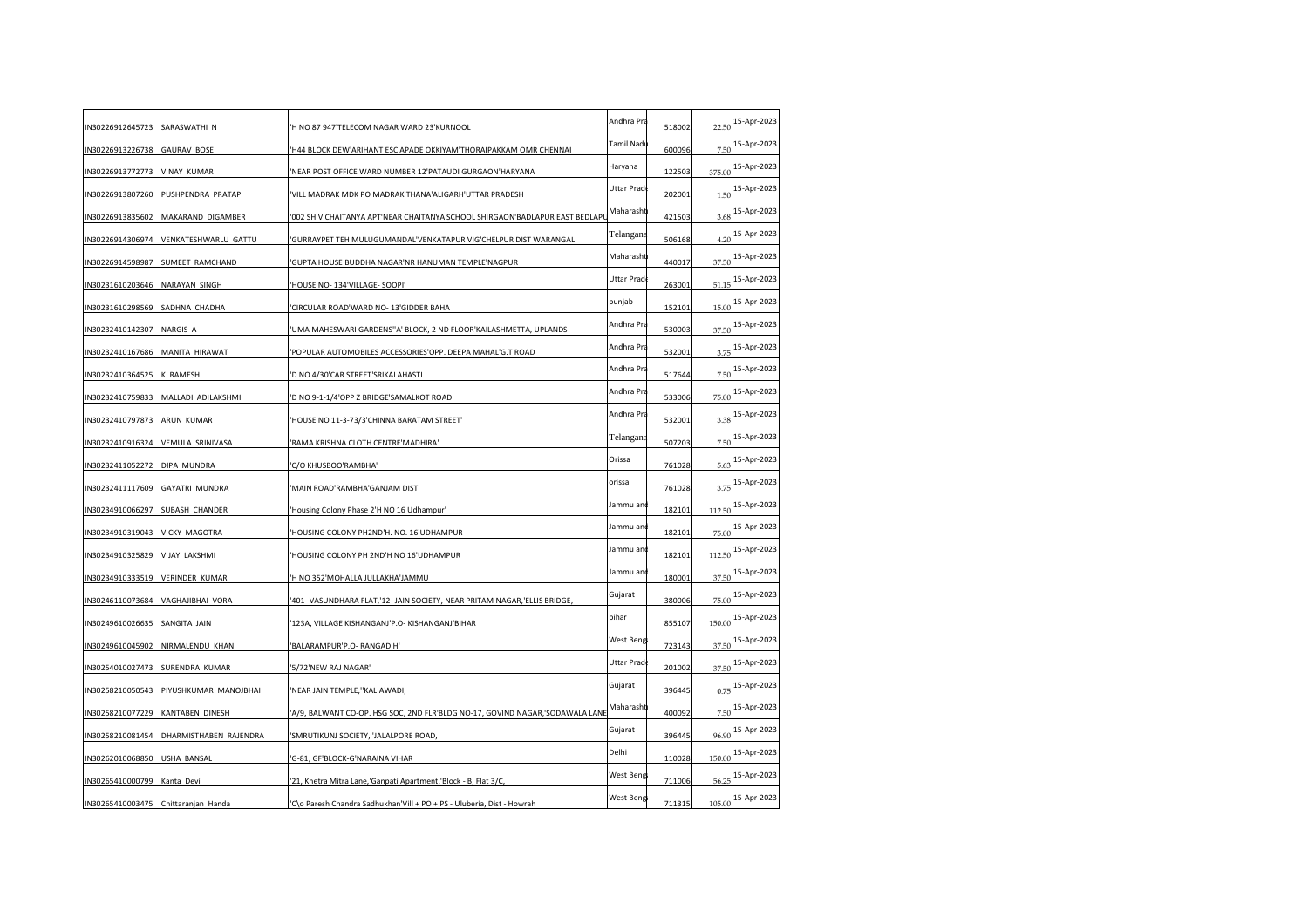| IN30226912645723                | SARASWATHI N           | 'H NO 87 947'TELECOM NAGAR WARD 23'KURNOOL                                    | Andhra Pra  | 518002 | 22.50  | 15-Apr-2023 |
|---------------------------------|------------------------|-------------------------------------------------------------------------------|-------------|--------|--------|-------------|
| IN30226913226738                | <b>GAURAV BOSE</b>     | 'H44 BLOCK DEW'ARIHANT ESC APADE OKKIYAM'THORAIPAKKAM OMR CHENNAI             | Tamil Nadı  | 600096 | 7.5(   | 15-Apr-2023 |
| IN30226913772773                | <b>VINAY KUMAR</b>     | 'NEAR POST OFFICE WARD NUMBER 12'PATAUDI GURGAON'HARYANA                      | Haryana     | 122503 | 375.00 | 15-Apr-2023 |
| IN30226913807260                | PUSHPENDRA PRATAP      | 'VILL MADRAK MDK PO MADRAK THANA'ALIGARH'UTTAR PRADESH                        | Uttar Pradı | 202001 | 1.5(   | 15-Apr-2023 |
| IN30226913835602                | MAKARAND DIGAMBER      | '002 SHIV CHAITANYA APT'NEAR CHAITANYA SCHOOL SHIRGAON'BADLAPUR EAST BEDLAPI  | Maharasht   | 421503 | 3.68   | 15-Apr-2023 |
| IN30226914306974                | VENKATESHWARLU GATTU   | 'GURRAYPET TEH MULUGUMANDAL'VENKATAPUR VIG'CHELPUR DIST WARANGAL              | Telangana   | 506168 | 4.20   | 15-Apr-2023 |
| IN30226914598987                | SUMEET RAMCHAND        | 'GUPTA HOUSE BUDDHA NAGAR'NR HANUMAN TEMPLE'NAGPUR                            | Maharasht   | 440017 | 37.50  | 15-Apr-2023 |
| IN30231610203646                | NARAYAN SINGH          | 'HOUSE NO-134'VILLAGE-SOOPI'                                                  | Uttar Prad  | 263001 | 51.15  | 15-Apr-2023 |
| IN30231610298569                | SADHNA CHADHA          | 'CIRCULAR ROAD'WARD NO-13'GIDDER BAHA                                         | punjab      | 152101 | 15.00  | 15-Apr-2023 |
| IN30232410142307                | NARGIS A               | 'UMA MAHESWARI GARDENS''A' BLOCK, 2 ND FLOOR'KAILASHMETTA, UPLANDS            | Andhra Pra  | 530003 | 37.50  | 15-Apr-2023 |
| IN30232410167686 MANITA HIRAWAT |                        | 'POPULAR AUTOMOBILES ACCESSORIES'OPP. DEEPA MAHAL'G.T ROAD                    | Andhra Pra  | 532001 | 3.75   | 15-Apr-2023 |
| IN30232410364525                | K RAMESH               | 'D NO 4/30'CAR STREET'SRIKALAHASTI                                            | Andhra Pra  | 517644 | 7.50   | 15-Apr-2023 |
| IN30232410759833                | MALLADI ADILAKSHMI     | 'D NO 9-1-1/4'OPP Z BRIDGE'SAMALKOT ROAD                                      | Andhra Pra  | 533006 | 75.00  | 15-Apr-2023 |
| IN30232410797873                | ARUN KUMAR             | 'HOUSE NO 11-3-73/3'CHINNA BARATAM STREET'                                    | Andhra Pra  | 532001 | 3.38   | 15-Apr-2023 |
| IN30232410916324                | VEMULA SRINIVASA       | 'RAMA KRISHNA CLOTH CENTRE'MADHIRA'                                           | Telangana   | 507203 | 7.50   | 15-Apr-2023 |
| IN30232411052272                | DIPA MUNDRA            | 'C/O KHUSBOO'RAMBHA'                                                          | Orissa      | 761028 | 5.63   | 15-Apr-2023 |
| IN30232411117609                | <b>GAYATRI MUNDRA</b>  | 'MAIN ROAD'RAMBHA'GANJAM DIST                                                 | orissa      | 761028 | 3.75   | 15-Apr-2023 |
| IN30234910066297                | SUBASH CHANDER         | 'Housing Colony Phase 2'H NO 16 Udhampur'                                     | Jammu an    | 182101 | 112.50 | 15-Apr-2023 |
| IN30234910319043                | VICKY MAGOTRA          | 'HOUSING COLONY PH2ND'H. NO. 16'UDHAMPUR                                      | Jammu an    | 182101 | 75.00  | 15-Apr-2023 |
| IN30234910325829                | VIJAY LAKSHMI          | 'HOUSING COLONY PH 2ND'H NO 16'UDHAMPUR                                       | Jammu an    | 182101 | 112.50 | 15-Apr-2023 |
| IN30234910333519 VERINDER KUMAR |                        | 'H NO 352'MOHALLA JULLAKHA'JAMMU                                              | Jammu an    | 180001 | 37.50  | 15-Apr-2023 |
| IN30246110073684                | VAGHAJIBHAI VORA       | '401- VASUNDHARA FLAT,'12- JAIN SOCIETY, NEAR PRITAM NAGAR,'ELLIS BRIDGE,     | Gujarat     | 380006 | 75.00  | 15-Apr-2023 |
| IN30249610026635                | SANGITA JAIN           | '123A, VILLAGE KISHANGANJ'P.O- KISHANGANJ'BIHAR                               | bihar       | 855107 | 150.00 | 15-Apr-2023 |
| IN30249610045902                | NIRMALENDU KHAN        | 'BALARAMPUR'P.O-RANGADIH'                                                     | West Beng   | 723143 | 37.50  | 15-Apr-2023 |
| IN30254010027473                | SURENDRA KUMAR         | '5/72'NEW RAJ NAGAR'                                                          | Uttar Prad  | 201002 | 37.50  | 15-Apr-2023 |
| IN30258210050543                | PIYUSHKUMAR MANOJBHAI  | 'NEAR JAIN TEMPLE,"KALIAWADI                                                  | Gujarat     | 396445 | 0.75   | 15-Apr-2023 |
| IN30258210077229                | KANTABEN DINESH        | 'A/9, BALWANT CO-OP. HSG SOC, 2ND FLR'BLDG NO-17, GOVIND NAGAR,'SODAWALA LANE | Maharasht   | 400092 | 7.50   | 15-Apr-2023 |
| IN30258210081454                | DHARMISTHABEN RAJENDRA | 'SMRUTIKUNJ SOCIETY,''JALALPORE ROAD                                          | Gujarat     | 396445 | 96.90  | 15-Apr-2023 |
| IN30262010068850                | USHA BANSAL            | 'G-81, GF'BLOCK-G'NARAINA VIHAR                                               | Delhi       | 110028 | 150.00 | 15-Apr-2023 |
| IN30265410000799                | Kanta Devi             | '21, Khetra Mitra Lane, 'Ganpati Apartment, 'Block - B, Flat 3/C,             | West Beng   | 711006 | 56.2   | 15-Apr-2023 |
| IN30265410003475                | Chittaranjan Handa     | 'C\o Paresh Chandra Sadhukhan'Vill + PO + PS - Uluberia,'Dist - Howrah        | West Beng   | 711315 | 105.00 | 15-Apr-2023 |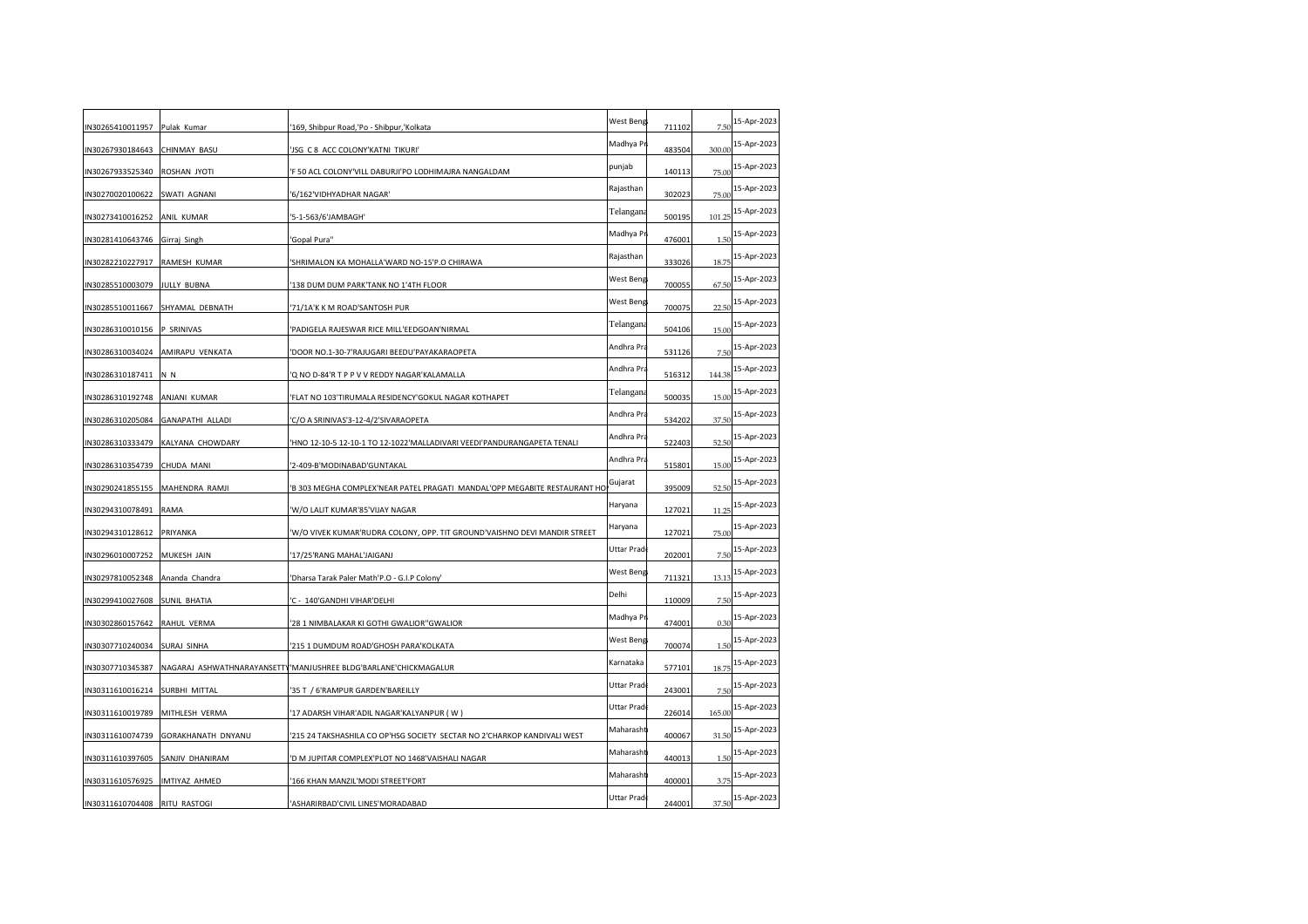| N30265410011957 Pulak Kumar     |                                  | '169, Shibpur Road,'Po - Shibpur,'Kolkata                                | West Beng  | 711102 | 7.50   | 15-Apr-2023 |
|---------------------------------|----------------------------------|--------------------------------------------------------------------------|------------|--------|--------|-------------|
| N30267930184643                 | CHINMAY BASU                     | JSG C 8 ACC COLONY'KATNI TIKURI'                                         | Madhya Pr  | 483504 | 300.00 | 15-Apr-2023 |
| N30267933525340                 | ROSHAN JYOTI                     | F 50 ACL COLONY'VILL DABURJI'PO LODHIMAJRA NANGALDAM                     | punjab     | 140113 | 75.00  | 15-Apr-2023 |
| N30270020100622                 | SWATI AGNANI                     | '6/162'VIDHYADHAR NAGAR'                                                 | Rajasthan  | 302023 | 75.00  | 15-Apr-2023 |
| N30273410016252                 | ANIL KUMAR                       | '5-1-563/6'JAMBAGH'                                                      | Telangana  | 500195 | 101.25 | 15-Apr-2023 |
| N30281410643746 Girraj Singh    |                                  | 'Gopal Pura''                                                            | Madhya Pr  | 476001 | 1.50   | 15-Apr-2023 |
| N30282210227917                 | RAMESH KUMAR                     | SHRIMALON KA MOHALLA'WARD NO-15'P.O CHIRAWA                              | Rajasthan  | 333026 | 18.75  | 15-Apr-2023 |
| N30285510003079                 | <b>JULLY BUBNA</b>               | 138 DUM DUM PARK'TANK NO 1'4TH FLOOR                                     | West Beng  | 700055 | 67.50  | 15-Apr-2023 |
| N30285510011667                 | SHYAMAL DEBNATH                  | 71/1A'K K M ROAD'SANTOSH PUR                                             | West Beng  | 700075 | 22.5(  | 15-Apr-2023 |
| N30286310010156                 | P SRINIVAS                       | 'PADIGELA RAJESWAR RICE MILL'EEDGOAN'NIRMAL                              | Telangana  | 504106 | 15.00  | 15-Apr-2023 |
|                                 | IN30286310034024 AMIRAPU VENKATA | DOOR NO.1-30-7'RAJUGARI BEEDU'PAYAKARAOPETA                              | Andhra Pra | 531126 | 7.50   | 15-Apr-2023 |
| N30286310187411                 | N N                              | Q NO D-84'R T P P V V REDDY NAGAR'KALAMALLA                              | Andhra Pra | 516312 | 144.38 | 15-Apr-2023 |
| N30286310192748                 | ANJANI KUMAR                     | FLAT NO 103'TIRUMALA RESIDENCY'GOKUL NAGAR KOTHAPET                      | Telangana  | 500035 | 15.00  | 15-Apr-2023 |
| N30286310205084                 | <b>GANAPATHI ALLADI</b>          | C/O A SRINIVAS'3-12-4/2'SIVARAOPETA                                      | Andhra Pra | 534202 | 37.50  | 15-Apr-2023 |
| N30286310333479                 | KALYANA CHOWDARY                 | HNO 12-10-5 12-10-1 TO 12-1022'MALLADIVARI VEEDI'PANDURANGAPETA TENALI   | Andhra Pra | 522403 | 52.50  | 15-Apr-2023 |
| N30286310354739                 | CHUDA MANI                       | 2-409-B'MODINABAD'GUNTAKAL                                               | Andhra Pra | 515801 | 15.00  | 15-Apr-2023 |
| N30290241855155                 | MAHENDRA RAMJI                   | B 303 MEGHA COMPLEX'NEAR PATEL PRAGATI MANDAL'OPP MEGABITE RESTAURANT HO | Gujarat    | 395009 | 52.50  | 15-Apr-2023 |
| N30294310078491                 | RAMA                             | W/O LALIT KUMAR'85'VIJAY NAGAR                                           | Haryana    | 127021 | 11.25  | 15-Apr-2023 |
| N30294310128612                 | PRIYANKA                         | W/O VIVEK KUMAR'RUDRA COLONY, OPP. TIT GROUND'VAISHNO DEVI MANDIR STREET | Haryana    | 127021 | 75.00  | 15-Apr-2023 |
| N30296010007252                 | MUKESH JAIN                      | 17/25'RANG MAHAL'JAIGANJ                                                 | Uttar Prad | 202001 | 7.5(   | 15-Apr-2023 |
| IN30297810052348 Ananda Chandra |                                  | 'Dharsa Tarak Paler Math'P.O - G.I.P Colony'                             | West Beng  | 711321 | 13.13  | 15-Apr-2023 |
| N30299410027608                 | SUNIL BHATIA                     | C - 140'GANDHI VIHAR'DELHI                                               | Delhi      | 110009 | 7.50   | 15-Apr-2023 |
| N30302860157642                 | RAHUL VERMA                      | 28 1 NIMBALAKAR KI GOTHI GWALIOR"GWALIOR                                 | Madhya Pr  | 474001 | 0.36   | 15-Apr-2023 |
| N30307710240034                 | <b>SURAJ SINHA</b>               | '215 1 DUMDUM ROAD'GHOSH PARA'KOLKATA                                    | West Beng  | 700074 | 1.50   | 15-Apr-2023 |
| N30307710345387                 |                                  | NAGARAJ ASHWATHNARAYANSETTY MANJUSHREE BLDG'BARLANE'CHICKMAGALUR         | Karnataka  | 577101 | 18.75  | 15-Apr-2023 |
| N30311610016214 SURBHI MITTAL   |                                  | 35 T / 6'RAMPUR GARDEN'BAREILLY                                          | Uttar Prad | 243001 | 7.50   | 15-Apr-2023 |
| N30311610019789                 | MITHLESH VERMA                   | 17 ADARSH VIHAR'ADIL NAGAR'KALYANPUR (W)                                 | Uttar Prad | 226014 | 165.00 | 15-Apr-2023 |
| N30311610074739                 | GORAKHANATH DNYANU               | '215 24 TAKSHASHILA CO OP'HSG SOCIETY SECTAR NO 2'CHARKOP KANDIVALI WEST | Maharasht  | 400067 | 31.50  | 15-Apr-2023 |
| N30311610397605                 | SANJIV DHANIRAM                  | D M JUPITAR COMPLEX'PLOT NO 1468'VAISHALI NAGAR                          | Maharasht  | 440013 | 1.5(   | 15-Apr-2023 |
| N30311610576925                 | IMTIYAZ AHMED                    | 166 KHAN MANZIL'MODI STREET'FORT                                         | Maharasht  | 400001 | 3.75   | 15-Apr-2023 |
| IN30311610704408 RITU RASTOGI   |                                  | ASHARIRBAD'CIVIL LINES'MORADABAD                                         | Uttar Prad | 244001 | 37.50  | 15-Apr-2023 |